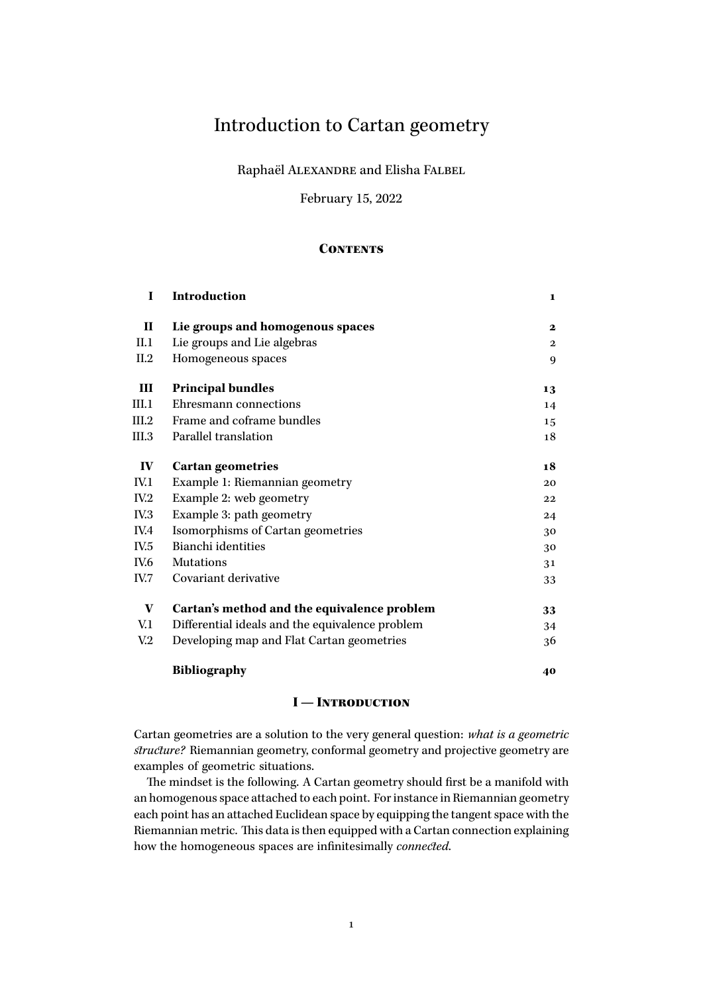# Introduction to Cartan geometry

Raphaël ALEXANDRE and Elisha FALBEL

February 15, 2022

## **CONTENTS**

| <b>Introduction</b>                             | 1                                           |
|-------------------------------------------------|---------------------------------------------|
| Lie groups and homogenous spaces                | $\mathbf{2}$                                |
| Lie groups and Lie algebras                     | $\mathbf{2}$                                |
| Homogeneous spaces                              | 9                                           |
| <b>Principal bundles</b>                        | 13                                          |
| Ehresmann connections                           | 14                                          |
| Frame and coframe bundles                       | 15                                          |
| Parallel translation                            | 18                                          |
| <b>Cartan geometries</b>                        | 18                                          |
| Example 1: Riemannian geometry                  | 20                                          |
| Example 2: web geometry                         | 22                                          |
| Example 3: path geometry                        | 24                                          |
| Isomorphisms of Cartan geometries               | 30                                          |
| Bianchi identities                              | 30                                          |
| <b>Mutations</b>                                | 31                                          |
| Covariant derivative                            | 33                                          |
|                                                 | 33                                          |
| Differential ideals and the equivalence problem | 34                                          |
| Developing map and Flat Cartan geometries       | 36                                          |
| <b>Bibliography</b>                             | 40                                          |
|                                                 | Cartan's method and the equivalence problem |

## I — Introduction

<span id="page-0-0"></span>Cartan geometries are a solution to the very general question: *what is a geometric structure?* Riemannian geometry, conformal geometry and projective geometry are examples of geometric situations.

The mindset is the following. A Cartan geometry should first be a manifold with an homogenous space attached to each point. For instance in Riemannian geometry each point has an attached Euclidean space by equipping the tangent space with the Riemannian metric. This data is then equipped with a Cartan connection explaining how the homogeneous spaces are infinitesimally *connected*.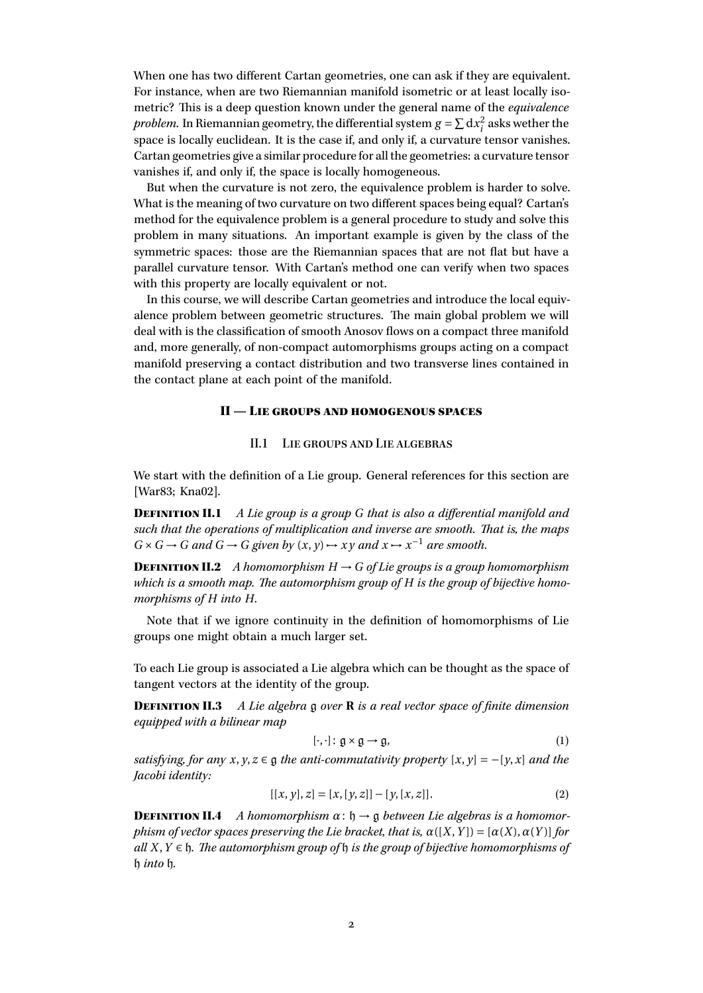When one has two different Cartan geometries, one can ask if they are equivalent. For instance, when are two Riemannian manifold isometric or at least locally isometric? This is a deep question known under the general name of the *equivalence problem*. In Riemannian geometry, the differential system  $g = \sum dx_i^2$  asks wether the space is locally euclidean. It is the case if, and only if, a curvature tensor vanishes. Cartan geometries give a similar procedure for all the geometries: a curvature tensor vanishes if, and only if, the space is locally homogeneous.

But when the curvature is not zero, the equivalence problem is harder to solve. What is the meaning of two curvature on two different spaces being equal? Cartan's method for the equivalence problem is a general procedure to study and solve this problem in many situations. An important example is given by the class of the symmetric spaces: those are the Riemannian spaces that are not flat but have a parallel curvature tensor. With Cartan's method one can verify when two spaces with this property are locally equivalent or not.

In this course, we will describe Cartan geometries and introduce the local equivalence problem between geometric structures. The main global problem we will deal with is the classification of smooth Anosov flows on a compact three manifold and, more generally, of non-compact automorphisms groups acting on a compact manifold preserving a contact distribution and two transverse lines contained in the contact plane at each point of the manifold.

## II — Lie groups and homogenous spaces

## II.1 Lie groups and Lie algebras

<span id="page-1-1"></span><span id="page-1-0"></span>We start with the definition of a Lie group. General references for this section are [\[War83;](#page-39-1) [Kna02\]](#page-39-2).

Definition II.1 *A Lie group is a group G that is also a differential manifold and such that the operations of multiplication and inverse are smooth. That is, the maps*  $G \times G \to G$  *and*  $G \to G$  *given by*  $(x, y) \to xy$  *and*  $x \to x^{-1}$  *are smooth.* 

**DEFINITION II.2** *A homomorphism*  $H \rightarrow G$  *of Lie groups is a group homomorphism which is a smooth map. The automorphism group of H is the group of bijective homomorphisms of H into H.*

Note that if we ignore continuity in the definition of homomorphisms of Lie groups one might obtain a much larger set.

To each Lie group is associated a Lie algebra which can be thought as the space of tangent vectors at the identity of the group.

Definition II.3 *A Lie algebra* g *over* **R** *is a real vector space of finite dimension equipped with a bilinear map*

$$
[\cdot,\cdot]:\mathfrak{g}\times\mathfrak{g}\to\mathfrak{g},\tag{1}
$$

*satisfying, for any*  $x, y, z \in \mathfrak{g}$  *the anti-commutativity property*  $[x, y] = -[y, x]$  *and the Jacobi identity:*

$$
[[x, y], z] = [x, [y, z]] - [y, [x, z]]. \qquad (2)
$$

**DEFINITION II.4** A homomorphism  $\alpha$ :  $\mathfrak{h} \rightarrow \mathfrak{g}$  between Lie algebras is a homomor*phism of vector spaces preserving the Lie bracket, that is,*  $\alpha([X, Y]) = [\alpha(X), \alpha(Y)]$  *for all X*,*Y* ∈ h*. The automorphism group of* h *is the group of bijective homomorphisms of* h *into* h*.*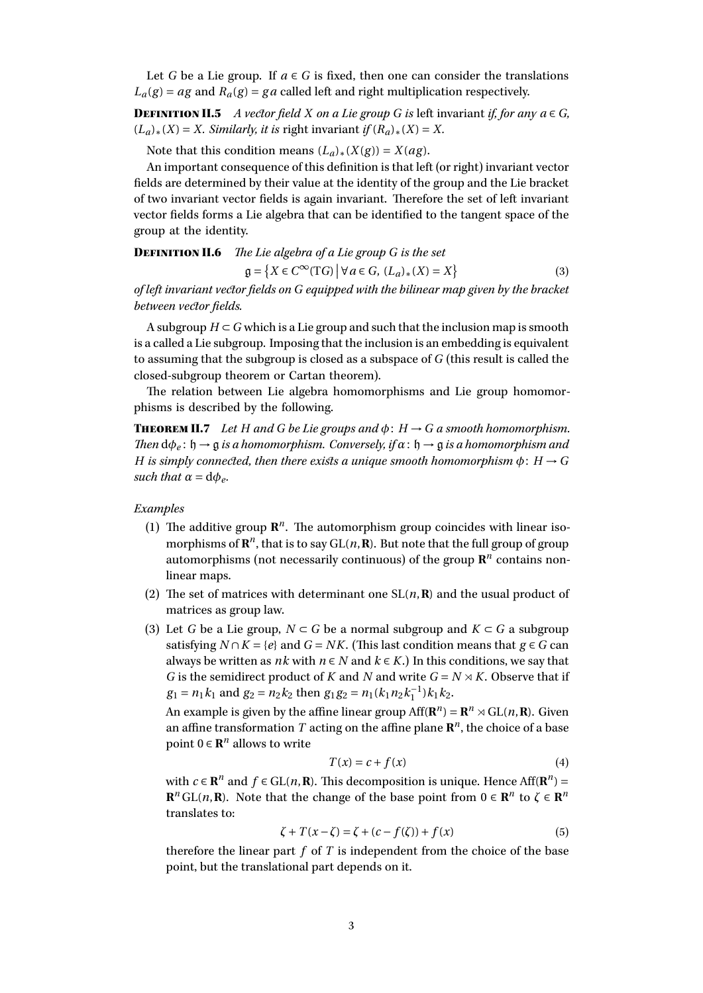Let *G* be a Lie group. If  $a \in G$  is fixed, then one can consider the translations  $L_a(g) = ag$  and  $R_a(g) = ga$  called left and right multiplication respectively.

**DEFINITION II.5** *A vector field X on a Lie group G is* left invariant *if, for any*  $a \in G$ *,*  $(L_a)$  ∗ $(X) = X$ *. Similarly, it is* right invariant *if*  $(R_a)$  ∗ $(X) = X$ *.* 

Note that this condition means  $(L_a)_*(X(g)) = X(ag)$ .

An important consequence of this definition is that left (or right) invariant vector fields are determined by their value at the identity of the group and the Lie bracket of two invariant vector fields is again invariant. Therefore the set of left invariant vector fields forms a Lie algebra that can be identified to the tangent space of the group at the identity.

Definition II.6 *The Lie algebra of a Lie group G is the set*  $g = \{ X \in C^{\infty}(\mathrm{T}G) \mid \forall a \in G, (L_a)_*(X) = X \}$ (3)

*of left invariant vector fields on G equipped with the bilinear map given by the bracket between vector fields.*

A subgroup  $H \subset G$  which is a Lie group and such that the inclusion map is smooth is a called a Lie subgroup. Imposing that the inclusion is an embedding is equivalent to assuming that the subgroup is closed as a subspace of *G* (this result is called the closed-subgroup theorem or Cartan theorem).

The relation between Lie algebra homomorphisms and Lie group homomorphisms is described by the following.

**THEOREM II.7** Let H and G be Lie groups and  $\phi$ :  $H \rightarrow G$  a smooth homomorphism. *Then*  $d\phi_e$ :  $\mathfrak{h} \rightarrow \mathfrak{g}$  *is a homomorphism. Conversely, if*  $\alpha$ :  $\mathfrak{h} \rightarrow \mathfrak{g}$  *is a homomorphism and H* is simply connected, then there exists a unique smooth homomorphism  $\phi$ :  $H \rightarrow G$ *such that*  $\alpha = d\phi_e$ *.* 

*Examples*

- (1) The additive group  $\mathbb{R}^n$ . The automorphism group coincides with linear isomorphisms of  $\mathbb{R}^n$ , that is to say  $GL(n,\mathbb{R})$ . But note that the full group of group automorphisms (not necessarily continuous) of the group **R** *n* contains nonlinear maps.
- (2) The set of matrices with determinant one  $SL(n, \mathbb{R})$  and the usual product of matrices as group law.
- (3) Let *G* be a Lie group,  $N \subset G$  be a normal subgroup and  $K \subset G$  a subgroup satisfying *N* ∩ *K* = { $e$ } and *G* = *NK*. (This last condition means that *g* ∈ *G* can always be written as *nk* with  $n \in N$  and  $k \in K$ .) In this conditions, we say that *G* is the semidirect product of *K* and *N* and write  $G = N \rtimes K$ . Observe that if  $g_1 = n_1 k_1$  and  $g_2 = n_2 k_2$  then  $g_1 g_2 = n_1 (k_1 n_2 k_1^{-1}) k_1 k_2$ .

An example is given by the affine linear group  $\text{Aff}(\mathbf{R}^n) = \mathbf{R}^n \rtimes \text{GL}(n, \mathbf{R})$ . Given an affine transformation  $T$  acting on the affine plane  $\mathbb{R}^n$ , the choice of a base point  $0 \in \mathbb{R}^n$  allows to write

$$
T(x) = c + f(x) \tag{4}
$$

with *c* ∈ **R**<sup>*n*</sup> and *f* ∈ GL(*n*, **R**). This decomposition is unique. Hence Aff(**R**<sup>*n*</sup>) =  $\mathbf{R}^n$  GL(*n*, **R**). Note that the change of the base point from  $0 \in \mathbf{R}^n$  to  $\zeta \in \mathbf{R}^n$ translates to:

$$
\zeta + T(x - \zeta) = \zeta + (c - f(\zeta)) + f(x)
$$
 (5)

therefore the linear part *f* of *T* is independent from the choice of the base point, but the translational part depends on it.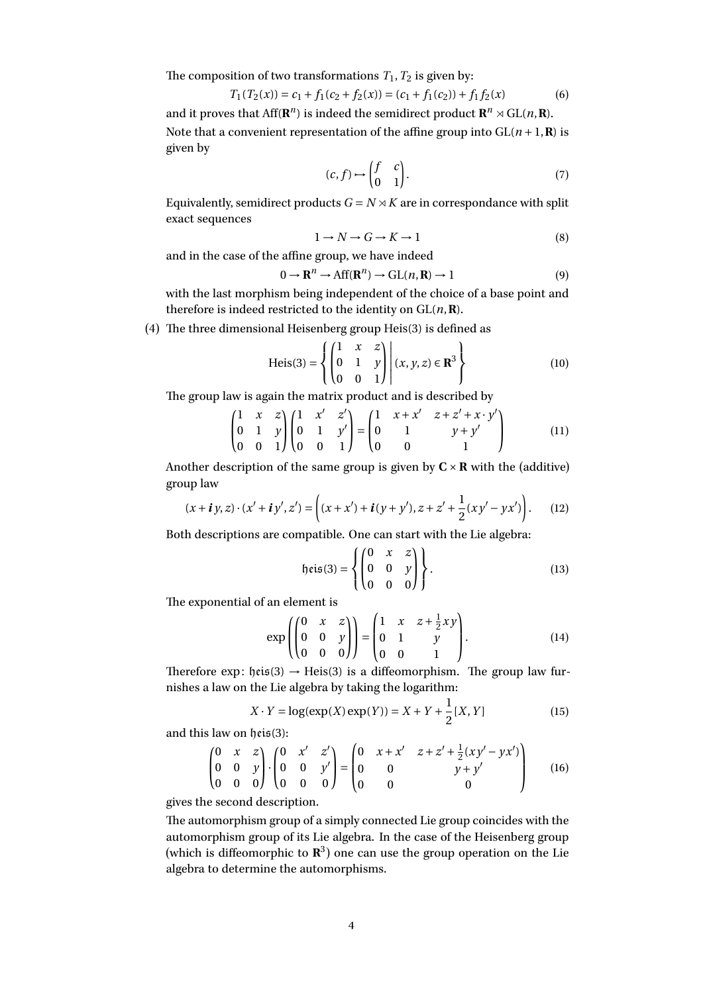The composition of two transformations  $T_1$ ,  $T_2$  is given by:

$$
T_1(T_2(x)) = c_1 + f_1(c_2 + f_2(x)) = (c_1 + f_1(c_2)) + f_1f_2(x)
$$
\n(6)

and it proves that  $Aff(\mathbf{R}^n)$  is indeed the semidirect product  $\mathbf{R}^n \rtimes GL(n, \mathbf{R})$ . Note that a convenient representation of the affine group into  $GL(n+1, \mathbb{R})$  is given by

$$
(c, f) \mapsto \begin{pmatrix} f & c \\ 0 & 1 \end{pmatrix}.
$$
 (7)

Equivalently, semidirect products  $G = N \rtimes K$  are in correspondance with split exact sequences

$$
1 \to N \to G \to K \to 1 \tag{8}
$$

and in the case of the affine group, we have indeed

$$
0 \to \mathbf{R}^n \to \text{Aff}(\mathbf{R}^n) \to \text{GL}(n, \mathbf{R}) \to 1 \tag{9}
$$

with the last morphism being independent of the choice of a base point and therefore is indeed restricted to the identity on  $GL(n, \mathbb{R})$ .

(4) The three dimensional Heisenberg group Heis(3) is defined as

Heis(3) = 
$$
\left\{ \begin{pmatrix} 1 & x & z \\ 0 & 1 & y \\ 0 & 0 & 1 \end{pmatrix} \middle| (x, y, z) \in \mathbb{R}^3 \right\}
$$
 (10)

The group law is again the matrix product and is described by

$$
\begin{pmatrix} 1 & x & z \\ 0 & 1 & y \\ 0 & 0 & 1 \end{pmatrix} \begin{pmatrix} 1 & x' & z' \\ 0 & 1 & y' \\ 0 & 0 & 1 \end{pmatrix} = \begin{pmatrix} 1 & x + x' & z + z' + x \cdot y' \\ 0 & 1 & y + y' \\ 0 & 0 & 1 \end{pmatrix}
$$
(11)

Another description of the same group is given by  $C \times R$  with the (additive) group law

$$
(x + iy, z) \cdot (x' + iy', z') = \left( (x + x') + i(y + y'), z + z' + \frac{1}{2} (xy' - yx') \right). \tag{12}
$$

Both descriptions are compatible. One can start with the Lie algebra:

$$
\mathfrak{heis}(3) = \left\{ \begin{pmatrix} 0 & x & z \\ 0 & 0 & y \\ 0 & 0 & 0 \end{pmatrix} \right\}.
$$
 (13)

The exponential of an element is

$$
\exp\left(\begin{pmatrix} 0 & x & z \\ 0 & 0 & y \\ 0 & 0 & 0 \end{pmatrix}\right) = \begin{pmatrix} 1 & x & z + \frac{1}{2}xy \\ 0 & 1 & y \\ 0 & 0 & 1 \end{pmatrix}.
$$
 (14)

Therefore exp:  $heis(3) \rightarrow Heis(3)$  is a diffeomorphism. The group law furnishes a law on the Lie algebra by taking the logarithm:

$$
X \cdot Y = \log(\exp(X)\exp(Y)) = X + Y + \frac{1}{2}[X, Y]
$$
 (15)

and this law on heis(3):

$$
\begin{pmatrix} 0 & x & z \\ 0 & 0 & y \\ 0 & 0 & 0 \end{pmatrix} \cdot \begin{pmatrix} 0 & x' & z' \\ 0 & 0 & y' \\ 0 & 0 & 0 \end{pmatrix} = \begin{pmatrix} 0 & x + x' & z + z' + \frac{1}{2}(xy' - yx') \\ 0 & 0 & y + y' \\ 0 & 0 & 0 \end{pmatrix}
$$
 (16)

gives the second description.

The automorphism group of a simply connected Lie group coincides with the automorphism group of its Lie algebra. In the case of the Heisenberg group (which is diffeomorphic to **R** 3 ) one can use the group operation on the Lie algebra to determine the automorphisms.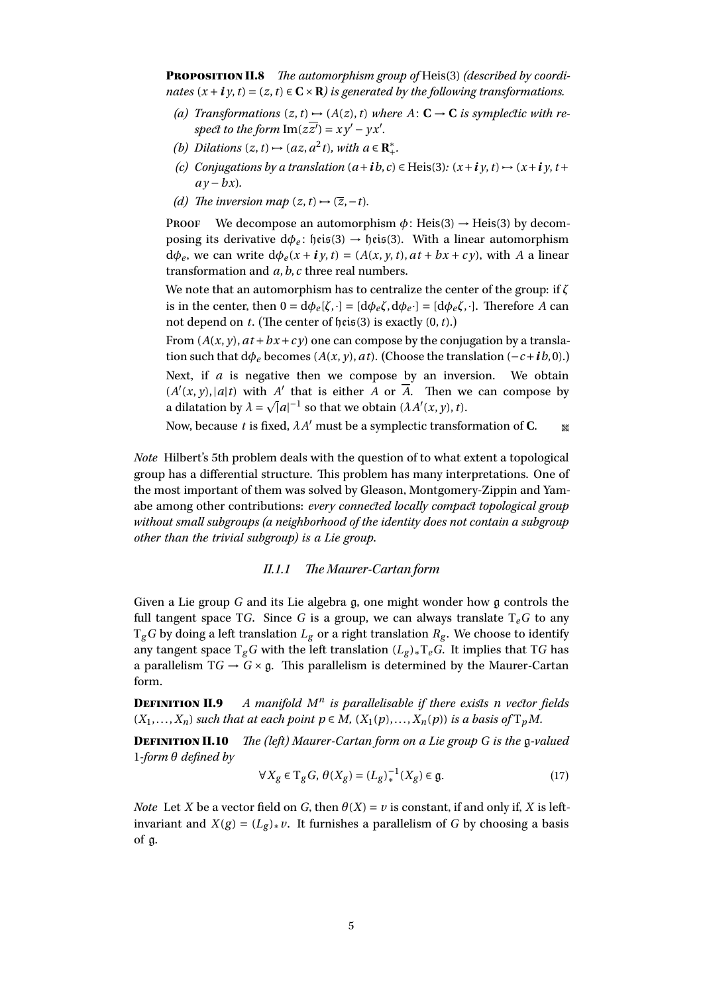Proposition II.8 *The automorphism group of* Heis(3) *(described by coordinates*  $(x + i y, t) = (z, t) \in \mathbb{C} \times \mathbb{R}$  *is generated by the following transformations.* 

- *(a) Transformations*  $(z, t) \mapsto (A(z), t)$  *where*  $A: C \rightarrow C$  *is symplectic with re-* $\frac{1}{\text{spec}t}$  *to the form*  $\text{Im}(z\overline{z'}) = xy' - yx'$ *.*
- *(b) Dilations*  $(z, t) \mapsto (az, a^2 t)$ *, with*  $a \in \mathbb{R}^*_+$ *.*
- *(c) Conjugations by a translation*  $(a + ib, c) \in Heis(3): (x + iy, t) \mapsto (x + iy, t + iy)$  $av - bx$ ).
- *(d) The inversion map*  $(z, t) \rightarrow (\overline{z}, -t)$ *.*

**PROOF** We decompose an automorphism  $\phi$ : Heis(3)  $\rightarrow$  Heis(3) by decomposing its derivative  $d\phi_e$ : heis(3)  $\rightarrow$  heis(3). With a linear automorphism  $d\phi_e$ , we can write  $d\phi_e(x + i\gamma, t) = (A(x, \gamma, t), a t + b x + c \gamma)$ , with *A* a linear transformation and *a*,*b*,*c* three real numbers.

We note that an automorphism has to centralize the center of the group: if *ζ* is in the center, then  $0 = d\phi_e[\zeta, \cdot] = [d\phi_e\zeta, d\phi_e \cdot] = [d\phi_e\zeta, \cdot]$ . Therefore *A* can not depend on *t*. (The center of heis(3) is exactly (0,*t*).)

From  $(A(x, y), at + bx + cy)$  one can compose by the conjugation by a translation such that  $d\phi_e$  becomes ( $A(x, y)$ ,  $at$ ). (Choose the translation ( $-c+ib$ , 0).) Next, if *a* is negative then we compose by an inversion. We obtain  $(A'(x, y), |a|t)$  with *A*<sup> $\prime$ </sup> that is either *A* or *A*. Then we can compose by a dilatation by  $\lambda = \sqrt{|a|^{-1}}$  so that we obtain  $(\lambda A'(x, y), t)$ .

Now, because *t* is fixed,  $\lambda A'$  must be a symplectic transformation of **C**.  $\bullet$ 

*Note* Hilbert's 5th problem deals with the question of to what extent a topological group has a differential structure. This problem has many interpretations. One of the most important of them was solved by Gleason, Montgomery-Zippin and Yamabe among other contributions: *every connected locally compact topological group without small subgroups (a neighborhood of the identity does not contain a subgroup other than the trivial subgroup) is a Lie group*.

## II.1.1 The Maurer-Cartan form

Given a Lie group *G* and its Lie algebra g, one might wonder how g controls the full tangent space TG. Since G is a group, we can always translate  $T_e$ G to any  $T_g$ *G* by doing a left translation  $L_g$  or a right translation  $R_g$ . We choose to identify any tangent space  $T_g$ *G* with the left translation  $(L_g)_*T_e$ *G*. It implies that T*G* has a parallelism  $TG \rightarrow G \times g$ . This parallelism is determined by the Maurer-Cartan form.

**DEFINITION II.9** *is parallelisable if there exists n vector fields*  $(X_1, \ldots, X_n)$  *such that at each point*  $p \in M$ ,  $(X_1(p), \ldots, X_n(p))$  *is a basis of*  $T_pM$ *.* 

Definition II.10 *The (left) Maurer-Cartan form on a Lie group G is the* g*-valued* 1*-form θ defined by*

$$
\forall X_g \in \mathrm{T}_g G, \, \theta(X_g) = (L_g)_*^{-1}(X_g) \in \mathfrak{g}.\tag{17}
$$

*Note* Let *X* be a vector field on *G*, then  $\theta(X) = v$  is constant, if and only if, *X* is leftinvariant and  $X(g) = (L_g)_* v$ . It furnishes a parallelism of *G* by choosing a basis of g.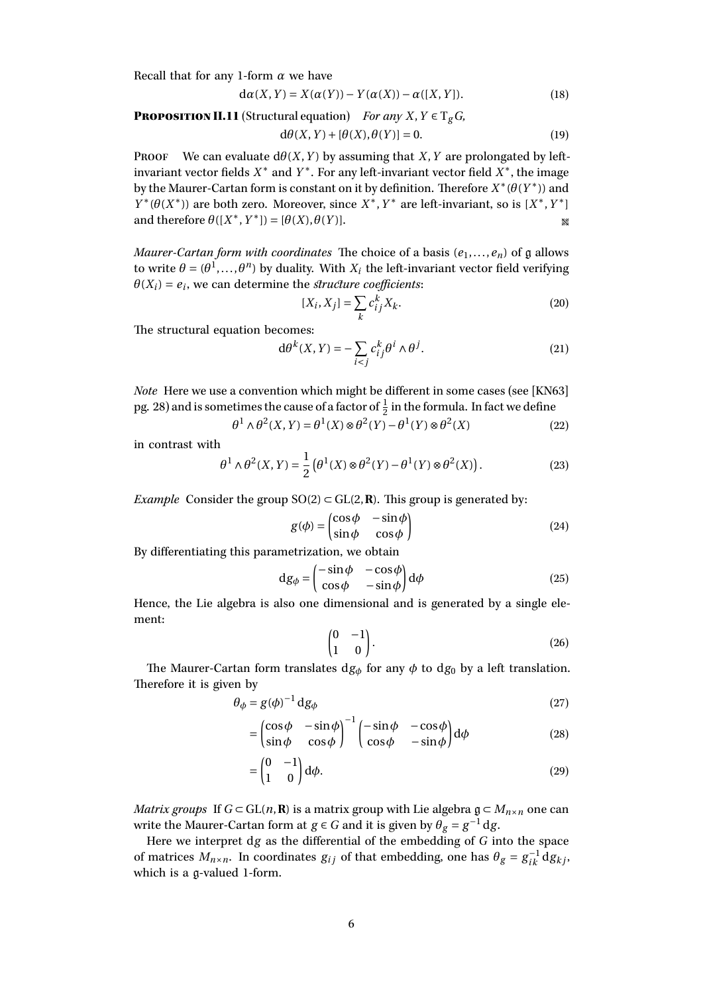Recall that for any 1-form *α* we have

$$
d\alpha(X,Y) = X(\alpha(Y)) - Y(\alpha(X)) - \alpha([X,Y]).
$$
\n(18)

**PROPOSITION II.11** (Structural equation) *For any*  $X, Y \in T_g$ *G*,

$$
d\theta(X,Y) + [\theta(X), \theta(Y)] = 0.
$$
 (19)

PROOF We can evaluate  $d\theta(X, Y)$  by assuming that *X*, *Y* are prolongated by leftinvariant vector fields  $X^*$  and  $Y^*$ . For any left-invariant vector field  $X^*$ , the image by the Maurer-Cartan form is constant on it by definition. Therefore *X* ∗ (*θ*(*Y* ∗ )) and  $Y^*(\theta(X^*))$  are both zero. Moreover, since  $X^*$ ,  $Y^*$  are left-invariant, so is  $[X^*, Y^*]$ and therefore  $\theta([X^*, Y^*]) = [\theta(X), \theta(Y)].$ 

*Maurer-Cartan form with coordinates* The choice of a basis  $(e_1, \ldots, e_n)$  of g allows to write  $\theta = (\theta^1, \ldots, \theta^n)$  by duality. With  $X_i$  the left-invariant vector field verifying  $\theta(X_i) = e_i$ , we can determine the *structure coefficients*:

$$
[X_i, X_j] = \sum_k c_{ij}^k X_k.
$$
\n(20)

The structural equation becomes:

$$
d\theta^{k}(X,Y) = -\sum_{i < j} c_{ij}^{k} \theta^{i} \wedge \theta^{j}.
$$
\n<sup>(21)</sup>

*Note* Here we use a convention which might be different in some cases (see [\[KN63\]](#page-39-3) pg. 28) and is sometimes the cause of a factor of  $\frac{1}{2}$  in the formula. In fact we define

$$
\theta^1 \wedge \theta^2(X, Y) = \theta^1(X) \otimes \theta^2(Y) - \theta^1(Y) \otimes \theta^2(X)
$$
\n(22)

in contrast with

$$
\theta^1 \wedge \theta^2(X, Y) = \frac{1}{2} \left( \theta^1(X) \otimes \theta^2(Y) - \theta^1(Y) \otimes \theta^2(X) \right). \tag{23}
$$

*Example* Consider the group  $SO(2) \subset GL(2, \mathbf{R})$ . This group is generated by:

$$
g(\phi) = \begin{pmatrix} \cos \phi & -\sin \phi \\ \sin \phi & \cos \phi \end{pmatrix}
$$
 (24)

By differentiating this parametrization, we obtain

$$
dg_{\phi} = \begin{pmatrix} -\sin\phi & -\cos\phi \\ \cos\phi & -\sin\phi \end{pmatrix} d\phi
$$
 (25)

Hence, the Lie algebra is also one dimensional and is generated by a single element:

$$
\begin{pmatrix} 0 & -1 \\ 1 & 0 \end{pmatrix}.
$$
 (26)

The Maurer-Cartan form translates  $dg_{\phi}$  for any  $\phi$  to  $dg_0$  by a left translation. Therefore it is given by

$$
\theta_{\phi} = g(\phi)^{-1} \, \mathrm{d}g_{\phi} \tag{27}
$$

$$
= \begin{pmatrix} \cos\phi & -\sin\phi \\ \sin\phi & \cos\phi \end{pmatrix}^{-1} \begin{pmatrix} -\sin\phi & -\cos\phi \\ \cos\phi & -\sin\phi \end{pmatrix} d\phi
$$
 (28)

$$
= \begin{pmatrix} 0 & -1 \\ 1 & 0 \end{pmatrix} d\phi.
$$
 (29)

*Matrix groups* If  $G \subset GL(n, \mathbf{R})$  is a matrix group with Lie algebra  $\mathfrak{g} \subset M_{n \times n}$  one can write the Maurer-Cartan form at *g*  $\in$  *G* and it is given by  $\theta_g = g^{-1} dg$ .

Here we interpret d*g* as the differential of the embedding of *G* into the space of matrices  $M_{n \times n}$ . In coordinates  $g_{ij}$  of that embedding, one has  $\theta_g = g_{ik}^{-1} dg_{kj}$ , which is a g-valued 1-form.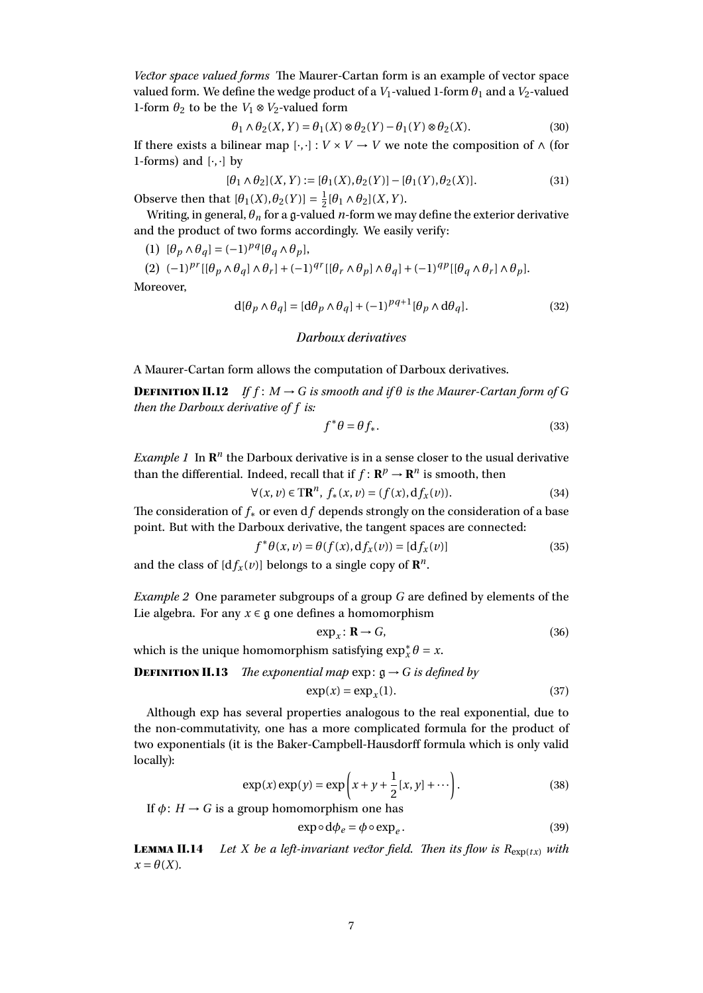*Vector space valued forms* The Maurer-Cartan form is an example of vector space valued form. We define the wedge product of a  $V_1$ -valued 1-form  $\theta_1$  and a  $V_2$ -valued 1-form  $\theta_2$  to be the  $V_1 \otimes V_2$ -valued form

$$
\theta_1 \wedge \theta_2(X, Y) = \theta_1(X) \otimes \theta_2(Y) - \theta_1(Y) \otimes \theta_2(X). \tag{30}
$$

If there exists a bilinear map [ $\cdot$ , $\cdot$ ] : *V* × *V* → *V* we note the composition of  $\wedge$  (for 1-forms) and  $[\cdot, \cdot]$  by

$$
[\theta_1 \wedge \theta_2](X, Y) := [\theta_1(X), \theta_2(Y)] - [\theta_1(Y), \theta_2(X)].
$$
\n(31)

Observe then that  $[\theta_1(X), \theta_2(Y)] = \frac{1}{2}$  $\frac{1}{2}[\theta_1 \wedge \theta_2](X, Y).$ 

Writing, in general,  $\theta_n$  for a g-valued *n*-form we may define the exterior derivative and the product of two forms accordingly. We easily verify:

(1)  $[\theta_p \wedge \theta_q] = (-1)^{pq} [\theta_q \wedge \theta_p],$ 

 $(2)$   $(-1)^{pr}$   $[(\theta_p \wedge \theta_q] \wedge \theta_r] + (-1)^{qr}$   $[(\theta_r \wedge \theta_p] \wedge \theta_q] + (-1)^{qp}$   $[(\theta_q \wedge \theta_r] \wedge \theta_p]$ . Moreover,

$$
d[\theta_p \wedge \theta_q] = [d\theta_p \wedge \theta_q] + (-1)^{pq+1} [\theta_p \wedge d\theta_q].
$$
\n(32)

## Darboux derivatives

A Maurer-Cartan form allows the computation of Darboux derivatives.

**DEFINITION II.12** If  $f : M \rightarrow G$  is smooth and if  $\theta$  is the Maurer-Cartan form of G *then the Darboux derivative of f is:*

$$
f^*\theta = \theta f_*.\tag{33}
$$

*Example 1* In  $\mathbb{R}^n$  the Darboux derivative is in a sense closer to the usual derivative than the differential. Indeed, recall that if  $f: \mathbb{R}^p \to \mathbb{R}^n$  is smooth, then

$$
\forall (x, v) \in \mathbf{TR}^n, f_*(x, v) = (f(x), df_x(v)).\tag{34}
$$

The consideration of *f*<sup>∗</sup> or even d*f* depends strongly on the consideration of a base point. But with the Darboux derivative, the tangent spaces are connected:

$$
f^*\theta(x,\nu) = \theta(f(x), \mathrm{d}f_x(\nu)) = [\mathrm{d}f_x(\nu)]\tag{35}
$$

and the class of  $[df_x(v)]$  belongs to a single copy of  $\mathbb{R}^n$ .

*Example 2* One parameter subgroups of a group *G* are defined by elements of the Lie algebra. For any  $x \in \mathfrak{g}$  one defines a homomorphism

$$
\exp_x \colon \mathbf{R} \to G,\tag{36}
$$

which is the unique homomorphism satisfying  $\exp_x^* \theta = x$ .

**DEFINITION II.13** *The exponential map*  $\exp: \mathfrak{g} \rightarrow G$  *is defined by* 

$$
\exp(x) = \exp_x(1). \tag{37}
$$

Although exp has several properties analogous to the real exponential, due to the non-commutativity, one has a more complicated formula for the product of two exponentials (it is the Baker-Campbell-Hausdorff formula which is only valid locally):

$$
\exp(x)\exp(y) = \exp\left(x + y + \frac{1}{2}[x, y] + \cdots\right).
$$
 (38)

If  $\phi: H \to G$  is a group homomorphism one has

$$
\exp \circ d\phi_e = \phi \circ \exp_e. \tag{39}
$$

**LEMMA II.14** Let *X* be a left-invariant vector field. Then its flow is  $R_{\text{exp}(tx)}$  with  $x = \theta(X)$ .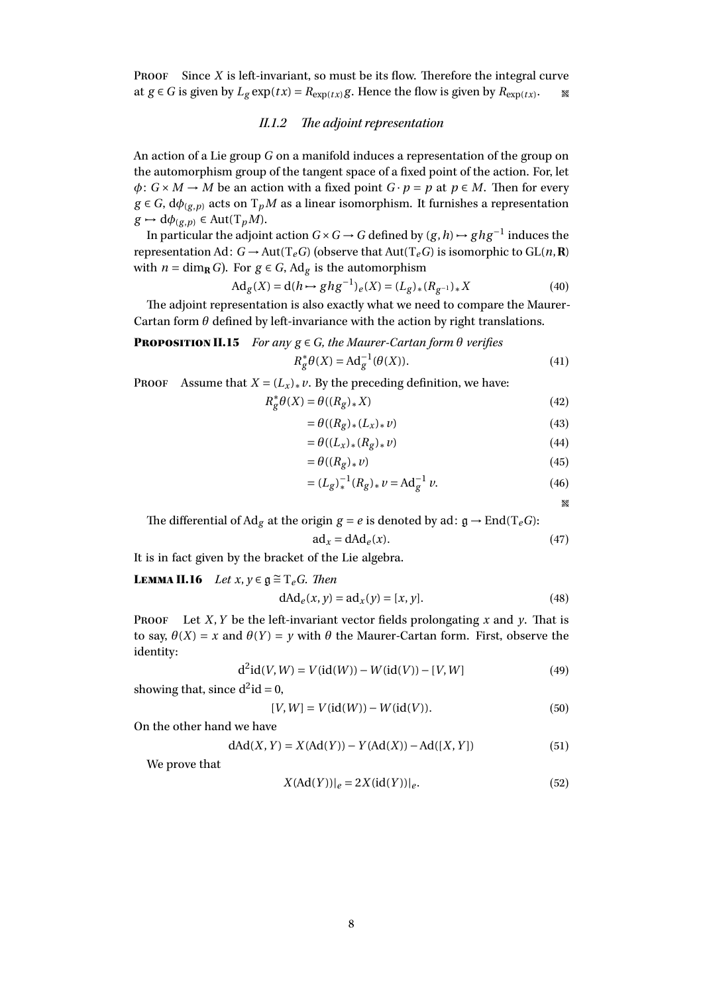Proof Since *X* is left-invariant, so must be its flow. Therefore the integral curve at *g* ∈ *G* is given by  $L_g \exp(t x) = R_{\exp(t x)} g$ . Hence the flow is given by  $R_{\exp(t x)}$ .  $\mathbb{Z}^d$ 

## II.1.2 The adjoint representation

An action of a Lie group *G* on a manifold induces a representation of the group on the automorphism group of the tangent space of a fixed point of the action. For, let  $\phi: G \times M \to M$  be an action with a fixed point  $G \cdot p = p$  at  $p \in M$ . Then for every  $g \in G$ ,  $d\phi_{(g,p)}$  acts on  $T_pM$  as a linear isomorphism. It furnishes a representation  $g \mapsto d\phi_{(g,p)} \in Aut(T_pM).$ 

In particular the adjoint action  $G \times G \to G$  defined by  $(g, h) \mapsto ghg^{-1}$  induces the representation Ad:  $G \rightarrow Aut(T_eG)$  (observe that  $Aut(T_eG)$  is isomorphic to  $GL(n, \mathbb{R})$ with  $n = \dim_{\mathbf{R}} G$ . For  $g \in G$ , Ad<sub>g</sub> is the automorphism

$$
Ad_g(X) = d(h \rightarrow ghg^{-1})_e(X) = (L_g)_*(R_{g^{-1}})_*X
$$
\n(40)

The adjoint representation is also exactly what we need to compare the Maurer-Cartan form  $\theta$  defined by left-invariance with the action by right translations.

## **PROPOSITION II.15** *For any*  $g \in G$ *, the Maurer-Cartan form*  $\theta$  *verifies*  $R_g^* \theta(X) = \text{Ad}_g^{-1}(\theta(X)).$  (41)

**PROOF** Assume that  $X = (L_x)_* v$ . By the preceding definition, we have:

$$
R_g^* \theta(X) = \theta((R_g)_* X) \tag{42}
$$

$$
=\theta((R_g)_*(L_x)_*v)\tag{43}
$$

$$
=\theta((L_x)_*(R_g)_*\nu)\tag{44}
$$

$$
=\theta((R_g)_* \nu) \tag{45}
$$

$$
= (L_g)_*^{-1} (R_g)_* \nu = \text{Ad}_g^{-1} \nu.
$$
 (46)

$$
\mathbb{X}^{\ell}
$$

The differential of Ad<sub>g</sub> at the origin  $g = e$  is denoted by ad:  $g \rightarrow End(T_e G)$ :

$$
ad_x = dAd_e(x). \tag{47}
$$

It is in fact given by the bracket of the Lie algebra.

**LEMMA II.16** *Let x*,  $y \in \mathfrak{g} \cong \mathrm{T}_e$ *G. Then* 

$$
dAd_e(x, y) = ad_x(y) = [x, y].
$$
\n(48)

**PROOF** Let *X*, *Y* be the left-invariant vector fields prolongating *x* and *y*. That is to say,  $\theta(X) = x$  and  $\theta(Y) = y$  with  $\theta$  the Maurer-Cartan form. First, observe the identity:

$$
d^{2}id(V, W) = V(id(W)) - W(id(V)) - [V, W]
$$
\n(49)

showing that, since  $d^2$ id = 0,

$$
[V, W] = V(\text{id}(W)) - W(\text{id}(V)).
$$
\n(50)

On the other hand we have

$$
dAd(X, Y) = X(Ad(Y)) - Y(Ad(X)) - Ad([X, Y])
$$
\n(51)

We prove that

$$
X(Ad(Y))|_{e} = 2X(id(Y))|_{e}.
$$
\n(52)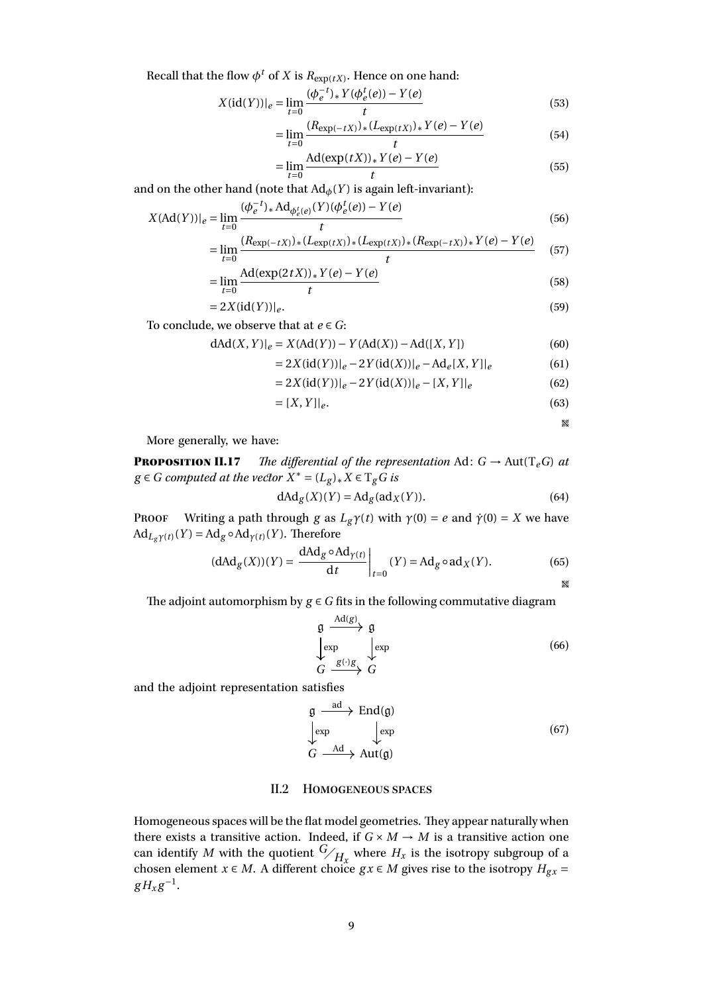Recall that the flow  $\phi^t$  of  $X$  is  $R_{\exp(tX)}$ . Hence on one hand:

$$
X(\text{id}(Y))|_{e} = \lim_{t=0} \frac{(\phi_e^{-t})_* Y(\phi_e^t(e)) - Y(e)}{t} \tag{53}
$$

$$
= \lim_{t=0} \frac{(R_{\exp(-tX)})_*(L_{\exp(tX)})_* Y(e) - Y(e)}{t}
$$
(54)

$$
=\lim_{t=0} \frac{\text{Ad}(\exp(tX))_* Y(e) - Y(e)}{t} \tag{55}
$$

and on the other hand (note that  $\text{Ad}_{\phi}(Y)$  is again left-invariant):

$$
X(\text{Ad}(Y))|_{e} = \lim_{t=0} \frac{(\phi_e^{-t})_* \text{Ad}_{\phi_e^{t}(e)}(Y)(\phi_e^{t}(e)) - Y(e)}{t}
$$
(56)

$$
= \lim_{t=0} \frac{(R_{\exp(-tX)})_*(L_{\exp(tX)})_*(L_{\exp(tX)})_*(R_{\exp(-tX)})_* Y(e) - Y(e)}{t}
$$
(57)

$$
=\lim_{t=0} \frac{\text{Ad}(\exp(2tX))_* Y(e) - Y(e)}{t} \tag{58}
$$

$$
=2X(\mathrm{id}(Y))|_e.\tag{59}
$$

To conclude, we observe that at *e* ∈ *G*:

$$
dAd(X,Y)|_e = X(Ad(Y)) - Y(Ad(X)) - Ad([X,Y])
$$
\n(60)

$$
= 2X(\mathrm{id}(Y))|_{e} - 2Y(\mathrm{id}(X))|_{e} - \mathrm{Ad}_{e}[X, Y]|_{e}
$$
 (61)

$$
= 2X(\mathrm{id}(Y))|_{e} - 2Y(\mathrm{id}(X))|_{e} - [X, Y]|_{e}
$$
\n(62)

$$
= [X, Y]|_e. \tag{63}
$$

**W** 

More generally, we have:

**PROPOSITION II.17** *The differential of the representation* Ad:  $G \rightarrow Aut(T_eG)$  *at g* ∈ *G computed at the vector*  $X^* = (L_g)_* X$  ∈  $T_g G$  *is* 

$$
dAd_g(X)(Y) = Ad_g(ad_X(Y)).
$$
\n(64)

PROOF Writing a path through *g* as  $L_g\gamma(t)$  with  $\gamma(0) = e$  and  $\dot{\gamma}(0) = X$  we have  $Ad_{L_q\gamma(t)}(Y) = Ad_g \circ Ad_{\gamma(t)}(Y)$ . Therefore

$$
(\mathrm{dAd}_g(X))(Y) = \frac{\mathrm{dAd}_g \circ \mathrm{Ad}_{\gamma(t)}}{\mathrm{d}t}\bigg|_{t=0} (Y) = \mathrm{Ad}_g \circ \mathrm{ad}_X(Y). \tag{65}
$$

The adjoint automorphism by  $g \in G$  fits in the following commutative diagram

$$
\begin{array}{ccc}\n\mathfrak{g} & \xrightarrow{\mathrm{Ad}(g)} & \mathfrak{g} \\
\downarrow \exp & \downarrow \exp & \downarrow \exp & \downarrow \\
G & \xrightarrow{g(\cdot)g} & G & \end{array} \tag{66}
$$

and the adjoint representation satisfies

$$
\begin{array}{ccc}\n\mathfrak{g} & \xrightarrow{\text{ad}} & \text{End}(\mathfrak{g}) \\
\downarrow \text{exp} & & \downarrow \text{exp} \\
G & \xrightarrow{\text{Ad}} & \text{Aut}(\mathfrak{g})\n\end{array} \tag{67}
$$

#### II.2 Homogeneous spaces

<span id="page-8-0"></span>Homogeneous spaces will be the flat model geometries. They appear naturally when there exists a transitive action. Indeed, if  $G \times M \to M$  is a transitive action one can identify *M* with the quotient  $\frac{G}{H_x}$  where  $H_x$  is the isotropy subgroup of a chosen element *x* ∈ *M*. A different choice  $gx \in M$  gives rise to the isotropy  $H_{gx}$  =  $gH_xg^{-1}$ .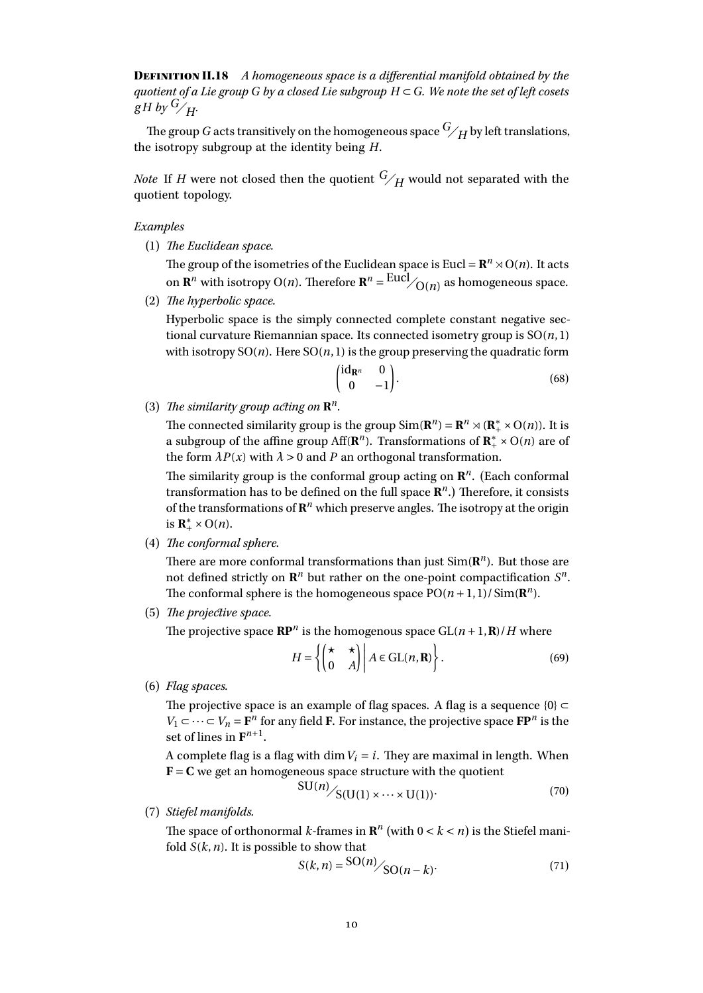Definition II.18 *A homogeneous space is a differential manifold obtained by the quotient of a Lie group G by a closed Lie subgroup H* ⊂ *G. We note the set of left cosets*  $gH$  *by*  $\frac{G}{H}$ .

The group *G* acts transitively on the homogeneous space  $G/H$  by left translations, the isotropy subgroup at the identity being *H*.

*Note* If *H* were not closed then the quotient  $G/H$  would not separated with the quotient topology.

*Examples*

(1) *The Euclidean space.*

The group of the isometries of the Euclidean space is Eucl =  $\mathbb{R}^n \times O(n)$ . It acts on **R**<sup>*n*</sup> with isotropy O(*n*). Therefore **R**<sup>*n*</sup> = <sup>Eucl</sup>/<sub>O(*n*)</sub> as homogeneous space.

(2) *The hyperbolic space.*

Hyperbolic space is the simply connected complete constant negative sectional curvature Riemannian space. Its connected isometry group is SO(*n*, 1) with isotropy  $SO(n)$ . Here  $SO(n, 1)$  is the group preserving the quadratic form

$$
\begin{pmatrix} \mathrm{id}_{\mathbf{R}^n} & 0 \\ 0 & -1 \end{pmatrix} . \tag{68}
$$

(3) *The similarity group acting on* **R** *n .*

> The connected similarity group is the group  $Sim(\mathbf{R}^n) = \mathbf{R}^n \rtimes (\mathbf{R}_+^* \times O(n))$ . It is a subgroup of the affine group Aff( $\mathbb{R}^n$ ). Transformations of  $\mathbb{R}^*_+ \times O(n)$  are of the form  $\lambda P(x)$  with  $\lambda > 0$  and P an orthogonal transformation.

> The similarity group is the conformal group acting on **R** *n* . (Each conformal transformation has to be defined on the full space **R** *n* .) Therefore, it consists of the transformations of  $\mathbb{R}^n$  which preserve angles. The isotropy at the origin is  $\mathbf{R}_+^* \times \mathrm{O}(n)$ .

(4) *The conformal sphere.*

There are more conformal transformations than just  $Sim(R^n)$ . But those are not defined strictly on  $\mathbb{R}^n$  but rather on the one-point compactification  $S^n$ . The conformal sphere is the homogeneous space  $PO(n + 1, 1)/Sim(R^n)$ .

(5) *The projective space.*

The projective space  $\mathbb{RP}^n$  is the homogenous space  $GL(n+1,\mathbb{R})/H$  where

$$
H = \left\{ \begin{pmatrix} \star & \star \\ 0 & A \end{pmatrix} \middle| A \in \text{GL}(n, \mathbf{R}) \right\}.
$$
\n(69)

(6) *Flag spaces.*

The projective space is an example of flag spaces. A flag is a sequence  $\{0\} \subset$ *V*<sub>1</sub> ⊂ ··· ⊂ *V*<sub>*n*</sub> = **F**<sup>*n*</sup> for any field **F**. For instance, the projective space **FP**<sup>*n*</sup> is the set of lines in  $\mathbf{F}^{n+1}$ .

A complete flag is a flag with dim  $V_i = i$ . They are maximal in length. When  **we get an homogeneous space structure with the quotient**  $SU(n)$ 

$$
SU(n) / S(U(1) \times \cdots \times U(1))
$$
 (70)

(7) *Stiefel manifolds.*

The space of orthonormal *k*-frames in  $\mathbb{R}^n$  (with  $0 < k < n$ ) is the Stiefel manifold *S*(*k*,*n*). It is possible to show that

$$
S(k,n) = \frac{\text{SO}(n)}{\text{SO}(n-k)}.\tag{71}
$$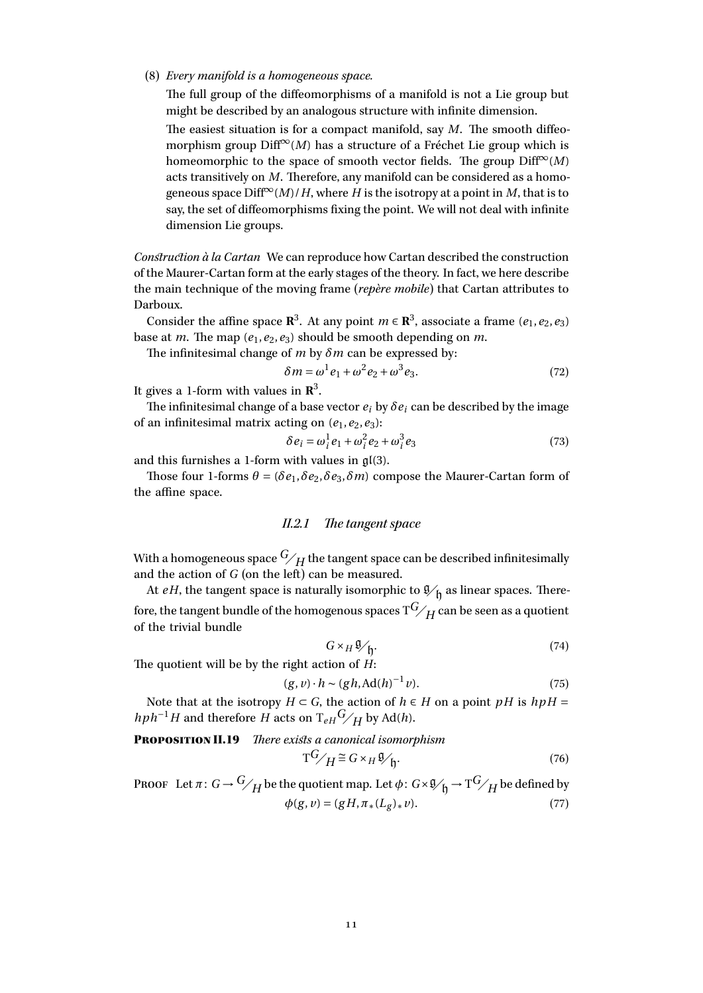#### (8) *Every manifold is a homogeneous space.*

The full group of the diffeomorphisms of a manifold is not a Lie group but might be described by an analogous structure with infinite dimension.

The easiest situation is for a compact manifold, say *M*. The smooth diffeomorphism group  $\text{Diff}^{\infty}(M)$  has a structure of a Fréchet Lie group which is homeomorphic to the space of smooth vector fields. The group  $\text{Diff}^{\infty}(M)$ acts transitively on *M*. Therefore, any manifold can be considered as a homogeneous space  $Diff^{\infty}(M)/H$ , where *H* is the isotropy at a point in *M*, that is to say, the set of diffeomorphisms fixing the point. We will not deal with infinite dimension Lie groups.

*Construction à la Cartan* We can reproduce how Cartan described the construction of the Maurer-Cartan form at the early stages of the theory. In fact, we here describe the main technique of the moving frame (*repère mobile*) that Cartan attributes to Darboux.

Consider the affine space  $\mathbb{R}^3$ . At any point  $m \in \mathbb{R}^3$ , associate a frame  $(e_1, e_2, e_3)$ base at *m*. The map  $(e_1, e_2, e_3)$  should be smooth depending on *m*.

The infinitesimal change of *m* by *δm* can be expressed by:

$$
\delta m = \omega^1 e_1 + \omega^2 e_2 + \omega^3 e_3. \tag{72}
$$

It gives a 1-form with values in **R** 3 .

The infinitesimal change of a base vector  $e_i$  by  $\delta e_i$  can be described by the image of an infinitesimal matrix acting on  $(e_1, e_2, e_3)$ :

$$
\delta e_i = \omega_i^1 e_1 + \omega_i^2 e_2 + \omega_i^3 e_3 \tag{73}
$$

and this furnishes a 1-form with values in gl(3).

Those four 1-forms  $\theta = (\delta e_1, \delta e_2, \delta e_3, \delta m)$  compose the Maurer-Cartan form of the affine space.

## II.2.1 The tangent space

With a homogeneous space  $G/H$  the tangent space can be described infinitesimally and the action of *G* (on the left) can be measured.

At *eH*, the tangent space is naturally isomorphic to  $\mathfrak{g}_{\mathfrak{h}}$  as linear spaces. Therefore, the tangent bundle of the homogenous spaces  $T^G\!/H$  can be seen as a quotient of the trivial bundle

$$
G \times_H \mathfrak{V}'_{\mathfrak{h}}.\tag{74}
$$

The quotient will be by the right action of *H*:

$$
(g, v) \cdot h \sim (gh, \operatorname{Ad}(h)^{-1}v). \tag{75}
$$

Note that at the isotropy  $H \subset G$ , the action of  $h \in H$  on a point  $pH$  is  $h pH =$  $hph^{-1}H$  and therefore *H* acts on  $T_{eH}$ <sup>*G*</sup>/*H* by Ad(*h*).

Proposition II.19 *There exists a canonical isomorphism*

$$
T^{G}/_{H} \cong G \times_{H} \mathfrak{V}_{\mathfrak{h}}.\tag{76}
$$

PROOF Let  $\pi: G \to \frac{G}{H}$  be the quotient map. Let  $\phi: G \times \mathfrak{g}_{\mathfrak{h}} \to T^G/H$  be defined by  $\phi(g, v) = (gH, \pi_*(L_g)_* v).$  (77)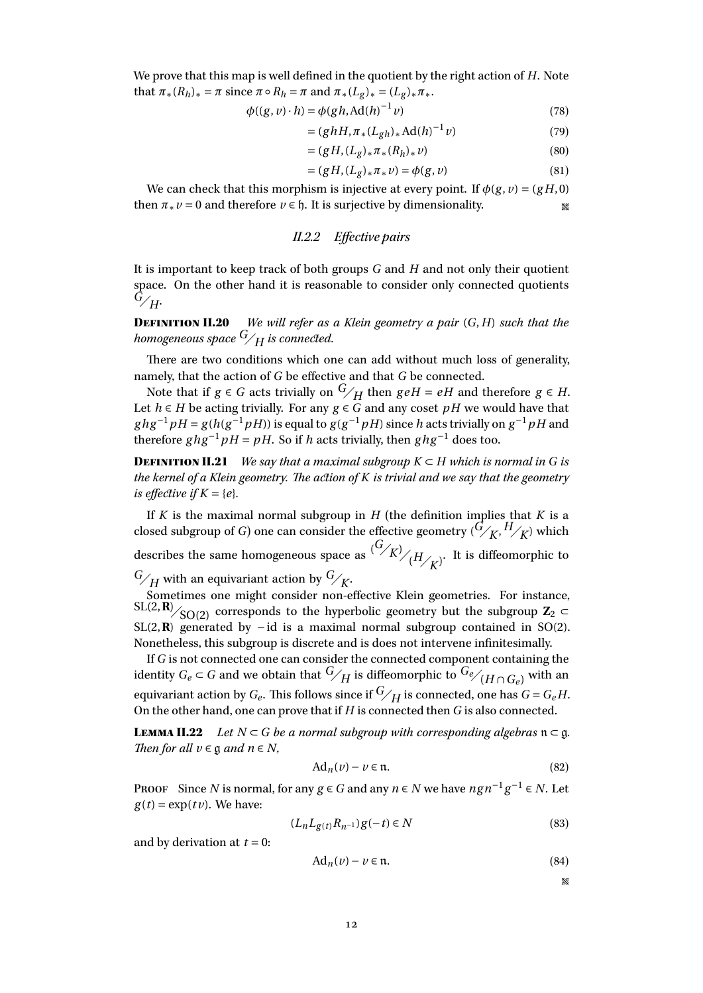We prove that this map is well defined in the quotient by the right action of *H*. Note that  $\pi_*(R_h)_* = \pi$  since  $\pi \circ R_h = \pi$  and  $\pi_*(L_g)_* = (L_g)_* \pi_*$ .

$$
\phi((g, v) \cdot h) = \phi(gh, \text{Ad}(h)^{-1}v) \tag{78}
$$

$$
= (ghH, \pi_*(L_{gh})_* \text{Ad}(h)^{-1} \nu) \tag{79}
$$

$$
= (gH, (L_g)_* \pi_* (R_h)_* \nu) \tag{80}
$$

$$
= (gH, (L_g)_* \pi_* \nu) = \phi(g, \nu) \tag{81}
$$

We can check that this morphism is injective at every point. If  $\phi(g, v) = (gH, 0)$ then  $\pi * \nu = 0$  and therefore  $\nu \in \mathfrak{h}$ . It is surjective by dimensionality.

#### II.2.2 Effective pairs

It is important to keep track of both groups *G* and *H* and not only their quotient space. On the other hand it is reasonable to consider only connected quotients *<sup>G</sup><sup>H</sup>*.

Definition II.20 *We will refer as a Klein geometry a pair* (*G*,*H*) *such that the homogeneous space*  $G/H$  *is connected.* 

There are two conditions which one can add without much loss of generality, namely, that the action of *G* be effective and that *G* be connected.

Note that if  $g \in G$  acts trivially on  $\frac{G}{H}$  then  $g e H = eH$  and therefore  $g \in H$ . Let *h* ∈ *H* be acting trivially. For any  $g \in G$  and any coset *pH* we would have that  $ghg^{-1}pH = g(h(g^{-1}pH))$  is equal to  $g(g^{-1}pH)$  since *h* acts trivially on  $g^{-1}pH$  and therefore  $ghg^{-1}pH = pH$ . So if *h* acts trivially, then  $ghg^{-1}$  does too.

**DEFINITION II.21** *We say that a maximal subgroup*  $K \subset H$  *which is normal in G is the kernel of a Klein geometry. The action of K is trivial and we say that the geometry is effective if*  $K = \{e\}$ *.* 

If  $K$  is the maximal normal subgroup in  $H$  (the definition implies that  $K$  is a closed subgroup of *G*) one can consider the effective geometry  $(\bar{G}/\bar{K}, \bar{H}/\bar{K})$  which describes the same homogeneous space as  $\frac{(G/k)}{(H/k)}$ . It is diffeomorphic to  $G/H$  with an equivariant action by  $G/K$ .

Sometimes one might consider non-effective Klein geometries. For instance, SL(2,**R**)  $\frac{S}{S}$  corresponds to the hyperbolic geometry but the subgroup **Z**<sub>2</sub> ⊂ SL(2,**R**) generated by −id is a maximal normal subgroup contained in SO(2). Nonetheless, this subgroup is discrete and is does not intervene infinitesimally.

If *G* is not connected one can consider the connected component containing the identity *G*<sub>*e*</sub> ⊂ *G* and we obtain that  $G/H$  is diffeomorphic to  $G$ <sup>*e*</sup>/( $H \cap G$ <sub>*e*</sub>)</sub> with an equivariant action by  $G_e$ . This follows since if  $\frac{G}{H}$  is connected, one has  $G = G_e H$ . On the other hand, one can prove that if *H* is connected then *G* is also connected.

**LEMMA II.22** *Let*  $N \subset G$  *be a normal subgroup with corresponding algebras*  $n \subset g$ *. Then for all*  $v \in \mathfrak{g}$  *and*  $n \in N$ *,* 

$$
Ad_n(v) - v \in \mathfrak{n}.\tag{82}
$$

PROOF Since *N* is normal, for any  $g \in G$  and any  $n \in N$  we have  $ngn^{-1}g^{-1} \in N$ . Let  $g(t) = \exp(t v)$ . We have:

$$
(L_n L_{g(t)} R_{n^{-1}}) g(-t) \in N
$$
\n(83)

and by derivation at  $t = 0$ :

$$
Ad_n(v) - v \in \mathfrak{n}.\tag{84}
$$

 $\mathbb{Z}^d$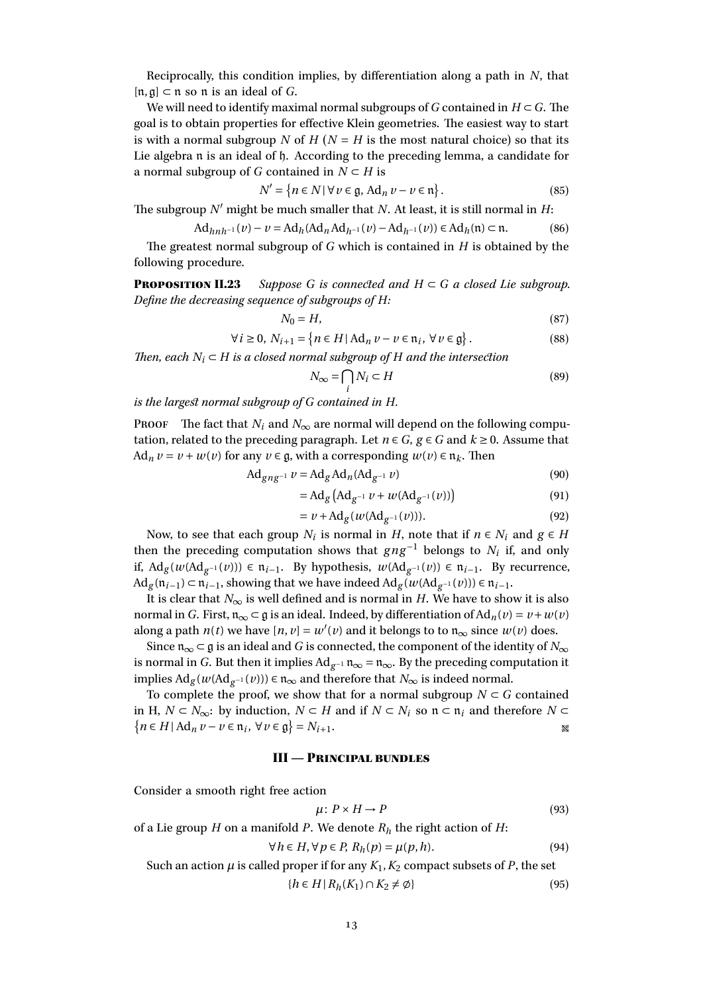Reciprocally, this condition implies, by differentiation along a path in *N*, that [n,g] ⊂ n so n is an ideal of *G*.

We will need to identify maximal normal subgroups of *G* contained in  $H \subset G$ . The goal is to obtain properties for effective Klein geometries. The easiest way to start is with a normal subgroup *N* of  $H (N = H$  is the most natural choice) so that its Lie algebra n is an ideal of h. According to the preceding lemma, a candidate for a normal subgroup of *G* contained in  $N \subset H$  is

$$
N' = \{ n \in N \mid \forall \, v \in \mathfrak{g}, \, \mathrm{Ad}_n \, v - v \in \mathfrak{n} \} \, . \tag{85}
$$

The subgroup  $N'$  might be much smaller that  $N$ . At least, it is still normal in  $H$ :

$$
\mathrm{Ad}_{hnh^{-1}}(v) - v = \mathrm{Ad}_h(\mathrm{Ad}_n\mathrm{Ad}_{h^{-1}}(v) - \mathrm{Ad}_{h^{-1}}(v)) \in \mathrm{Ad}_h(\mathfrak{n}) \subset \mathfrak{n}.\tag{86}
$$

The greatest normal subgroup of *G* which is contained in *H* is obtained by the following procedure.

<span id="page-12-1"></span>**PROPOSITION II.23** Suppose G is connected and  $H \subset G$  a closed Lie subgroup. *Define the decreasing sequence of subgroups of H:*

$$
N_0 = H,\t\t(87)
$$

$$
\forall i \ge 0, N_{i+1} = \{ n \in H | \operatorname{Ad}_n v - v \in \mathfrak{n}_i, \forall v \in \mathfrak{g} \}.
$$
 (88)

*Then, each*  $N_i$  ⊂ *H is a closed normal subgroup of H and the intersection* 

$$
N_{\infty} = \bigcap N_i \subset H \tag{89}
$$

*is the largest normal subgroup of G contained in H.*

PROOF The fact that  $N_i$  and  $N_\infty$  are normal will depend on the following computation, related to the preceding paragraph. Let  $n \in G$ ,  $g \in G$  and  $k \ge 0$ . Assume that Ad<sub>n</sub>  $v = v + w(v)$  for any  $v \in \mathfrak{g}$ , with a corresponding  $w(v) \in \mathfrak{n}_k$ . Then

*i*

$$
\operatorname{Ad}_{gng^{-1}} v = \operatorname{Ad}_g \operatorname{Ad}_n (\operatorname{Ad}_{g^{-1}} v) \tag{90}
$$

$$
= Ad_{g} (Ad_{g^{-1}} \nu + \nu (Ad_{g^{-1}}(\nu)))
$$
\n(91)

$$
= v + \text{Ad}_g(w(\text{Ad}_{g^{-1}}(v))). \tag{92}
$$

Now, to see that each group  $N_i$  is normal in  $H$ , note that if  $n \in N_i$  and  $g \in H$ then the preceding computation shows that  $g \, n \, g^{-1}$  belongs to  $N_i$  if, and only if, Ad<sub>g</sub>( $w(\text{Ad}_{g^{-1}}(v))$ ) ∈  $\mathfrak{n}_{i-1}$ . By hypothesis,  $w(\text{Ad}_{g^{-1}}(v))$  ∈  $\mathfrak{n}_{i-1}$ . By recurrence, Ad<sub>g</sub>( $\mathfrak{n}_{i-1}$ ) ⊂  $\mathfrak{n}_{i-1}$ , showing that we have indeed Ad<sub>g</sub>( $w(\text{Ad}_{g^{-1}}(v))$ ) ∈  $\mathfrak{n}_{i-1}$ .

It is clear that  $N_{\infty}$  is well defined and is normal in *H*. We have to show it is also normal in *G*. First,  $\mathfrak{n}_{\infty} \subset \mathfrak{g}$  is an ideal. Indeed, by differentiation of  $\text{Ad}_{n}(v) = v + w(v)$ along a path  $n(t)$  we have  $[n, v] = w'(v)$  and it belongs to to  $n_{\infty}$  since  $w(v)$  does.

Since  $\mathfrak{n}_{\infty} \subset \mathfrak{g}$  is an ideal and *G* is connected, the component of the identity of  $N_{\infty}$ is normal in *G*. But then it implies  $Ad_{g^{-1}} \mathfrak{n}_{\infty} = \mathfrak{n}_{\infty}$ . By the preceding computation it implies  $\text{Ad}_g(w(\text{Ad}_{g^{-1}}(v))) \in \mathfrak{n}_{\infty}$  and therefore that  $N_{\infty}$  is indeed normal.

To complete the proof, we show that for a normal subgroup  $N \subset G$  contained in H,  $N \subset N_{\infty}$ : by induction,  $N \subset H$  and if  $N \subset N_i$  so  $n \subset n_i$  and therefore  $N \subset$  ${n \in H \mid \text{Ad}_n v - v \in \mathfrak{n}_i, \forall v \in \mathfrak{g}} = N_{i+1}.$ 

#### III — Principal bundles

<span id="page-12-0"></span>Consider a smooth right free action

$$
\mu \colon P \times H \to P \tag{93}
$$

of a Lie group *H* on a manifold *P*. We denote *R<sup>h</sup>* the right action of *H*:

$$
\forall h \in H, \forall p \in P, R_h(p) = \mu(p, h). \tag{94}
$$

Such an action  $\mu$  is called proper if for any  $K_1, K_2$  compact subsets of *P*, the set

$$
\{h \in H \mid R_h(K_1) \cap K_2 \neq \emptyset\} \tag{95}
$$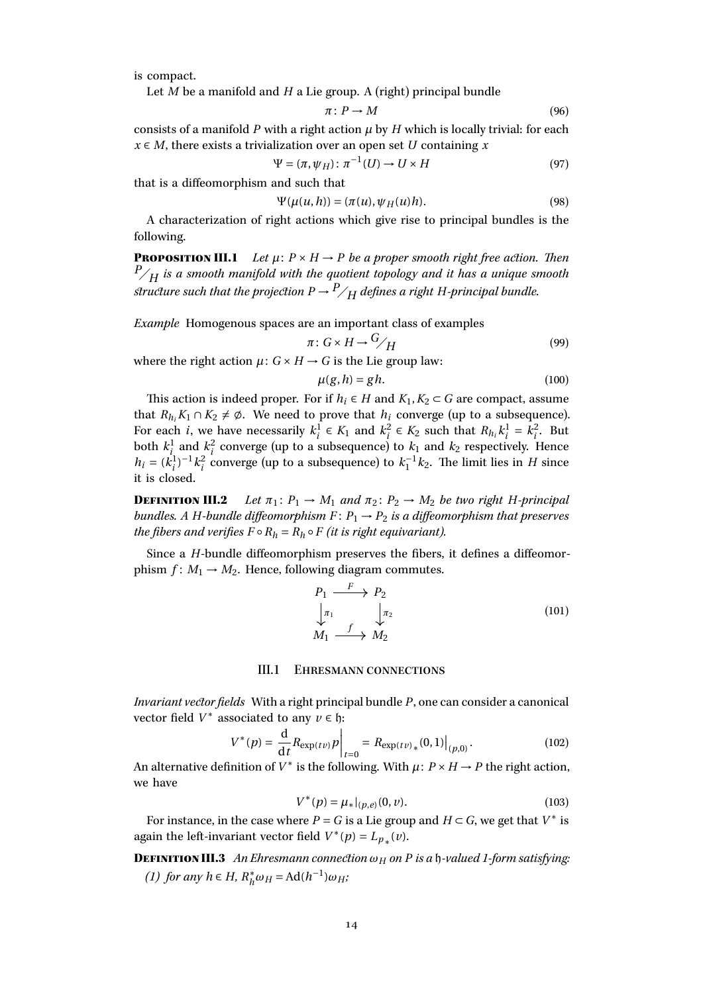is compact.

Let *M* be a manifold and *H* a Lie group. A (right) principal bundle

$$
\pi \colon P \to M \tag{96}
$$

consists of a manifold  $P$  with a right action  $\mu$  by  $H$  which is locally trivial: for each *x* ∈ *M*, there exists a trivialization over an open set *U* containing *x*

$$
\Psi = (\pi, \psi_H) \colon \pi^{-1}(U) \to U \times H \tag{97}
$$

that is a diffeomorphism and such that

$$
\Psi(\mu(u,h)) = (\pi(u), \psi_H(u)h). \tag{98}
$$

A characterization of right actions which give rise to principal bundles is the following.

**PROPOSITION III.1** *Let*  $\mu$ :  $P \times H \rightarrow P$  *be a proper smooth right free action. Then*  $P/H$  *is a smooth manifold with the quotient topology and it has a unique smooth structure such that the projection*  $P \rightarrow {^P}/_H$  *defines a right H-principal bundle.* 

*Example* Homogenous spaces are an important class of examples

$$
\pi: G \times H \to {}^G\!/_H \tag{99}
$$

where the right action  $\mu: G \times H \rightarrow G$  is the Lie group law:

$$
\mu(g, h) = gh. \tag{100}
$$

This action is indeed proper. For if  $h_i \in H$  and  $K_1, K_2 \subset G$  are compact, assume that  $R_{h_i} K_1 ∩ K_2 \neq \emptyset$ . We need to prove that  $h_i$  converge (up to a subsequence). For each *i*, we have necessarily  $k_i^1 \in K_1$  and  $k_i^2 \in K_2$  such that  $R_{h_i} k_i^1 = k_i^2$ . But both  $k_i^1$  and  $k_i^2$  converge (up to a subsequence) to  $k_1$  and  $k_2$  respectively. Hence  $h_i = (k_i^1)^{-1} k_i^2$  converge (up to a subsequence) to  $k_1^{-1} k_2$ . The limit lies in *H* since it is closed.

**DEFINITION III.2** Let  $\pi_1: P_1 \to M_1$  and  $\pi_2: P_2 \to M_2$  be two right *H*-principal *bundles. A H*-bundle diffeomorphism  $F: P_1 \rightarrow P_2$  is a diffeomorphism that preserves *the fibers and verifies*  $F \circ R_h = R_h \circ F$  *(it is right equivariant).* 

Since a *H*-bundle diffeomorphism preserves the fibers, it defines a diffeomorphism  $f: M_1 \rightarrow M_2$ . Hence, following diagram commutes.

$$
P_1 \xrightarrow{F} P_2
$$
  
\n
$$
\downarrow \pi_1
$$
  
\n
$$
M_1 \xrightarrow{f} M_2
$$
  
\n
$$
(101)
$$

#### III.1 Ehresmann connections

<span id="page-13-0"></span>*Invariant vector fields* With a right principal bundle *P*, one can consider a canonical vector field  $V^*$  associated to any  $v \in \mathfrak{h}$ :

$$
V^*(p) = \frac{d}{dt} R_{\exp(t\nu)} p \bigg|_{t=0} = R_{\exp(t\nu)_*}(0,1) \big|_{(p,0)}.
$$
 (102)

An alternative definition of  $V^*$  is the following. With  $\mu$ :  $P \times H \rightarrow P$  the right action, we have

$$
V^*(p) = \mu_*|_{(p,e)}(0,\nu). \tag{103}
$$

For instance, in the case where  $P = G$  is a Lie group and  $H \subset G$ , we get that  $V^*$  is again the left-invariant vector field  $V^*(p) = L_{p^*}(v)$ .

**DEFINITION III.3** An Ehresmann connection  $\omega_H$  on P is a h-valued 1-form satisfying: *(1) for any*  $h \in H$ *,*  $R_h^*$  $h^*_{h} \omega_H = \text{Ad}(h^{-1}) \omega_H;$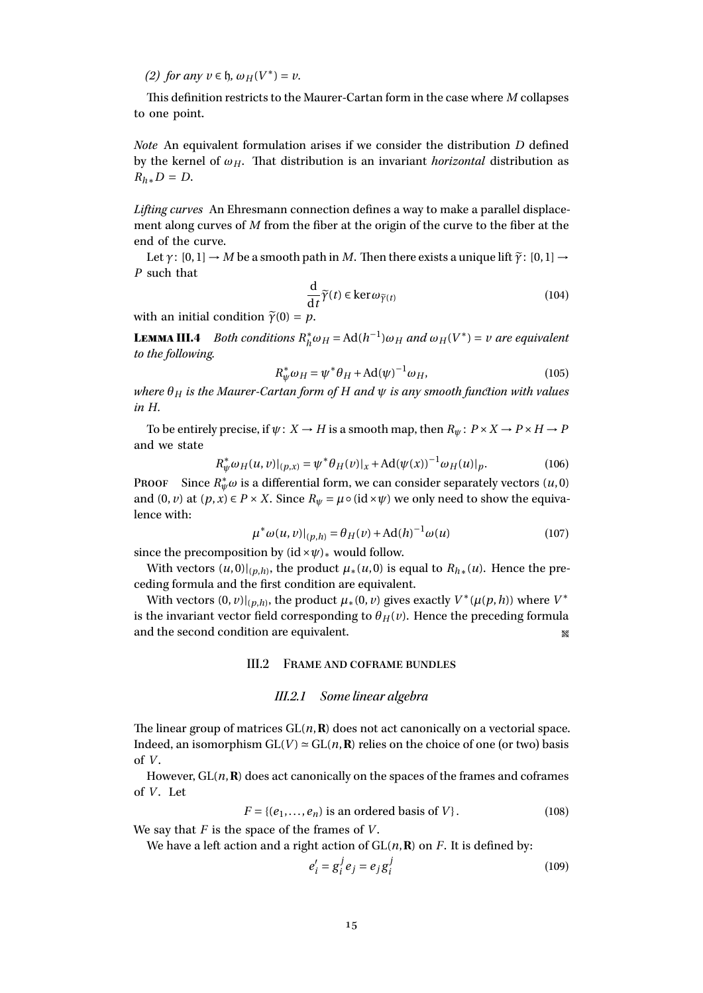*(2) for any v* ∈ *h*,  $ω$ *H*( $V^*$ ) = *v*.

This definition restricts to the Maurer-Cartan form in the case where *M* collapses to one point.

*Note* An equivalent formulation arises if we consider the distribution *D* defined by the kernel of  $\omega_H$ . That distribution is an invariant *horizontal* distribution as  $R_h$ <sup>∗</sup>*D* = *D*.

*Lifting curves* An Ehresmann connection defines a way to make a parallel displacement along curves of *M* from the fiber at the origin of the curve to the fiber at the end of the curve.

Let  $\gamma$ :  $[0,1] \rightarrow M$  be a smooth path in *M*. Then there exists a unique lift  $\tilde{\gamma}$ :  $[0,1] \rightarrow$ *P* such that

$$
\frac{\mathrm{d}}{\mathrm{d}t}\widetilde{\gamma}(t)\in\ker\omega_{\widetilde{\gamma}(t)}\tag{104}
$$

with an initial condition  $\tilde{\gamma}(0) = p$ .

<span id="page-14-1"></span>Lemma III.4 *Both conditions R* ∗  $\int_h^* \omega_H = \text{Ad}(h^{-1}) \omega_H$  *and*  $\omega_H(V^*) = v$  *are equivalent to the following.*

$$
R^*_{\psi}\omega_H = \psi^*\theta_H + \text{Ad}(\psi)^{-1}\omega_H, \tag{105}
$$

*where θ<sup>H</sup> is the Maurer-Cartan form of H and ψ is any smooth function with values in H.*

To be entirely precise, if  $\psi: X \to H$  is a smooth map, then  $R_{\psi}: P \times X \to P \times H \to P$ and we state

$$
R_{\psi}^{*}\omega_{H}(u,v)|_{(p,x)} = \psi^{*}\theta_{H}(v)|_{x} + \mathrm{Ad}(\psi(x))^{-1}\omega_{H}(u)|_{p}.
$$
 (106)

PROOF Since  $R^*_{\psi}\omega$  is a differential form, we can consider separately vectors  $(u, 0)$ and  $(0, v)$  at  $(p, x) \in P \times X$ . Since  $R_\psi = \mu \circ (\mathrm{id} \times \psi)$  we only need to show the equivalence with:

$$
\mu^* \omega(u, v)|_{(p,h)} = \theta_H(v) + \text{Ad}(h)^{-1} \omega(u) \tag{107}
$$

since the precomposition by  $(id \times \psi)_*$  would follow.

With vectors  $(u, 0)|_{(p,h)}$ , the product  $\mu_*(u, 0)$  is equal to  $R_{h*}(u)$ . Hence the preceding formula and the first condition are equivalent.

<span id="page-14-0"></span>With vectors  $(0, v)|_{(p,h)}$ , the product  $\mu_*(0, v)$  gives exactly  $V^*(\mu(p, h))$  where  $V^*$ is the invariant vector field corresponding to  $\theta_H(v)$ . Hence the preceding formula and the second condition are equivalent.

## III.2 Frame and coframe bundles

#### III.2.1 Some linear algebra

The linear group of matrices  $GL(n, \mathbb{R})$  does not act canonically on a vectorial space. Indeed, an isomorphism  $GL(V) \simeq GL(n, \mathbf{R})$  relies on the choice of one (or two) basis of *V* .

However,  $GL(n, \mathbb{R})$  does act canonically on the spaces of the frames and coframes of *V*. Let

$$
F = \{(e_1, \dots, e_n) \text{ is an ordered basis of } V\}. \tag{108}
$$

We say that *F* is the space of the frames of *V* .

We have a left action and a right action of  $GL(n, \mathbf{R})$  on *F*. It is defined by:

$$
e_i' = g_i^j e_j = e_j g_i^j \tag{109}
$$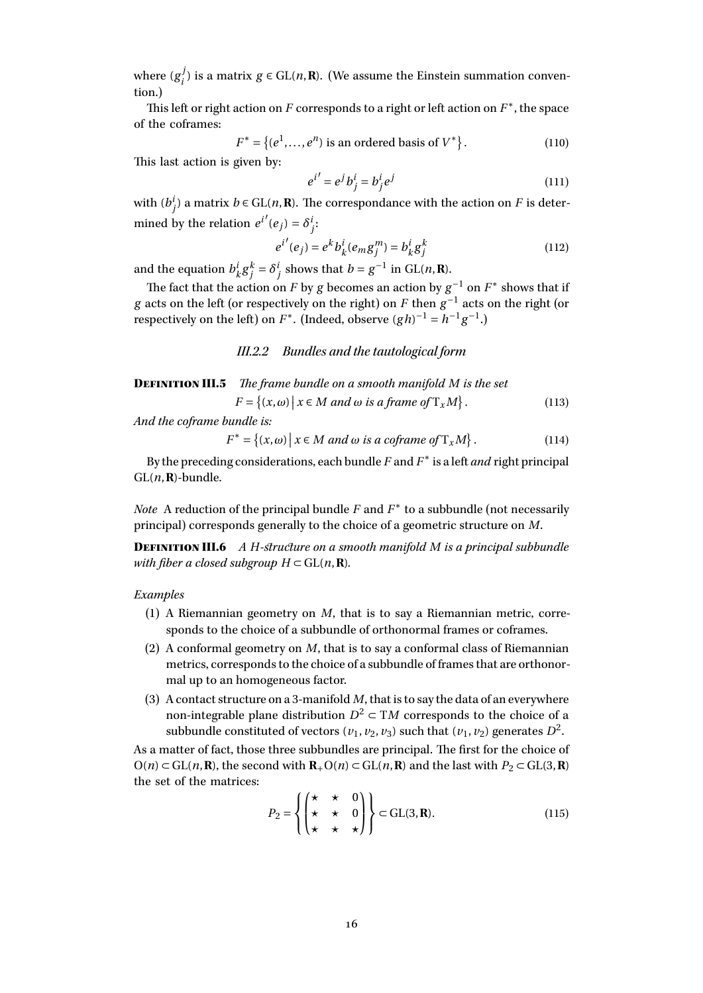where  $(g_i^j)$ *i*</sub><sup>*j*</sup> is a matrix *g* ∈ GL(*n*,**R**). (We assume the Einstein summation convention.)

This left or right action on  $F$  corresponds to a right or left action on  $F^*$ , the space of the coframes:

$$
F^* = \{(e^1, ..., e^n) \text{ is an ordered basis of } V^*\}.
$$
 (110)

This last action is given by:

$$
i' = e^j b^i_j = b^i_j e^j \tag{111}
$$

 $(113)$ 

with  $(b_j^i)$  a matrix  $b \in GL(n, \mathbf{R})$ . The correspondance with the action on *F* is determined by the relation  $e^{i'}(e_j) = \delta^i_j$ :

$$
e^{i'}(e_j) = e^k b_k^i (e_m g_j^m) = b_k^i g_j^k
$$
 (112)

and the equation *b i*  $\int_k^i g_j^k = \delta_j^i$  shows that *b* = *g*<sup>-1</sup> in GL(*n*, **R**).

*e*

The fact that the action on *F* by *g* becomes an action by  $g^{-1}$  on  $F^*$  shows that if *g* acts on the left (or respectively on the right) on *F* then  $g^{-1}$  acts on the right (or respectively on the left) on  $F^*$ . (Indeed, observe  $(gh)^{-1} = h^{-1}g^{-1}$ .)

III.2.2 Bundles and the tautological form

Definition III.5 *The frame bundle on a smooth manifold M is the set*  $F = \{(x, \omega) \mid x \in M \text{ and } \omega \text{ is a frame of } T_xM\}$ 

*And the coframe bundle is:*

$$
F^* = \{(x, \omega) \mid x \in M \text{ and } \omega \text{ is a coframe of } T_x M \}.
$$
 (114)

By the preceding considerations, each bundle  $F$  and  $F^*$  is a left *and* right principal  $GL(n, \mathbb{R})$ -bundle.

*Note* A reduction of the principal bundle *F* and *F* ∗ to a subbundle (not necessarily principal) corresponds generally to the choice of a geometric structure on *M*.

Definition III.6 *A H-structure on a smooth manifold M is a principal subbundle with fiber a closed subgroup*  $H \subset GL(n, \mathbb{R})$ *.* 

#### *Examples*

- (1) A Riemannian geometry on *M*, that is to say a Riemannian metric, corresponds to the choice of a subbundle of orthonormal frames or coframes.
- (2) A conformal geometry on *M*, that is to say a conformal class of Riemannian metrics, corresponds to the choice of a subbundle of frames that are orthonormal up to an homogeneous factor.
- (3) A contact structure on a 3-manifold *M*, that is to say the data of an everywhere non-integrable plane distribution  $D^2 \subset TM$  corresponds to the choice of a subbundle constituted of vectors  $(v_1, v_2, v_3)$  such that  $(v_1, v_2)$  generates  $D^2$ .

As a matter of fact, those three subbundles are principal. The first for the choice of  $O(n) \subset GL(n, \mathbf{R})$ , the second with  $\mathbf{R}_+O(n) \subset GL(n, \mathbf{R})$  and the last with  $P_2 \subset GL(3, \mathbf{R})$ the set of the matrices:  $\mathbb{R}^{\mathbb{Z}}$ 

$$
P_2 = \left\{ \begin{pmatrix} \star & \star & 0 \\ \star & \star & 0 \\ \star & \star & \star \end{pmatrix} \right\} \subset GL(3, \mathbf{R}).
$$
 (115)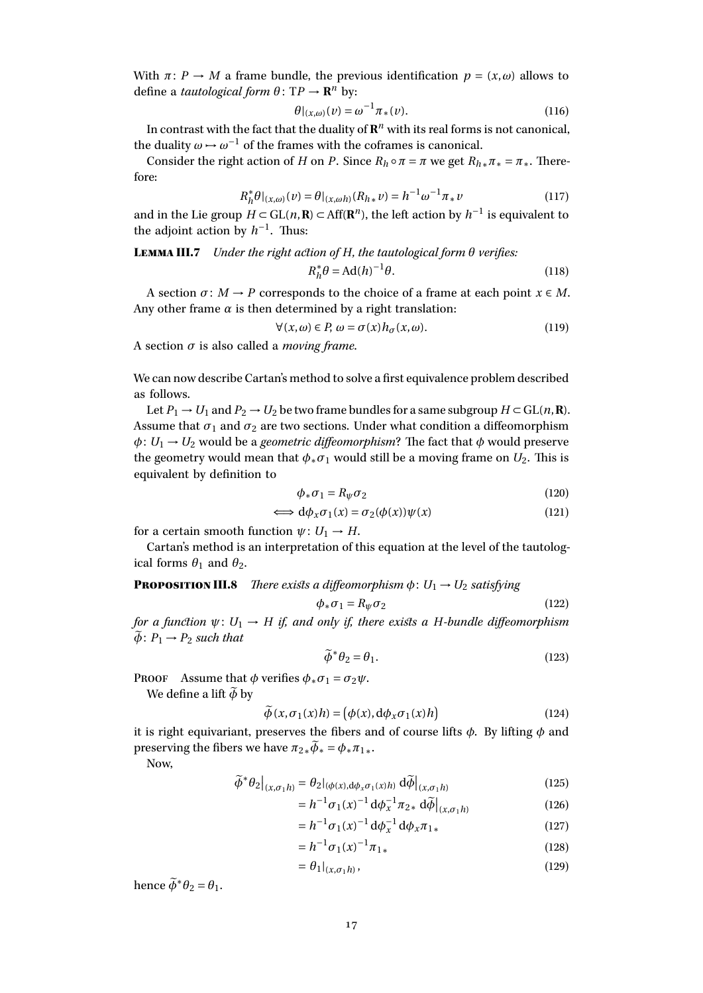With  $\pi: P \to M$  a frame bundle, the previous identification  $p = (x, \omega)$  allows to define a *tautological form*  $\theta \colon TP \to \mathbb{R}^n$  by:

$$
\theta|_{(x,\omega)}(\nu) = \omega^{-1} \pi_*(\nu). \tag{116}
$$

In contrast with the fact that the duality of  $\mathbf{R}^n$  with its real forms is not canonical, the duality  $\omega \mapsto \omega^{-1}$  of the frames with the coframes is canonical.

Consider the right action of *H* on *P*. Since  $R_h \circ \pi = \pi$  we get  $R_h * \pi * = \pi *$ . Therefore:

$$
R_h^* \theta|_{(x,\omega)}(\nu) = \theta|_{(x,\omega h)}(R_{h*}\nu) = h^{-1} \omega^{-1} \pi_* \nu \tag{117}
$$

and in the Lie group  $H$  ⊂ GL( $n$ **, R**) ⊂ Aff( $\mathbb{R}^n$ ), the left action by  $h^{-1}$  is equivalent to the adjoint action by  $h^{-1}$ . Thus:

<span id="page-16-0"></span>Lemma III.7 *Under the right action of H, the tautological form θ verifies:*

$$
R_h^* \theta = \text{Ad}(h)^{-1} \theta. \tag{118}
$$

A section  $\sigma: M \to P$  corresponds to the choice of a frame at each point  $x \in M$ . Any other frame  $\alpha$  is then determined by a right translation:

$$
\forall (x,\omega) \in P, \ \omega = \sigma(x)h_{\sigma}(x,\omega). \tag{119}
$$

A section *σ* is also called a *moving frame*.

We can now describe Cartan's method to solve a first equivalence problem described as follows.

Let  $P_1 \rightarrow U_1$  and  $P_2 \rightarrow U_2$  be two frame bundles for a same subgroup  $H \subset GL(n, \mathbb{R})$ . Assume that  $\sigma_1$  and  $\sigma_2$  are two sections. Under what condition a diffeomorphism  $\phi: U_1 \rightarrow U_2$  would be a *geometric diffeomorphism*? The fact that  $\phi$  would preserve the geometry would mean that  $\phi_* \sigma_1$  would still be a moving frame on  $U_2$ . This is equivalent by definition to

$$
\phi_* \sigma_1 = R_{\psi} \sigma_2 \tag{120}
$$

$$
\iff d\phi_x \sigma_1(x) = \sigma_2(\phi(x))\psi(x) \tag{121}
$$

for a certain smooth function  $\psi: U_1 \to H$ .

Cartan's method is an interpretation of this equation at the level of the tautological forms  $\theta_1$  and  $\theta_2$ .

**PROPOSITION III.8** *There exists a diffeomorphism*  $\phi$ :  $U_1 \rightarrow U_2$  *satisfying* 

$$
\phi_* \sigma_1 = R_\psi \sigma_2 \tag{122}
$$

*for a function*  $\psi: U_1 \to H$  *if, and only if, there exists a H-bundle diffeomorphism*  $\widetilde{\phi}$ :  $P_1 \rightarrow P_2$  *such that* 

$$
\widetilde{\phi}^* \theta_2 = \theta_1. \tag{123}
$$

PROOF Assume that  $\phi$  verifies  $\phi_* \sigma_1 = \sigma_2 \psi$ .

We define a lift  $\widetilde{\phi}$  by

$$
\widetilde{\phi}(x,\sigma_1(x)h) = (\phi(x), d\phi_x \sigma_1(x)h)
$$
\n(124)

it is right equivariant, preserves the fibers and of course lifts *φ*. By lifting *φ* and preserving the fibers we have  $\pi_{2*}\tilde{\phi}_* = \phi_*\pi_{1*}$ .

Now,

$$
\widetilde{\phi}^* \theta_2 \big|_{(x,\sigma_1 h)} = \theta_2 |_{(\phi(x), d\phi_x \sigma_1(x)h)} d\widetilde{\phi} \big|_{(x,\sigma_1 h)}
$$
(125)

$$
= h^{-1} \sigma_1(x)^{-1} d\phi_x^{-1} \pi_{2*} d\widetilde{\phi}\Big|_{(x,\sigma_1 h)}
$$
(126)

$$
= h^{-1} \sigma_1(x)^{-1} d\phi_x^{-1} d\phi_x \pi_{1*}
$$
 (127)

$$
=h^{-1}\sigma_1(x)^{-1}\pi_{1*} \tag{128}
$$

$$
= \theta_1|_{(x,\sigma_1 h)},\tag{129}
$$

hence  $\widetilde{\phi}^* \theta_2 = \theta_1$ .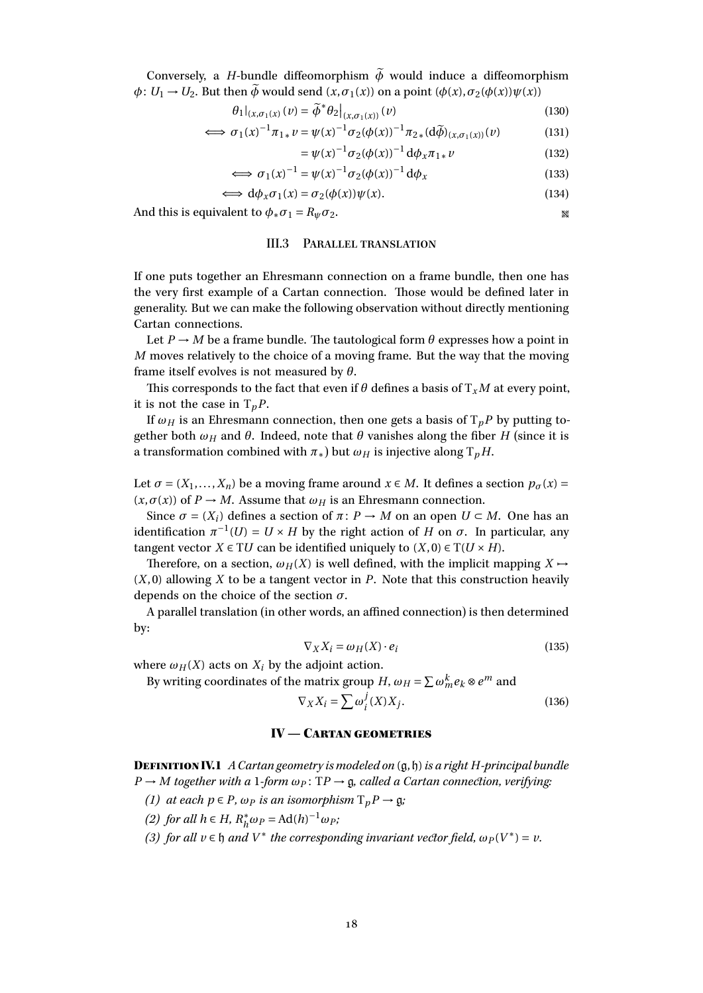Conversely, a *H*-bundle diffeomorphism  $\tilde{\phi}$  would induce a diffeomorphism  $\phi: U_1 \to U_2$ . But then  $\widetilde{\phi}$  would send  $(x, \sigma_1(x))$  on a point  $(\phi(x), \sigma_2(\phi(x))\psi(x))$ 

$$
\theta_1|_{(x,\sigma_1(x)}(v) = \widetilde{\phi}^* \theta_2|_{(x,\sigma_1(x))}(v)
$$
\n(130)

$$
\iff \sigma_1(x)^{-1}\pi_{1*}\nu = \psi(x)^{-1}\sigma_2(\phi(x))^{-1}\pi_{2*}(d\widetilde{\phi})_{(x,\sigma_1(x))}(\nu) \tag{131}
$$

$$
= \psi(x)^{-1} \sigma_2(\phi(x))^{-1} d\phi_x \pi_{1*} \nu \tag{132}
$$

$$
\iff \sigma_1(x)^{-1} = \psi(x)^{-1} \sigma_2(\phi(x))^{-1} d\phi_x \tag{133}
$$

$$
\iff d\phi_x \sigma_1(x) = \sigma_2(\phi(x))\psi(x). \tag{134}
$$

<span id="page-17-0"></span>And this is equivalent to  $\phi_* \sigma_1 = R_{\psi} \sigma_2$ .

#### III.3 Parallel translation

If one puts together an Ehresmann connection on a frame bundle, then one has the very first example of a Cartan connection. Those would be defined later in generality. But we can make the following observation without directly mentioning Cartan connections.

Let  $P \to M$  be a frame bundle. The tautological form  $\theta$  expresses how a point in *M* moves relatively to the choice of a moving frame. But the way that the moving frame itself evolves is not measured by *θ*.

This corresponds to the fact that even if  $\theta$  defines a basis of  $T_xM$  at every point, it is not the case in  $T_pP$ .

If  $\omega_H$  is an Ehresmann connection, then one gets a basis of  $T_pP$  by putting together both  $\omega_H$  and  $\theta$ . Indeed, note that  $\theta$  vanishes along the fiber *H* (since it is a transformation combined with  $\pi_*$ ) but  $\omega_H$  is injective along  $T_pH$ .

Let  $\sigma = (X_1, \ldots, X_n)$  be a moving frame around  $x \in M$ . It defines a section  $p_{\sigma}(x) =$  $(x, \sigma(x))$  of  $P \rightarrow M$ . Assume that  $\omega_H$  is an Ehresmann connection.

Since  $σ = (X_i)$  defines a section of  $π: P \rightarrow M$  on an open  $U \subset M$ . One has an identification  $\pi^{-1}(U) = U \times H$  by the right action of *H* on  $\sigma$ . In particular, any tangent vector  $X \in TU$  can be identified uniquely to  $(X, 0) \in T(U \times H)$ .

Therefore, on a section,  $\omega_H(X)$  is well defined, with the implicit mapping  $X \rightarrow$ (*X*, 0) allowing *X* to be a tangent vector in *P*. Note that this construction heavily depends on the choice of the section *σ*.

A parallel translation (in other words, an affined connection) is then determined by:

$$
\nabla_X X_i = \omega_H(X) \cdot e_i \tag{135}
$$

where  $\omega_H(X)$  acts on  $X_i$  by the adjoint action.

By writing coordinates of the matrix group *H*,  $\omega_H = \sum \omega_m^k e_k \otimes e^m$  and

$$
\nabla_X X_i = \sum \omega_i^j(X) X_j. \tag{136}
$$

## IV — Cartan geometries

<span id="page-17-1"></span>DefinitionIV.1 *A Cartan geometry is modeled on* (g,h)*is a right H-principal bundle P* → *M together with a* 1*-form*  $ω<sub>P</sub>$ : T*P* → *g, called a Cartan connection, verifying*:

- *(1) at each*  $p \in P$ *,*  $\omega_P$  *is an isomorphism*  $T_p P \rightarrow \mathfrak{g}$ *;*
- *(2) for all*  $h \in H$ *,*  $R_h^*$  $h^* \omega_P = \text{Ad}(h)^{-1} \omega_P;$
- *(3) for all*  $v \in \mathfrak{h}$  *and*  $V^*$  *the corresponding invariant vector field,*  $\omega_P(V^*) = v$ .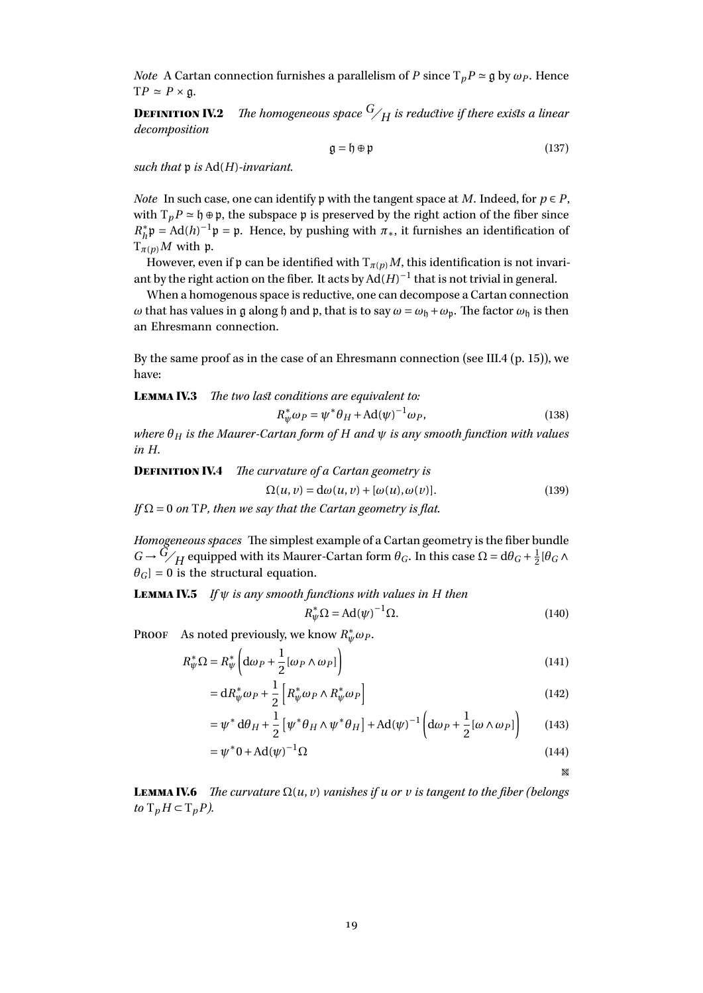*Note* A Cartan connection furnishes a parallelism of *P* since  $T_p P \approx \mathfrak{g}$  by  $\omega_p$ . Hence  $TP \simeq P \times \mathfrak{g}.$ 

**DEFINITION IV.2** *The homogeneous space*  $G/H$  *is reductive if there exists a linear decomposition*

$$
\mathfrak{g} = \mathfrak{h} \oplus \mathfrak{p} \tag{137}
$$

*such that* p *is* Ad(*H*)*-invariant.*

*Note* In such case, one can identify p with the tangent space at *M*. Indeed, for  $p \in P$ , with  $T_pP \approx \mathfrak{h} \oplus \mathfrak{p}$ , the subspace  $\mathfrak{p}$  is preserved by the right action of the fiber since *R* ∗  $h h$ <sup>+</sup> $p$  = Ad(*h*)<sup>-1</sup> $p$  =  $p$ . Hence, by pushing with  $\pi$ <sup>\*</sup>, it furnishes an identification of  $T_{\pi(p)}M$  with p.

However, even if p can be identified with  $T_{\pi(p)}M$ , this identification is not invariant by the right action on the fiber. It acts by  $Ad(H)^{-1}$  that is not trivial in general.

When a homogenous space is reductive, one can decompose a Cartan connection *ω* that has values in g along h and p, that is to say  $ω = ω_h + ω_p$ . The factor  $ω_h$  is then an Ehresmann connection.

By the same proof as in the case of an Ehresmann connection (see [III.4](#page-14-1) (p. [15\)](#page-14-1)), we have:

Lemma IV.3 *The two last conditions are equivalent to:*

$$
R^*_{\psi}\omega_P = \psi^*\theta_H + \text{Ad}(\psi)^{-1}\omega_P,\tag{138}
$$

*where θ<sup>H</sup> is the Maurer-Cartan form of H and ψ is any smooth function with values in H.*

**DEFINITION IV.4** *The curvature of a Cartan geometry is*  $\Omega(u, v) = d\omega(u, v) + [\omega(u), \omega(v)].$  (139) *If* Ω = 0 *on* T*P, then we say that the Cartan geometry is flat.*

*Homogeneous spaces* The simplest example of a Cartan geometry is the fiber bundle  $G \rightarrow G/H$  equipped with its Maurer-Cartan form  $\theta_G$ . In this case  $\Omega = d\theta_G + \frac{1}{2}$  $\frac{1}{2}$ [θ<sub>*G*</sub> Λ  $\theta$ <sup>*G*</sup> $]$  = 0 is the structural equation.

Lemma IV.5 *If ψ is any smooth functions with values in H then*

$$
R_{\psi}^* \Omega = \text{Ad}(\psi)^{-1} \Omega. \tag{140}
$$

PROOF As noted previously, we know  $R^*_\psi\omega_P$ .

$$
R_{\psi}^* \Omega = R_{\psi}^* \left( d\omega_P + \frac{1}{2} [\omega_P \wedge \omega_P] \right)
$$
 (141)

$$
= \mathrm{d}R_{\psi}^* \omega_P + \frac{1}{2} \left[ R_{\psi}^* \omega_P \wedge R_{\psi}^* \omega_P \right] \tag{142}
$$

$$
= \psi^* d\theta_H + \frac{1}{2} \left[ \psi^* \theta_H \wedge \psi^* \theta_H \right] + \mathrm{Ad}(\psi)^{-1} \left( d\omega_P + \frac{1}{2} [\omega \wedge \omega_P] \right) \tag{143}
$$

$$
=\psi^*0 + \mathrm{Ad}(\psi)^{-1}\Omega\tag{144}
$$

 $\mathcal{R}$ 

**LEMMA IV.6** *The curvature*  $\Omega(u, v)$  *vanishes if u* or *v is tangent to the fiber (belongs*) *to*  $T_p$ *H* ⊂  $T_p$ *P).*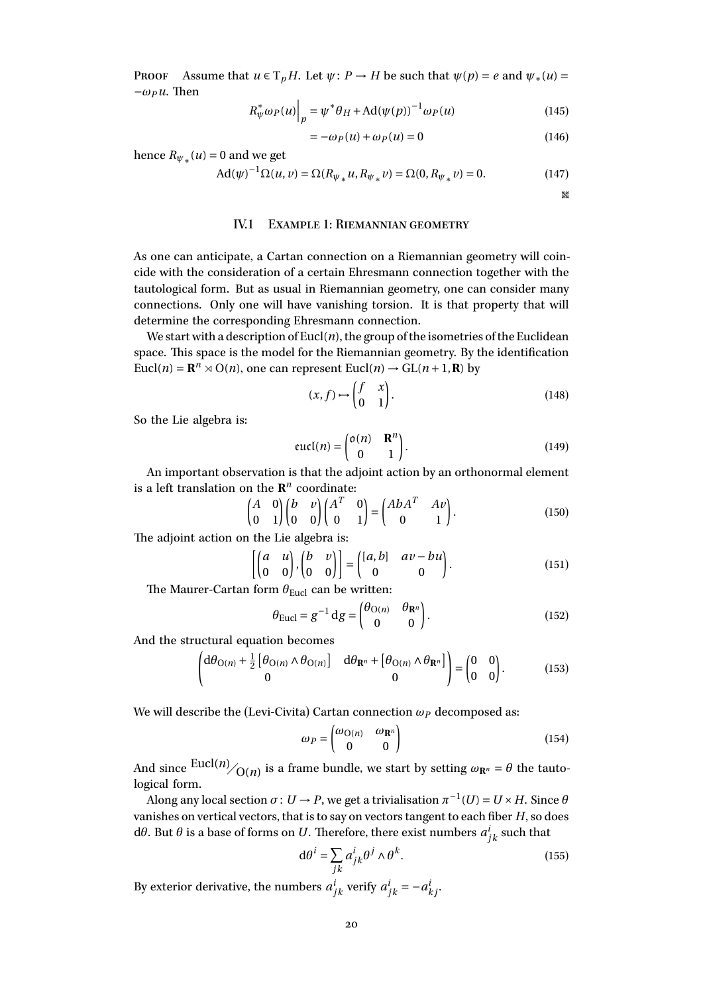Proof Assume that  $u \in T_pH$ . Let  $\psi: P \to H$  be such that  $\psi(p) = e$  and  $\psi_*(u) =$  $-\omega_P u$ . Then

$$
R_{\psi}^{*}\omega_{P}(u)\Big|_{p} = \psi^{*}\theta_{H} + \mathrm{Ad}(\psi(p))^{-1}\omega_{P}(u)
$$
\n(145)

$$
= -\omega_P(u) + \omega_P(u) = 0 \tag{146}
$$

hence  $R_{\psi_*}(u) = 0$  and we get

$$
Ad(\psi)^{-1} \Omega(u, v) = \Omega(R_{\psi_*} u, R_{\psi_*} v) = \Omega(0, R_{\psi_*} v) = 0.
$$
 (147)

**W** 

#### IV.1 Example 1: Riemannian geometry

<span id="page-19-0"></span>As one can anticipate, a Cartan connection on a Riemannian geometry will coincide with the consideration of a certain Ehresmann connection together with the tautological form. But as usual in Riemannian geometry, one can consider many connections. Only one will have vanishing torsion. It is that property that will determine the corresponding Ehresmann connection.

We start with a description of  $Eucl(n)$ , the group of the isometries of the Euclidean space. This space is the model for the Riemannian geometry. By the identification Eucl(*n*) =  $\mathbb{R}^n \times O(n)$ , one can represent Eucl(*n*)  $\rightarrow$  GL(*n* + 1, **R**) by

$$
(x,f) \mapsto \begin{pmatrix} f & x \\ 0 & 1 \end{pmatrix}.
$$
 (148)

So the Lie algebra is:

$$
eucl(n) = \begin{pmatrix} o(n) & \mathbf{R}^n \\ 0 & 1 \end{pmatrix}.
$$
 (149)

An important observation is that the adjoint action by an orthonormal element is a left translation on the  $\mathbb{R}^n$  coordinate:

$$
\begin{pmatrix} A & 0 \ 0 & 1 \end{pmatrix} \begin{pmatrix} b & v \ 0 & 0 \end{pmatrix} \begin{pmatrix} A^T & 0 \ 0 & 1 \end{pmatrix} = \begin{pmatrix} AbA^T & Av \ 0 & 1 \end{pmatrix}.
$$
 (150)

The adjoint action on the Lie algebra is:

$$
\begin{bmatrix} \begin{pmatrix} a & u \\ 0 & 0 \end{pmatrix}, \begin{pmatrix} b & v \\ 0 & 0 \end{pmatrix} \end{bmatrix} = \begin{pmatrix} \begin{bmatrix} a, b \end{bmatrix} & a v - b u \\ 0 & 0 \end{pmatrix}.
$$
 (151)

The Maurer-Cartan form  $\theta_{Eucl}$  can be written:

$$
\theta_{\text{Eucl}} = g^{-1} \, \mathrm{d}g = \begin{pmatrix} \theta_{\text{O}(n)} & \theta_{\mathbf{R}^n} \\ 0 & 0 \end{pmatrix} . \tag{152}
$$

And the structural equation becomes

$$
\begin{pmatrix} d\theta_{O(n)} + \frac{1}{2} \left[ \theta_{O(n)} \wedge \theta_{O(n)} \right] & d\theta_{\mathbf{R}^n} + \left[ \theta_{O(n)} \wedge \theta_{\mathbf{R}^n} \right] \\ 0 & 0 \end{pmatrix} = \begin{pmatrix} 0 & 0 \\ 0 & 0 \end{pmatrix}.
$$
 (153)

We will describe the (Levi-Civita) Cartan connection *ω<sup>P</sup>* decomposed as:

$$
\omega_P = \begin{pmatrix} \omega_{\mathcal{O}(n)} & \omega_{\mathbf{R}^n} \\ 0 & 0 \end{pmatrix} \tag{154}
$$

And since  $\frac{\text{Eucl}(n)}{\text{O}(n)}$  is a frame bundle, we start by setting  $\omega_{\mathbf{R}^n} = \theta$  the tautological form.

Along any local section  $\sigma\colon U\to P,$  we get a trivialisation  $\pi^{-1}(U)=U\times H.$  Since  $\theta$ vanishes on vertical vectors, that is to say on vectors tangent to each fiber *H*, so does dθ. But θ is a base of forms on *U*. Therefore, there exist numbers  $a_{jk}^i$  such that

$$
d\theta^{i} = \sum_{jk} a_{jk}^{i} \theta^{j} \wedge \theta^{k}.
$$
 (155)

By exterior derivative, the numbers  $a_{jk}^i$  verify  $a_{jk}^i = -a_{kj}^i$ .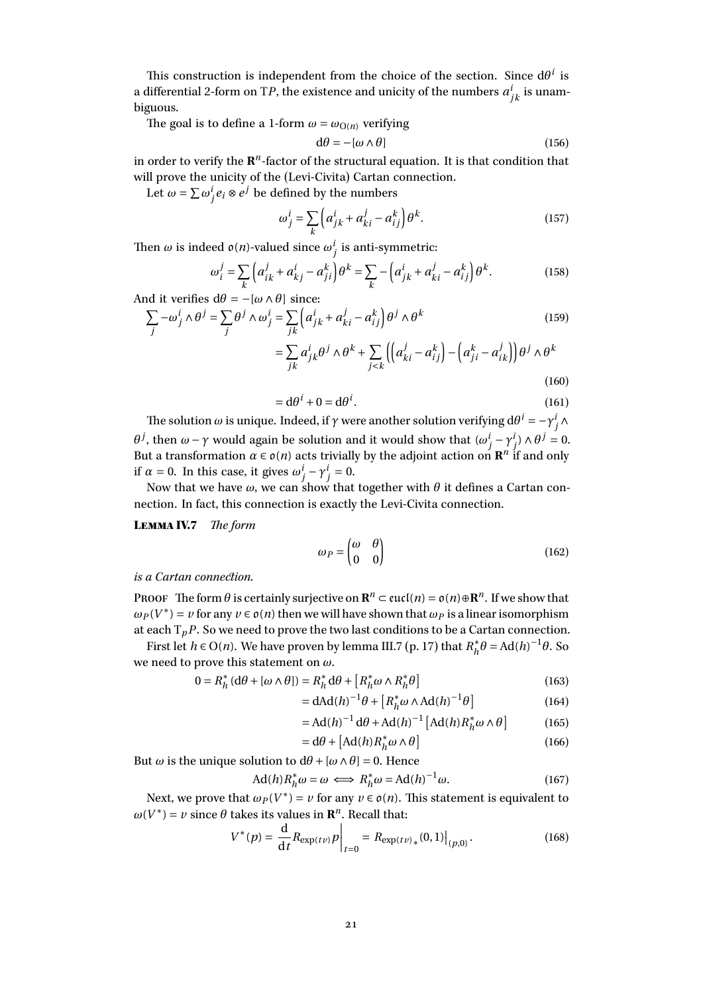This construction is independent from the choice of the section. Since  $d\theta^i$  is a differential 2-form on T*P*, the existence and unicity of the numbers  $a^i_{jk}$  is unambiguous.

The goal is to define a 1-form  $\omega = \omega_{O(n)}$  verifying

$$
d\theta = -[\omega \wedge \theta] \tag{156}
$$

in order to verify the  $\mathbf{R}^n$ -factor of the structural equation. It is that condition that will prove the unicity of the (Levi-Civita) Cartan connection.

Let  $\omega = \sum \omega_j^i e_i \otimes e^j$  be defined by the numbers

$$
\omega_j^i = \sum_k \left( a_{jk}^i + a_{ki}^j - a_{ij}^k \right) \theta^k. \tag{157}
$$

Then  $ω$  is indeed  $o(n)$ -valued since  $ω_j^i$  is anti-symmetric:

$$
\omega_{i}^{j} = \sum_{k} \left( a_{ik}^{j} + a_{kj}^{i} - a_{ji}^{k} \right) \theta^{k} = \sum_{k} - \left( a_{jk}^{i} + a_{ki}^{j} - a_{ij}^{k} \right) \theta^{k}.
$$
 (158)

And it verifies  $d\theta = -[\omega \wedge \theta]$  since:

$$
\sum_{j} -\omega_{j}^{i} \wedge \theta^{j} = \sum_{j} \theta^{j} \wedge \omega_{j}^{i} = \sum_{jk} \left( a_{jk}^{i} + a_{ki}^{j} - a_{ij}^{k} \right) \theta^{j} \wedge \theta^{k}
$$
(159)

$$
= \sum_{jk} a_{jk}^{i} \theta^{j} \wedge \theta^{k} + \sum_{j < k} \left( \left( a_{ki}^{j} - a_{ij}^{k} \right) - \left( a_{ji}^{k} - a_{ik}^{j} \right) \right) \theta^{j} \wedge \theta^{k}
$$
\n(160)

$$
= d\theta^i + 0 = d\theta^i. \tag{161}
$$

The solution  $ω$  is unique. Indeed, if  $γ$  were another solution verifying d $θ^i = -γ^i_j ∧$ *θ*<sup>*j*</sup>, then *ω* − *γ* would again be solution and it would show that  $(ω_j^i − γ_j^i) ∧ θ^j = 0$ . But a transformation  $\alpha \in o(n)$  acts trivially by the adjoint action on  $\mathbb{R}^n$  if and only if  $\alpha = 0$ . In this case, it gives  $\omega_j^i - \gamma_j^i = 0$ .

Now that we have  $\omega$ , we can show that together with  $\theta$  it defines a Cartan connection. In fact, this connection is exactly the Levi-Civita connection.

Lemma IV.7 *The form*

$$
\omega_P = \begin{pmatrix} \omega & \theta \\ 0 & 0 \end{pmatrix} \tag{162}
$$

#### *is a Cartan connection.*

PROOF The form  $\theta$  is certainly surjective on  $\mathbb{R}^n \subset \text{eucl}(n) = \mathfrak{o}(n) \oplus \mathbb{R}^n$ . If we show that  $\omega_P(V^*) = v$  for any  $v \in o(n)$  then we will have shown that  $\omega_P$  is a linear isomorphism at each  $T_pP$ . So we need to prove the two last conditions to be a Cartan connection.

First let *h*  $\in$  O(*n*). We have proven by lemma [III.7](#page-16-0) (p. [17\)](#page-16-0) that  $R_h^*$  $h_h^* \theta = \text{Ad}(h)^{-1} \theta$ . So we need to prove this statement on *ω*.

$$
0 = R_h^* \left( d\theta + [\omega \wedge \theta] \right) = R_h^* d\theta + \left[ R_h^* \omega \wedge R_h^* \theta \right] \tag{163}
$$

$$
= dAd(h)^{-1}\theta + \left[R_h^*\omega \wedge Ad(h)^{-1}\theta\right]
$$
 (164)

$$
= \operatorname{Ad}(h)^{-1} \operatorname{d}\theta + \operatorname{Ad}(h)^{-1} \left[ \operatorname{Ad}(h) R_h^* \omega \wedge \theta \right] \tag{165}
$$

$$
= d\theta + [Ad(h)R_h^* \omega \wedge \theta]
$$
 (166)

But *ω* is the unique solution to d*θ* +[*ω*∧*θ*] = 0. Hence

$$
Ad(h)R_h^*\omega = \omega \iff R_h^*\omega = Ad(h)^{-1}\omega.
$$
 (167)

Next, we prove that  $\omega_P(V^*) = \nu$  for any  $\nu \in \mathfrak{o}(n)$ . This statement is equivalent to  $\omega(V^*) = v$  since  $\theta$  takes its values in  $\mathbf{R}^n$ . Recall that:

$$
V^*(p) = \frac{d}{dt} R_{\exp(t\nu)} p \bigg|_{t=0} = R_{\exp(t\nu)_*}(0,1) \bigg|_{(p,0)}.
$$
 (168)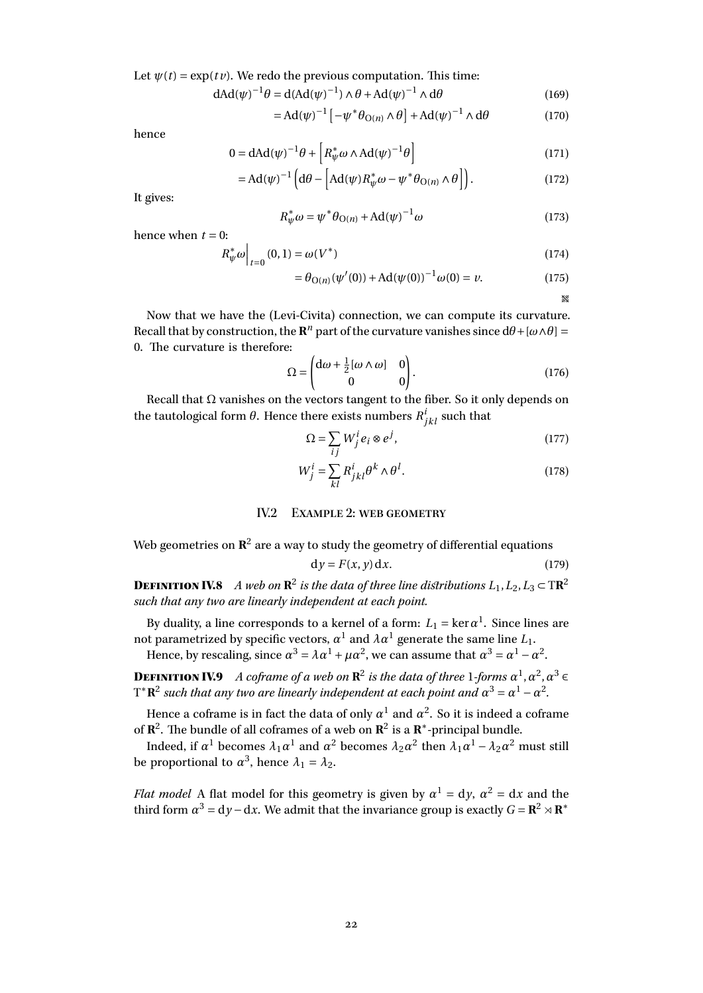Let  $\psi(t) = \exp(t \nu)$ . We redo the previous computation. This time:

$$
dAd(\psi)^{-1}\theta = d(Ad(\psi)^{-1}) \wedge \theta + Ad(\psi)^{-1} \wedge d\theta \tag{169}
$$

$$
= \mathrm{Ad}(\psi)^{-1} \left[ -\psi^* \theta_{\mathrm{O}(n)} \wedge \theta \right] + \mathrm{Ad}(\psi)^{-1} \wedge \mathrm{d}\theta \tag{170}
$$

hence

$$
0 = dAd(\psi)^{-1} \theta + \left[ R_{\psi}^{*} \omega \wedge Ad(\psi)^{-1} \theta \right]
$$
 (171)

$$
= \mathrm{Ad}(\psi)^{-1} \Big( \mathrm{d}\theta - \Big[ \mathrm{Ad}(\psi) R_{\psi}^* \omega - \psi^* \theta_{\mathrm{O}(n)} \wedge \theta \Big] \Big). \tag{172}
$$

It gives:

$$
R_{\psi}^* \omega = \psi^* \theta_{\text{O}(n)} + \text{Ad}(\psi)^{-1} \omega \tag{173}
$$

hence when  $t = 0$ :

$$
R_{\psi}^* \omega \Big|_{t=0} (0,1) = \omega(V^*) \tag{174}
$$

$$
= \theta_{O(n)}(\psi'(0)) + Ad(\psi(0))^{-1}\omega(0) = \nu.
$$
 (175)

egi

Now that we have the (Levi-Civita) connection, we can compute its curvature. Recall that by construction, the  $\mathbb{R}^n$  part of the curvature vanishes since  $d\theta + [\omega \wedge \theta] =$ 0. The curvature is therefore:

$$
\Omega = \begin{pmatrix} d\omega + \frac{1}{2} [\omega \wedge \omega] & 0 \\ 0 & 0 \end{pmatrix} .
$$
 (176)

Recall that  $\Omega$  vanishes on the vectors tangent to the fiber. So it only depends on the tautological form  $\theta$ . Hence there exists numbers  $R^i_{jkl}$  such that

$$
\Omega = \sum_{ij} W_j^i e_i \otimes e^j,\tag{177}
$$

$$
W_j^i = \sum_{kl} R_{jkl}^i \theta^k \wedge \theta^l.
$$
 (178)

#### IV.2 Example 2: web geometry

<span id="page-21-0"></span>Web geometries on 
$$
\mathbb{R}^2
$$
 are a way to study the geometry of differential equations  
\n
$$
dy = F(x, y) dx.
$$
\n(179)

**DEFINITION IV.8** A web on  $\mathbb{R}^2$  is the data of three line distributions  $L_1, L_2, L_3 \subset \mathbb{T} \mathbb{R}^2$ *such that any two are linearly independent at each point.*

By duality, a line corresponds to a kernel of a form:  $L_1 = \ker \alpha^1.$  Since lines are not parametrized by specific vectors,  $\alpha^1$  and  $\lambda\alpha^1$  generate the same line  $L_1.$ Hence, by rescaling, since  $\alpha^3 = \lambda \alpha^1 + \mu \alpha^2$ , we can assume that  $\alpha^3 = \alpha^1 - \alpha^2$ .

**DEFINITION IV.9** A coframe of a web on  $\mathbb{R}^2$  is the data of three 1-forms  $\alpha^1, \alpha^2, \alpha^3 \in$  $T^*{\bf R}^2$  such that any two are linearly independent at each point and  $\alpha^3 = \alpha^1 - \alpha^2$ *.*

Hence a coframe is in fact the data of only  $\alpha^1$  and  $\alpha^2.$  So it is indeed a coframe of  $\mathbb{R}^2$ . The bundle of all coframes of a web on  $\mathbb{R}^2$  is a  $\mathbb{R}^*$ -principal bundle.

Indeed, if  $\alpha^1$  becomes  $\lambda_1\alpha^1$  and  $\alpha^2$  becomes  $\lambda_2\alpha^2$  then  $\lambda_1\alpha^1$  –  $\lambda_2\alpha^2$  must still be proportional to  $\alpha^3$ , hence  $\lambda_1 = \lambda_2$ .

*Flat model* A flat model for this geometry is given by  $\alpha^1 = dy$ ,  $\alpha^2 = dx$  and the third form  $\alpha^3 = dy - dx$ . We admit that the invariance group is exactly  $G = \mathbb{R}^2 \rtimes \mathbb{R}^*$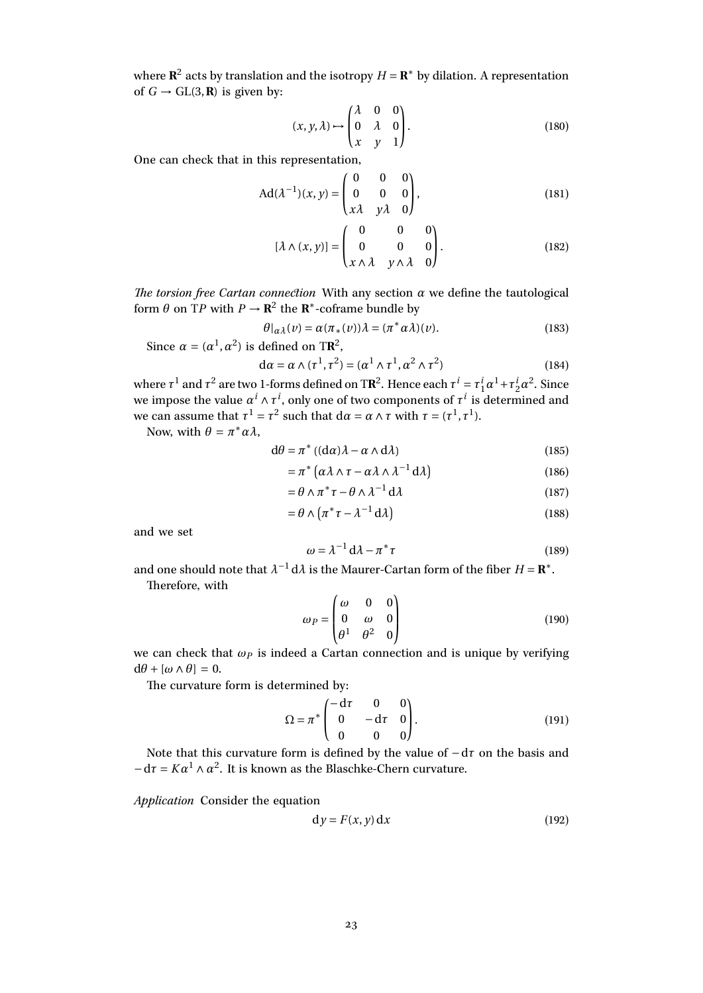where  $\mathbb{R}^2$  acts by translation and the isotropy  $H = \mathbb{R}^*$  by dilation. A representation of  $G \rightarrow GL(3, \mathbf{R})$  is given by:

$$
(x, y, \lambda) \mapsto \begin{pmatrix} \lambda & 0 & 0 \\ 0 & \lambda & 0 \\ x & y & 1 \end{pmatrix}.
$$
 (180)

One can check that in this representation,

$$
Ad(\lambda^{-1})(x, y) = \begin{pmatrix} 0 & 0 & 0 \\ 0 & 0 & 0 \\ x\lambda & y\lambda & 0 \end{pmatrix},
$$
 (181)

$$
[\lambda \wedge (x, y)] = \begin{pmatrix} 0 & 0 & 0 \\ 0 & 0 & 0 \\ x \wedge \lambda & y \wedge \lambda & 0 \end{pmatrix}.
$$
 (182)

*The torsion free Cartan connection* With any section  $\alpha$  we define the tautological form  $\theta$  on TP with  $P \to \mathbb{R}^2$  the  $\mathbb{R}^*$ -coframe bundle by

$$
\theta|_{\alpha\lambda}(v) = \alpha(\pi_*(v))\lambda = (\pi^*\alpha\lambda)(v).
$$
\n(183)

Since 
$$
\alpha = (\alpha^1, \alpha^2)
$$
 is defined on TR<sup>2</sup>,

$$
d\alpha = \alpha \wedge (\tau^1, \tau^2) = (\alpha^1 \wedge \tau^1, \alpha^2 \wedge \tau^2)
$$
 (184)

where  $\tau^1$  and  $\tau^2$  are two 1-forms defined on TR<sup>2</sup>. Hence each  $\tau^i = \tau^i_1 \alpha^1 + \tau^i_2 \alpha^2$ . Since we impose the value  $\alpha^i \wedge \tau^i,$  only one of two components of  $\tau^i$  is determined and we can assume that  $\tau^1 = \tau^2$  such that  $d\alpha = \alpha \wedge \tau$  with  $\tau = (\tau^1, \tau^1)$ .

Now, with  $\theta = \pi^* \alpha \lambda$ ,

$$
d\theta = \pi^* ((d\alpha)\lambda - \alpha \wedge d\lambda)
$$
 (185)

$$
= \pi^* \left( \alpha \lambda \wedge \tau - \alpha \lambda \wedge \lambda^{-1} \, d\lambda \right) \tag{186}
$$

$$
= \theta \wedge \pi^* \tau - \theta \wedge \lambda^{-1} d\lambda \tag{187}
$$

$$
= \theta \wedge (\pi^* \tau - \lambda^{-1} d\lambda) \tag{188}
$$

and we set

$$
\omega = \lambda^{-1} d\lambda - \pi^* \tau \tag{189}
$$

and one should note that  $\lambda^{-1} d\lambda$  is the Maurer-Cartan form of the fiber  $H = \mathbf{R}^*$ . Therefore, with

$$
\omega_P = \begin{pmatrix} \omega & 0 & 0 \\ 0 & \omega & 0 \\ \theta^1 & \theta^2 & 0 \end{pmatrix} \tag{190}
$$

we can check that  $\omega_P$  is indeed a Cartan connection and is unique by verifying  $dθ + [ω ∧ θ] = 0.$ 

The curvature form is determined by:

$$
\Omega = \pi^* \begin{pmatrix} -d\tau & 0 & 0 \\ 0 & -d\tau & 0 \\ 0 & 0 & 0 \end{pmatrix} . \tag{191}
$$

Note that this curvature form is defined by the value of −d*τ* on the basis and  $-d\tau = K\alpha^1 \wedge \alpha^2$ . It is known as the Blaschke-Chern curvature.

*Application* Consider the equation

$$
dy = F(x, y) dx
$$
 (192)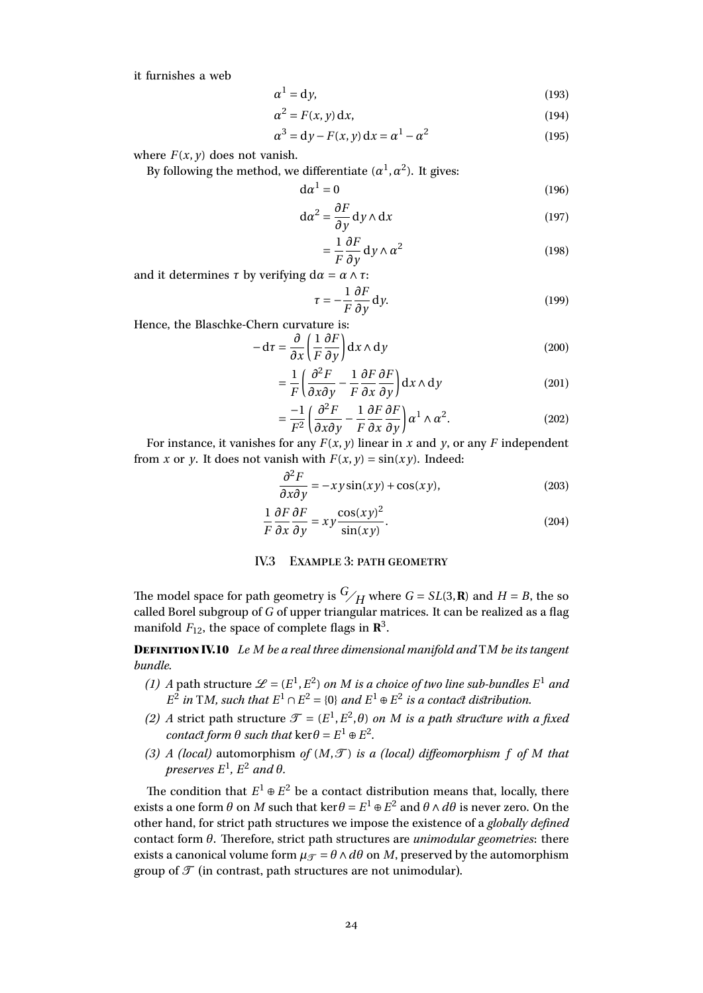it furnishes a web

$$
\alpha^1 = \mathrm{d}\, y,\tag{193}
$$

$$
\alpha^2 = F(x, y) \, \mathrm{d}x,\tag{194}
$$

$$
\alpha^3 = \mathrm{d}y - F(x, y)\,\mathrm{d}x = \alpha^1 - \alpha^2\tag{195}
$$

where  $F(x, y)$  does not vanish.

By following the method, we differentiate  $(\alpha^1,\alpha^2)$ . It gives:

$$
d\alpha^1 = 0 \tag{196}
$$

$$
d\alpha^2 = \frac{\partial F}{\partial y} dy \wedge dx \qquad (197)
$$

$$
=\frac{1}{F}\frac{\partial F}{\partial y}\,\mathrm{d}y\wedge\alpha^2\tag{198}
$$

and it determines  $\tau$  by verifying d $\alpha = \alpha \wedge \tau$ :

$$
\tau = -\frac{1}{F} \frac{\partial F}{\partial y} dy.
$$
 (199)

Hence, the Blaschke-Chern curvature is:

$$
-d\tau = \frac{\partial}{\partial x} \left( \frac{1}{F} \frac{\partial F}{\partial y} \right) dx \wedge dy \qquad (200)
$$

$$
= \frac{1}{F} \left( \frac{\partial^2 F}{\partial x \partial y} - \frac{1}{F} \frac{\partial F}{\partial x} \frac{\partial F}{\partial y} \right) dx \wedge dy \qquad (201)
$$

$$
= \frac{-1}{F^2} \left( \frac{\partial^2 F}{\partial x \partial y} - \frac{1}{F} \frac{\partial F}{\partial x} \frac{\partial F}{\partial y} \right) \alpha^1 \wedge \alpha^2.
$$
 (202)

For instance, it vanishes for any  $F(x, y)$  linear in *x* and *y*, or any *F* independent from *x* or *y*. It does not vanish with  $F(x, y) = \sin(xy)$ . Indeed:

$$
\frac{\partial^2 F}{\partial x \partial y} = -xy \sin(xy) + \cos(xy),\tag{203}
$$

$$
\frac{1}{F}\frac{\partial F}{\partial x}\frac{\partial F}{\partial y} = xy\frac{\cos(xy)^2}{\sin(xy)}.
$$
\n(204)

## IV.3 Example 3: path geometry

<span id="page-23-0"></span>The model space for path geometry is  $G/H$  where  $G = SL(3, \mathbb{R})$  and  $H = B$ , the so called Borel subgroup of *G* of upper triangular matrices. It can be realized as a flag manifold  $F_{12}$ , the space of complete flags in  $\mathbf{R}^3$ .

DefinitionIV.10 *Le M be a real three dimensional manifold and* T*M be its tangent bundle.*

- *(1) A* path structure  $\mathscr{L} = (E^1, E^2)$  *on M is a choice of two line sub-bundles*  $E^1$  *and*  $E^2$  *in* T*M, such that*  $E^1 \cap E^2 = \{0\}$  *and*  $E^1 \oplus E^2$  *is a contact distribution.*
- *(2) A* strict path structure  $\mathcal{T} = (E^1, E^2, \theta)$  *on M is a path structure with a fixed contact form*  $\theta$  *such that* ker $\theta = E^1 \oplus E^2$ *.*
- (3) *A* (local) automorphism of  $(M, \mathcal{T})$  is a (local) diffeomorphism f of M that  $p$ reserves  $E^1$ ,  $E^2$  and  $\theta$ .

The condition that  $E^1 \oplus E^2$  be a contact distribution means that, locally, there exists a one form  $\theta$  on  $M$  such that ker $\theta = E^1 \oplus E^2$  and  $\theta \wedge d\theta$  is never zero. On the other hand, for strict path structures we impose the existence of a *globally defined* contact form *θ*. Therefore, strict path structures are *unimodular geometries*: there exists a canonical volume form  $\mu_{\mathcal{T}} = \theta \wedge d\theta$  on *M*, preserved by the automorphism group of  $\mathcal T$  (in contrast, path structures are not unimodular).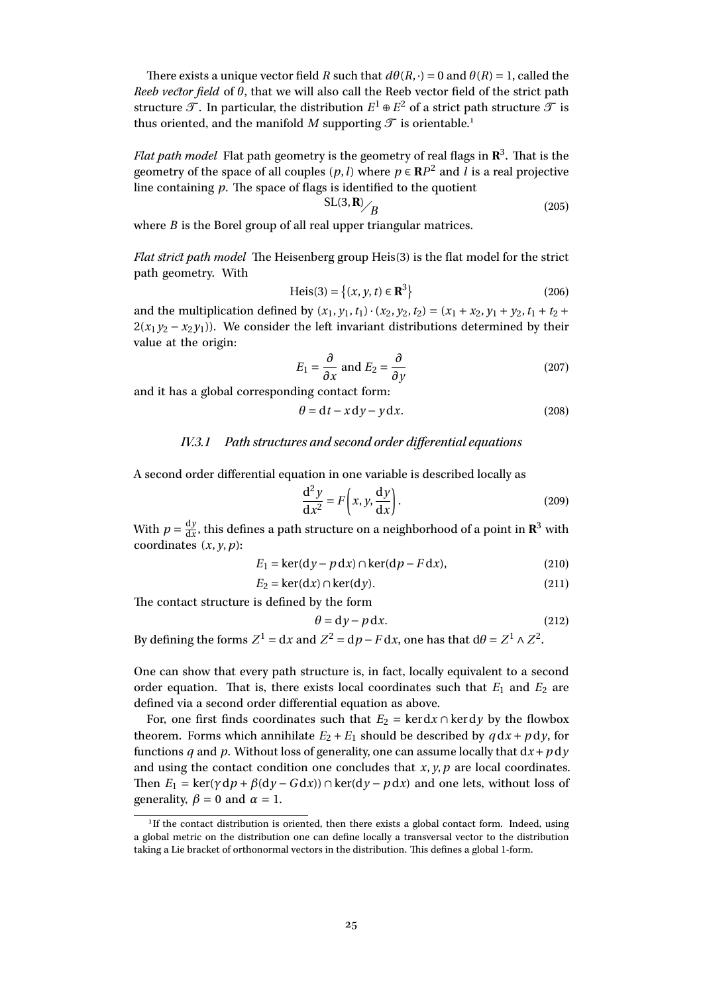There exists a unique vector field *R* such that  $d\theta(R, \cdot) = 0$  and  $\theta(R) = 1$ , called the *Reeb vector field* of *θ*, that we will also call the Reeb vector field of the strict path structure  ${\mathscr T}.$  In particular, the distribution  $E^1\oplus E^2$  of a strict path structure  ${\mathscr T}$  is thus oriented, and the manifold *M* supporting  $\mathcal T$  is orientable.<sup>[1](#page-24-0)</sup>

*Flat path model* Flat path geometry is the geometry of real flags in **R** 3 . That is the geometry of the space of all couples  $(p, l)$  where  $p \in \mathbb{R}P^2$  and *l* is a real projective line containing *p*. The space of flags is identified to the quotient

$$
SL(3,R)_{\bigB} \tag{205}
$$

where *B* is the Borel group of all real upper triangular matrices.

*Flat strict path model* The Heisenberg group Heis(3) is the flat model for the strict path geometry. With

$$
Heis(3) = \{(x, y, t) \in \mathbb{R}^{3}\}\
$$
 (206)

and the multiplication defined by  $(x_1, y_1, t_1) \cdot (x_2, y_2, t_2) = (x_1 + x_2, y_1 + y_2, t_1 + t_2 +$  $2(x_1y_2 - x_2y_1)$ ). We consider the left invariant distributions determined by their value at the origin:

$$
E_1 = \frac{\partial}{\partial x} \text{ and } E_2 = \frac{\partial}{\partial y} \tag{207}
$$

and it has a global corresponding contact form:

$$
\theta = dt - x dy - y dx.
$$
 (208)

## IV.3.1 Path structures and second order differential equations

A second order differential equation in one variable is described locally as

$$
\frac{d^2y}{dx^2} = F\left(x, y, \frac{dy}{dx}\right).
$$
 (209)

With  $p = \frac{dy}{dx}$  $\frac{dy}{dx}$ , this defines a path structure on a neighborhood of a point in  $\mathbb{R}^3$  with coordinates  $(x, y, p)$ :

$$
E_1 = \ker(\mathrm{d}y - p\,\mathrm{d}x) \cap \ker(\mathrm{d}p - F\,\mathrm{d}x),\tag{210}
$$

$$
E_2 = \ker(\mathrm{d}x) \cap \ker(\mathrm{d}y). \tag{211}
$$

The contact structure is defined by the form

$$
\theta = dy - p dx.
$$
 (212)

By defining the forms  $Z^1 = dx$  and  $Z^2 = dp - F dx$ , one has that  $d\theta = Z^1 \wedge Z^2$ .

One can show that every path structure is, in fact, locally equivalent to a second order equation. That is, there exists local coordinates such that  $E_1$  and  $E_2$  are defined via a second order differential equation as above.

For, one first finds coordinates such that  $E_2 = \text{ker} \, dx \cap \text{ker} \, dy$  by the flowbox theorem. Forms which annihilate  $E_2 + E_1$  should be described by  $q dx + p dy$ , for functions *q* and *p*. Without loss of generality, one can assume locally that  $dx + p dy$ and using the contact condition one concludes that  $x, y, p$  are local coordinates. Then  $E_1 = \text{ker}(\gamma \, \text{d}p + \beta(\text{d}y - \text{G} \, \text{d}x) ) \cap \text{ker}(\text{d}y - p \, \text{d}x)$  and one lets, without loss of generality,  $\beta = 0$  and  $\alpha = 1$ .

<span id="page-24-0"></span><sup>&</sup>lt;sup>1</sup>If the contact distribution is oriented, then there exists a global contact form. Indeed, using a global metric on the distribution one can define locally a transversal vector to the distribution taking a Lie bracket of orthonormal vectors in the distribution. This defines a global 1-form.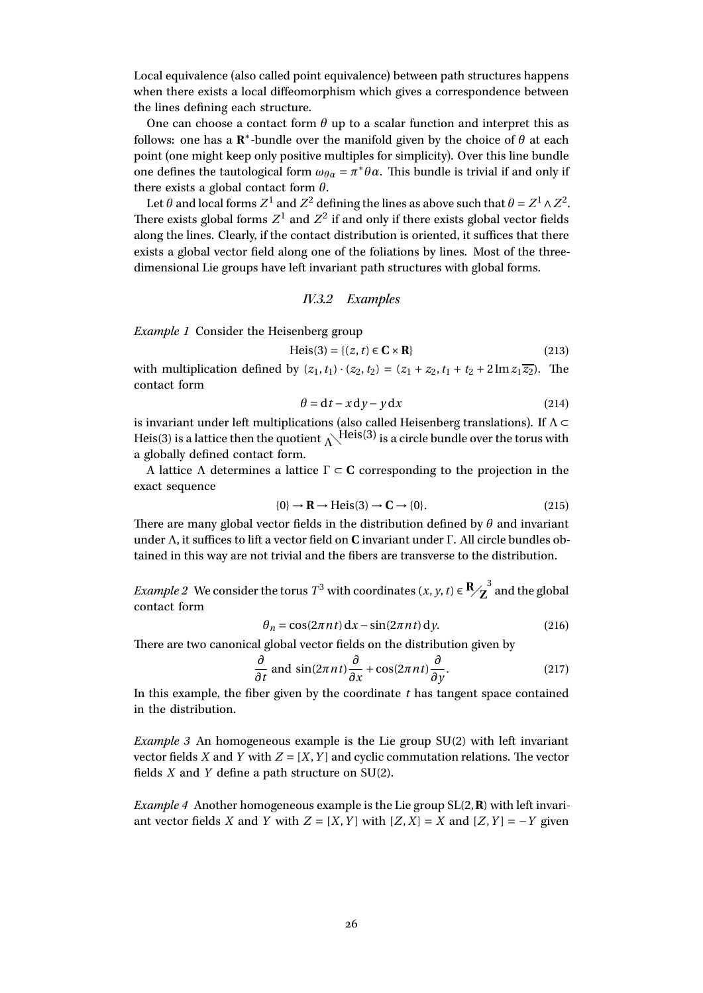Local equivalence (also called point equivalence) between path structures happens when there exists a local diffeomorphism which gives a correspondence between the lines defining each structure.

One can choose a contact form  $\theta$  up to a scalar function and interpret this as follows: one has a **R** ∗ -bundle over the manifold given by the choice of *θ* at each point (one might keep only positive multiples for simplicity). Over this line bundle one defines the tautological form  $\omega_{\theta\alpha} = \pi^* \theta \alpha$ . This bundle is trivial if and only if there exists a global contact form *θ*.

Let  $\theta$  and local forms  $Z^1$  and  $Z^2$  defining the lines as above such that  $\theta = Z^1 \wedge Z^2.$ There exists global forms  $Z^1$  and  $Z^2$  if and only if there exists global vector fields along the lines. Clearly, if the contact distribution is oriented, it suffices that there exists a global vector field along one of the foliations by lines. Most of the threedimensional Lie groups have left invariant path structures with global forms.

#### IV.3.2 Examples

*Example 1* Consider the Heisenberg group

$$
Heis(3) = \{(z, t) \in \mathbf{C} \times \mathbf{R}\}\tag{213}
$$

with multiplication defined by  $(z_1, t_1) \cdot (z_2, t_2) = (z_1 + z_2, t_1 + t_2 + 2 \text{Im } z_1 \overline{z_2})$ . The contact form

$$
\theta = dt - x dy - y dx \tag{214}
$$

is invariant under left multiplications (also called Heisenberg translations). If  $\Lambda \subset$ Heis(3) is a lattice then the quotient  $\Lambda$ <sup>Heis(3)</sup> is a circle bundle over the torus with a globally defined contact form.

A lattice Λ determines a lattice Γ ⊂ **C** corresponding to the projection in the exact sequence

$$
\{0\} \to \mathbf{R} \to \text{Heis}(3) \to \mathbf{C} \to \{0\}.
$$
 (215)

There are many global vector fields in the distribution defined by *θ* and invariant under Λ, it suffices to lift a vector field on **C** invariant under Γ. All circle bundles obtained in this way are not trivial and the fibers are transverse to the distribution.

*Example 2* We consider the torus  $T^3$  with coordinates  $(x, y, t) \in \mathbb{R}_{\diagup 2}^3$  and the global contact form

$$
\theta_n = \cos(2\pi nt) \, dx - \sin(2\pi nt) \, dy. \tag{216}
$$

There are two canonical global vector fields on the distribution given by

$$
\frac{\partial}{\partial t} \text{ and } \sin(2\pi nt) \frac{\partial}{\partial x} + \cos(2\pi nt) \frac{\partial}{\partial y}.
$$
 (217)

In this example, the fiber given by the coordinate *t* has tangent space contained in the distribution.

*Example 3* An homogeneous example is the Lie group SU(2) with left invariant vector fields *X* and *Y* with  $Z = [X, Y]$  and cyclic commutation relations. The vector fields *X* and *Y* define a path structure on SU(2).

*Example 4* Another homogeneous example is the Lie group SL(2,**R**) with left invariant vector fields *X* and *Y* with  $Z = [X, Y]$  with  $[Z, X] = X$  and  $[Z, Y] = -Y$  given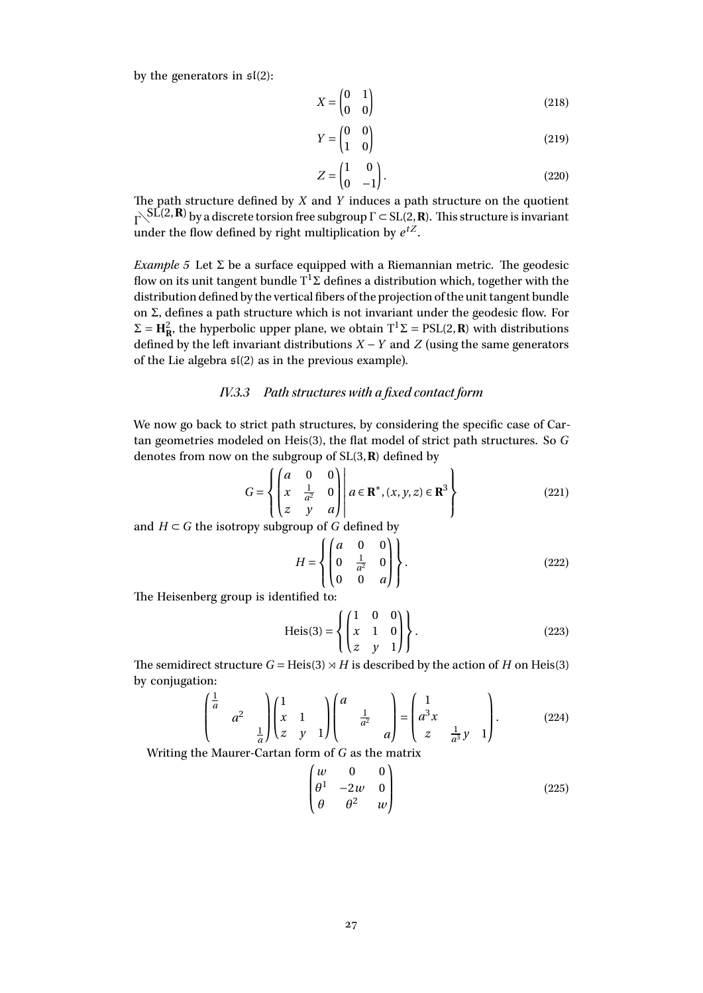by the generators in  $\mathfrak{sl}(2)$ :

$$
X = \begin{pmatrix} 0 & 1 \\ 0 & 0 \end{pmatrix} \tag{218}
$$

$$
Y = \begin{pmatrix} 0 & 0 \\ 1 & 0 \end{pmatrix} \tag{219}
$$

$$
Z = \begin{pmatrix} 1 & 0 \\ 0 & -1 \end{pmatrix}.
$$
 (220)

The path structure defined by *X* and *Y* induces a path structure on the quotient  $Γ \le SL(2, R)$  by a discrete torsion free subgroup  $Γ \subset SL(2, R)$ . This structure is invariant under the flow defined by right multiplication by  $e^{tZ}$ .

*Example 5* Let  $\Sigma$  be a surface equipped with a Riemannian metric. The geodesic flow on its unit tangent bundle  $\mathrm{T}^1\Sigma$  defines a distribution which, together with the distribution defined by the vertical fibers of the projection of the unit tangent bundle on Σ, defines a path structure which is not invariant under the geodesic flow. For  $\Sigma = H_R^2$ , the hyperbolic upper plane, we obtain  $T^1\Sigma = PSL(2,R)$  with distributions defined by the left invariant distributions  $X - Y$  and  $Z$  (using the same generators of the Lie algebra  $\mathfrak{sl}(2)$  as in the previous example).

## IV.3.3 Path structures with a fixed contact form

We now go back to strict path structures, by considering the specific case of Cartan geometries modeled on Heis(3), the flat model of strict path structures. So *G* denotes from now on the subgroup of SL(3,**R**) defined by

$$
G = \left\{ \begin{pmatrix} a & 0 & 0 \\ x & \frac{1}{a^2} & 0 \\ z & y & a \end{pmatrix} \middle| \ a \in \mathbf{R}^*, (x, y, z) \in \mathbf{R}^3 \right\} \tag{221}
$$

and  $H \subset G$  the isotropy subgroup of *G* defined by

$$
H = \left\{ \begin{pmatrix} a & 0 & 0 \\ 0 & \frac{1}{a^2} & 0 \\ 0 & 0 & a \end{pmatrix} \right\}.
$$
 (222)

The Heisenberg group is identified to:

$$
\text{Heis}(3) = \left\{ \begin{pmatrix} 1 & 0 & 0 \\ x & 1 & 0 \\ z & y & 1 \end{pmatrix} \right\}.
$$
 (223)

The semidirect structure  $G = Heis(3) \rtimes H$  is described by the action of *H* on Heis(3) by conjugation:

$$
\begin{pmatrix} \frac{1}{a} & & \\ & a^2 & \\ & & \frac{1}{a} \end{pmatrix} \begin{pmatrix} 1 & & \\ x & 1 & \\ z & y & 1 \end{pmatrix} \begin{pmatrix} a & & \\ & \frac{1}{a^2} & \\ & & a \end{pmatrix} = \begin{pmatrix} 1 & & \\ a^3 x & & \\ z & \frac{1}{a^3} y & 1 \end{pmatrix}.
$$
 (224)

Writing the Maurer-Cartan form of *G* as the matrix

$$
\begin{pmatrix}\nw & 0 & 0 \\
\theta^1 & -2w & 0 \\
\theta & \theta^2 & w\n\end{pmatrix}
$$
\n(225)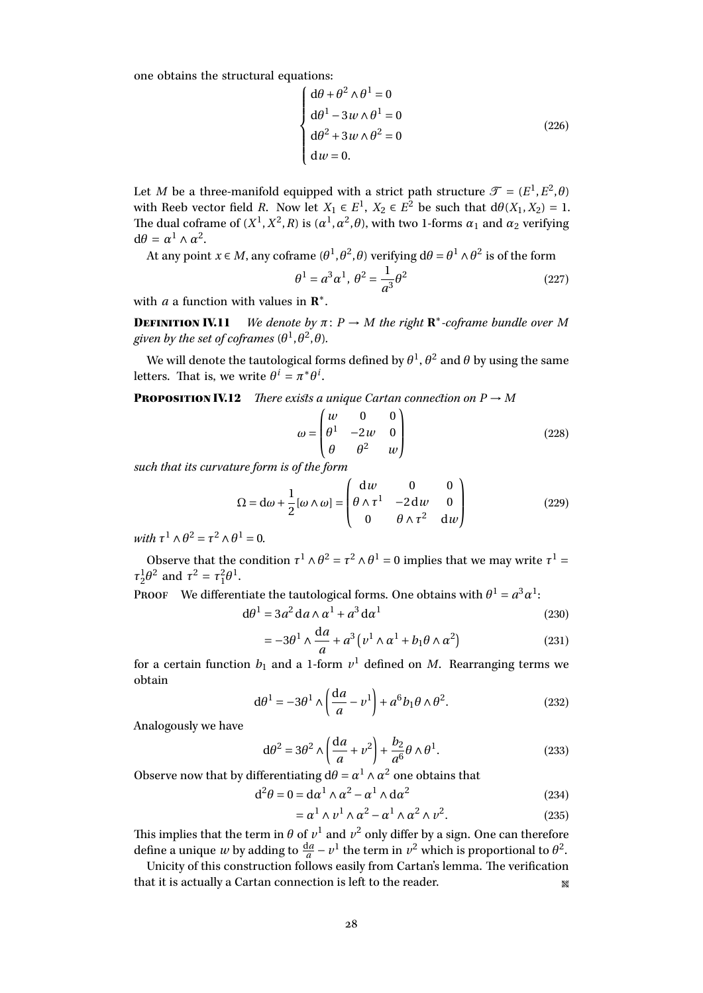one obtains the structural equations:

$$
\begin{cases} d\theta + \theta^2 \wedge \theta^1 = 0 \\ d\theta^1 - 3w \wedge \theta^1 = 0 \\ d\theta^2 + 3w \wedge \theta^2 = 0 \\ dw = 0. \end{cases}
$$
 (226)

Let *M* be a three-manifold equipped with a strict path structure  $\mathcal{T} = (E^1, E^2, \theta)$ with Reeb vector field *R*. Now let  $X_1 \in E^1$ ,  $X_2 \in E^2$  be such that  $d\theta(X_1, X_2) = 1$ . The dual coframe of  $(X^1, X^2, R)$  is  $(a^1, a^2, \theta)$ , with two 1-forms  $\alpha_1$  and  $\alpha_2$  verifying  $d\theta = \alpha^1 \wedge \alpha^2$ .

At any point *x* ∈ *M*, any coframe ( $\theta$ <sup>1</sup>, $\theta$ <sup>2</sup>, $\theta$ ) verifying d $\theta$  =  $\theta$ <sup>1</sup> ∧  $\theta$ <sup>2</sup> is of the form

$$
\theta^1 = a^3 \alpha^1, \ \theta^2 = \frac{1}{a^3} \theta^2 \tag{227}
$$

with *a* a function with values in  $\mathbb{R}^*$ .

**DEFINITION IV.11** *We denote by*  $\pi$ :  $P \rightarrow M$  *the right*  $\mathbb{R}^*$ -*coframe bundle over M* given by the set of coframes  $(\theta^1, \theta^2, \theta)$ .

We will denote the tautological forms defined by  $\theta^1,\theta^2$  and  $\theta$  by using the same letters. That is, we write  $\theta^i = \pi^* \theta^i$ .

**PROPOSITION IV.12** *There exists a unique Cartan connection on*  $P \rightarrow M$ 

$$
\omega = \begin{pmatrix} w & 0 & 0 \\ \theta^1 & -2w & 0 \\ \theta & \theta^2 & w \end{pmatrix}
$$
 (228)

*such that its curvature form is of the form*

$$
\Omega = d\omega + \frac{1}{2} [\omega \wedge \omega] = \begin{pmatrix} dw & 0 & 0 \\ \theta \wedge \tau^1 & -2 dw & 0 \\ 0 & \theta \wedge \tau^2 & dw \end{pmatrix}
$$
(229)

 $with \tau^1 \wedge \theta^2 = \tau^2 \wedge \theta^1 = 0.$ 

Observe that the condition  $\tau^1 \wedge \theta^2 = \tau^2 \wedge \theta^1 = 0$  implies that we may write  $\tau^1 =$  $\tau_2^1 \theta^2$  and  $\tau^2 = \tau_1^2 \theta^1$ .

PROOF We differentiate the tautological forms. One obtains with  $\theta^1 = a^3 \alpha^1$ :

$$
d\theta^1 = 3a^2 da \wedge \alpha^1 + a^3 da^1 \tag{230}
$$

$$
= -3\theta^1 \wedge \frac{da}{a} + a^3 \left( v^1 \wedge \alpha^1 + b_1 \theta \wedge \alpha^2 \right)
$$
 (231)

for a certain function  $b_1$  and a 1-form  $v^1$  defined on  $M$ . Rearranging terms we obtain

$$
d\theta^1 = -3\theta^1 \wedge \left(\frac{da}{a} - v^1\right) + a^6 b_1 \theta \wedge \theta^2. \tag{232}
$$

Analogously we have

$$
d\theta^2 = 3\theta^2 \wedge \left(\frac{da}{a} + v^2\right) + \frac{b_2}{a^6} \theta \wedge \theta^1.
$$
 (233)

Observe now that by differentiating  $d\theta = \alpha^1 \wedge \alpha^2$  one obtains that

$$
d^2\theta = 0 = d\alpha^1 \wedge \alpha^2 - \alpha^1 \wedge d\alpha^2 \qquad (234)
$$

$$
= \alpha^1 \wedge \nu^1 \wedge \alpha^2 - \alpha^1 \wedge \alpha^2 \wedge \nu^2. \tag{235}
$$

This implies that the term in  $\theta$  of  $\nu^1$  and  $\nu^2$  only differ by a sign. One can therefore define a unique *w* by adding to  $\frac{da}{a} - v^1$  the term in  $v^2$  which is proportional to  $\theta^2$ .

Unicity of this construction follows easily from Cartan's lemma. The verification that it is actually a Cartan connection is left to the reader.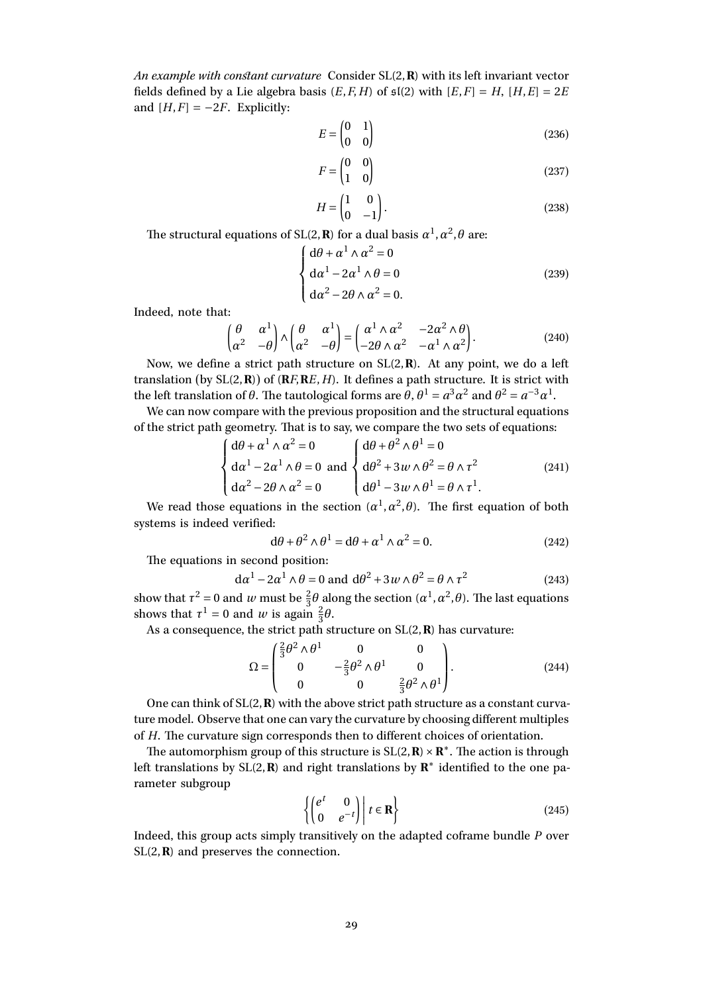*An example with constant curvature* Consider SL(2,**R**) with its left invariant vector fields defined by a Lie algebra basis  $(E, F, H)$  of  $\mathfrak{sl}(2)$  with  $[E, F] = H$ ,  $[H, E] = 2E$ and  $[H, F] = -2F$ . Explicitly:

$$
E = \begin{pmatrix} 0 & 1 \\ 0 & 0 \end{pmatrix} \tag{236}
$$

$$
F = \begin{pmatrix} 0 & 0 \\ 1 & 0 \end{pmatrix} \tag{237}
$$

$$
H = \begin{pmatrix} 1 & 0 \\ 0 & -1 \end{pmatrix}.
$$
 (238)

The structural equations of SL(2, **R**) for a dual basis  $\alpha^1, \alpha^2, \theta$  are:

$$
\begin{cases} d\theta + \alpha^1 \wedge \alpha^2 = 0 \\ d\alpha^1 - 2\alpha^1 \wedge \theta = 0 \\ d\alpha^2 - 2\theta \wedge \alpha^2 = 0. \end{cases}
$$
 (239)

Indeed, note that:

$$
\begin{pmatrix} \theta & \alpha^1 \\ \alpha^2 & -\theta \end{pmatrix} \wedge \begin{pmatrix} \theta & \alpha^1 \\ \alpha^2 & -\theta \end{pmatrix} = \begin{pmatrix} \alpha^1 \wedge \alpha^2 & -2\alpha^2 \wedge \theta \\ -2\theta \wedge \alpha^2 & -\alpha^1 \wedge \alpha^2 \end{pmatrix}.
$$
 (240)

Now, we define a strict path structure on SL(2,**R**). At any point, we do a left translation (by  $SL(2,\mathbf{R})$ ) of  $(\mathbf{R}F,\mathbf{R}E,H)$ . It defines a path structure. It is strict with the left translation of  $\theta$ . The tautological forms are  $\hat{\theta}$ ,  $\theta^1 = a^3 \alpha^2$  and  $\theta^2 = a^{-3} \alpha^1$ .

We can now compare with the previous proposition and the structural equations of the strict path geometry. That is to say, we compare the two sets of equations:

$$
\begin{cases} d\theta + \alpha^1 \wedge \alpha^2 = 0 \\ d\alpha^1 - 2\alpha^1 \wedge \theta = 0 \text{ and } \begin{cases} d\theta + \theta^2 \wedge \theta^1 = 0 \\ d\theta^2 + 3w \wedge \theta^2 = \theta \wedge \tau^2 \\ d\alpha^2 - 2\theta \wedge \alpha^2 = 0 \end{cases} \qquad (241)
$$

We read those equations in the section  $(a^1, a^2, \theta)$ . The first equation of both systems is indeed verified:

$$
d\theta + \theta^2 \wedge \theta^1 = d\theta + \alpha^1 \wedge \alpha^2 = 0. \tag{242}
$$

The equations in second position:

$$
d\alpha^{1} - 2\alpha^{1} \wedge \theta = 0 \text{ and } d\theta^{2} + 3w \wedge \theta^{2} = \theta \wedge \tau^{2}
$$
 (243)

show that  $\tau^2 = 0$  and *w* must be  $\frac{2}{3}\theta$  along the section  $(\alpha^1, \alpha^2, \theta)$ . The last equations shows that  $\tau^1 = 0$  and *w* is again  $\frac{2}{3}\theta$ .

As a consequence, the strict path structure on SL(2,**R**) has curvature:

$$
\Omega = \begin{pmatrix} \frac{2}{3}\theta^2 \wedge \theta^1 & 0 & 0 \\ 0 & -\frac{2}{3}\theta^2 \wedge \theta^1 & 0 \\ 0 & 0 & \frac{2}{3}\theta^2 \wedge \theta^1 \end{pmatrix}.
$$
 (244)

One can think of SL(2,**R**) with the above strict path structure as a constant curvature model. Observe that one can vary the curvature by choosing different multiples of *H*. The curvature sign corresponds then to different choices of orientation.

The automorphism group of this structure is SL(2, **R**) × **R**<sup>\*</sup>. The action is through left translations by SL(2, **R**) and right translations by **R**<sup>∗</sup> identified to the one parameter subgroup

$$
\left\{ \begin{pmatrix} e^t & 0 \\ 0 & e^{-t} \end{pmatrix} \middle| t \in \mathbf{R} \right\}
$$
 (245)

Indeed, this group acts simply transitively on the adapted coframe bundle *P* over SL(2,**R**) and preserves the connection.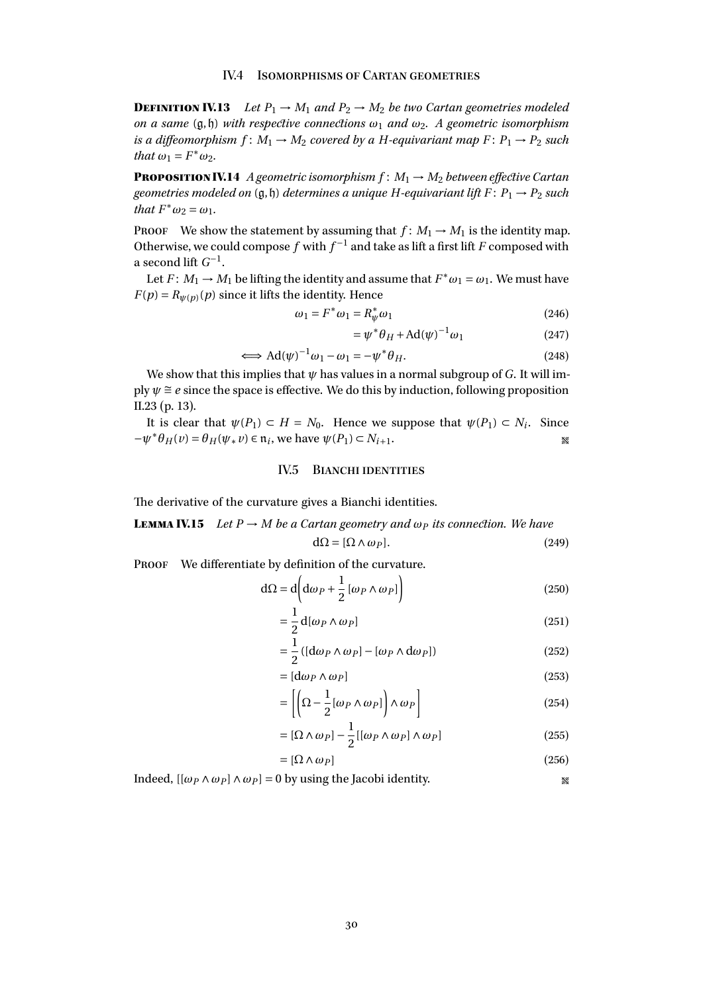<span id="page-29-0"></span>**DEFINITION IV.13** Let  $P_1 \rightarrow M_1$  and  $P_2 \rightarrow M_2$  be two Cartan geometries modeled *on a same* (g,h) *with respective connections ω*<sup>1</sup> *and ω*2*. A geometric isomorphism is a diffeomorphism*  $f: M_1 \rightarrow M_2$  *covered by a H-equivariant map*  $F: P_1 \rightarrow P_2$  *such that*  $\omega_1 = F^* \omega_2$ *.* 

**PROPOSITION IV.14** *A geometric isomorphism*  $f: M_1 \rightarrow M_2$  *between effective Cartan geometries modeled on*  $(g, h)$  *determines a unique H-equivariant lift*  $F: P_1 \rightarrow P_2$  *such*  $that F^* \omega_2 = \omega_1.$ 

PROOF We show the statement by assuming that  $f: M_1 \rightarrow M_1$  is the identity map. Otherwise, we could compose  $f$  with  $f^{-1}$  and take as lift a first lift  $F$  composed with a second lift  $G^{-1}$ .

Let  $F: M_1 \to M_1$  be lifting the identity and assume that  $F^* \omega_1 = \omega_1$ . We must have  $F(p) = R_{\psi(p)}(p)$  since it lifts the identity. Hence

$$
\omega_1 = F^* \omega_1 = R^*_{\psi} \omega_1 \tag{246}
$$

$$
=\psi^*\theta_H + \text{Ad}(\psi)^{-1}\omega_1\tag{247}
$$

$$
\iff \operatorname{Ad}(\psi)^{-1}\omega_1 - \omega_1 = -\psi^*\theta_H. \tag{248}
$$

We show that this implies that  $\psi$  has values in a normal subgroup of *G*. It will imply  $\psi \cong e$  since the space is effective. We do this by induction, following proposition [II.23](#page-12-1) (p. [13\)](#page-12-1).

It is clear that  $\psi(P_1) \subset H = N_0$ . Hence we suppose that  $\psi(P_1) \subset N_i$ . Since  $-\psi^* \theta_H(v) = \theta_H(\psi_* v) \in \mathfrak{n}_i$ , we have  $\psi(P_1) \subset N_{i+1}$ .

#### IV.5 BIANCHI IDENTITIES

<span id="page-29-1"></span>The derivative of the curvature gives a Bianchi identities.

**LEMMA IV.15** *Let*  $P \rightarrow M$  *be a Cartan geometry and*  $\omega_P$  *its connection. We have* 

$$
d\Omega = [\Omega \wedge \omega_P]. \tag{249}
$$

PROOF We differentiate by definition of the curvature.

$$
d\Omega = d\left(d\omega_P + \frac{1}{2}\left[\omega_P \wedge \omega_P\right]\right)
$$
 (250)

$$
=\frac{1}{2}d[\omega_P \wedge \omega_P]
$$
 (251)

$$
= \frac{1}{2} \left( [\mathrm{d}\omega_P \wedge \omega_P] - [\omega_P \wedge \mathrm{d}\omega_P] \right) \tag{252}
$$

$$
= [d\omega_P \wedge \omega_P]
$$
 (253)

$$
= \left[ \left( \Omega - \frac{1}{2} [\omega_P \wedge \omega_P] \right) \wedge \omega_P \right]
$$
 (254)

$$
= [\Omega \wedge \omega_P] - \frac{1}{2} [[\omega_P \wedge \omega_P] \wedge \omega_P]
$$
 (255)

$$
= [\Omega \wedge \omega_P] \tag{256}
$$

Indeed,  $[(\omega_P \wedge \omega_P] \wedge \omega_P] = 0$  by using the Jacobi identity.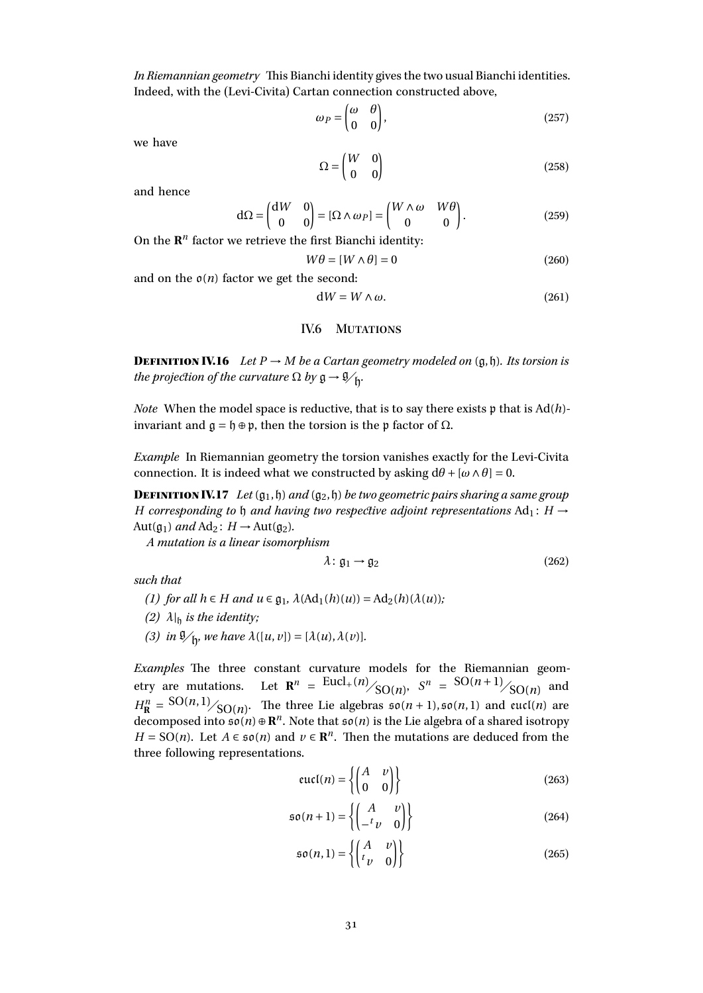*In Riemannian geometry* This Bianchi identity gives the two usual Bianchi identities. Indeed, with the (Levi-Civita) Cartan connection constructed above,

$$
\omega_P = \begin{pmatrix} \omega & \theta \\ 0 & 0 \end{pmatrix},\tag{257}
$$

we have

$$
\Omega = \begin{pmatrix} W & 0 \\ 0 & 0 \end{pmatrix} \tag{258}
$$

and hence

$$
d\Omega = \begin{pmatrix} dW & 0 \\ 0 & 0 \end{pmatrix} = [\Omega \wedge \omega_P] = \begin{pmatrix} W \wedge \omega & W\theta \\ 0 & 0 \end{pmatrix}.
$$
 (259)

On the  $\mathbb{R}^n$  factor we retrieve the first Bianchi identity:

$$
W\theta = [W \wedge \theta] = 0 \tag{260}
$$

and on the  $\mathfrak{o}(n)$  factor we get the second:

$$
dW = W \wedge \omega. \tag{261}
$$

## IV.6 MUTATIONS

<span id="page-30-0"></span>**DEFINITION IV.16** *Let*  $P \rightarrow M$  *be a Cartan geometry modeled on*  $(g, h)$ *. Its torsion is the projection of the curvature*  $\Omega$  *by*  $\mathfrak{g} \to \mathfrak{g}_{\mathfrak{h}}$ *. .*

*Note* When the model space is reductive, that is to say there exists p that is Ad(*h*) invariant and  $\mathfrak{g} = \mathfrak{h} \oplus \mathfrak{p}$ , then the torsion is the p factor of Ω.

*Example* In Riemannian geometry the torsion vanishes exactly for the Levi-Civita connection. It is indeed what we constructed by asking  $d\theta$  +  $[\omega \wedge \theta]$  = 0.

**DEFINITION IV.17** *Let*  $(g_1, \mathfrak{h})$  *and*  $(g_2, \mathfrak{h})$  *be two geometric pairs sharing a same group H* corresponding to h and having two respective adjoint representations  $Ad_1$ : *H*  $\rightarrow$ Aut( $g_1$ ) *and* Ad<sub>2</sub>:  $H \rightarrow$  Aut( $g_2$ ).

*A mutation is a linear isomorphism*

$$
\lambda: \mathfrak{g}_1 \to \mathfrak{g}_2 \tag{262}
$$

*such that*

- *(1) for all*  $h \in H$  *and*  $u \in \mathfrak{g}_1$ ,  $\lambda(Ad_1(h)(u)) = Ad_2(h)(\lambda(u))$ ;
- *(2)*  $\lambda$ <sub>|h</sub> *is the identity*;
- *(3) in*  $\mathcal{Y}_h$ *, we have*  $\lambda([u, v]) = [\lambda(u), \lambda(v)]$ *.*

*Examples* The three constant curvature models for the Riemannian geometry are mutations. Let  $\mathbb{R}^n = \frac{\text{Eucl}_{+}(n)}{\text{SO}(n)}$ ,  $S^n = \frac{\text{SO}(n+1)}{\text{SO}(n)}$  and  $H^n_{\mathbf{R}} = {\rm SO}(n,1)/_{\rm SO}(n)$ . The three Lie algebras  $\mathfrak{so}(n+1), \mathfrak{so}(n,1)$  and eucl(*n*) are decomposed into  $\mathfrak{so}(n) \oplus \mathbb{R}^n$ . Note that  $\mathfrak{so}(n)$  is the Lie algebra of a shared isotropy *H* = SO(*n*). Let *A*  $\in$   $\mathfrak{so}(n)$  and  $\nu \in \mathbb{R}^n$ . Then the mutations are deduced from the three following representations.

$$
eucl(n) = \left\{ \begin{pmatrix} A & v \\ 0 & 0 \end{pmatrix} \right\}
$$
 (263)

$$
\mathfrak{so}(n+1) = \left\{ \begin{pmatrix} A & v \\ -^t v & 0 \end{pmatrix} \right\} \tag{264}
$$

$$
\mathfrak{so}(n,1) = \left\{ \begin{pmatrix} A & v \\ t & 0 \end{pmatrix} \right\} \tag{265}
$$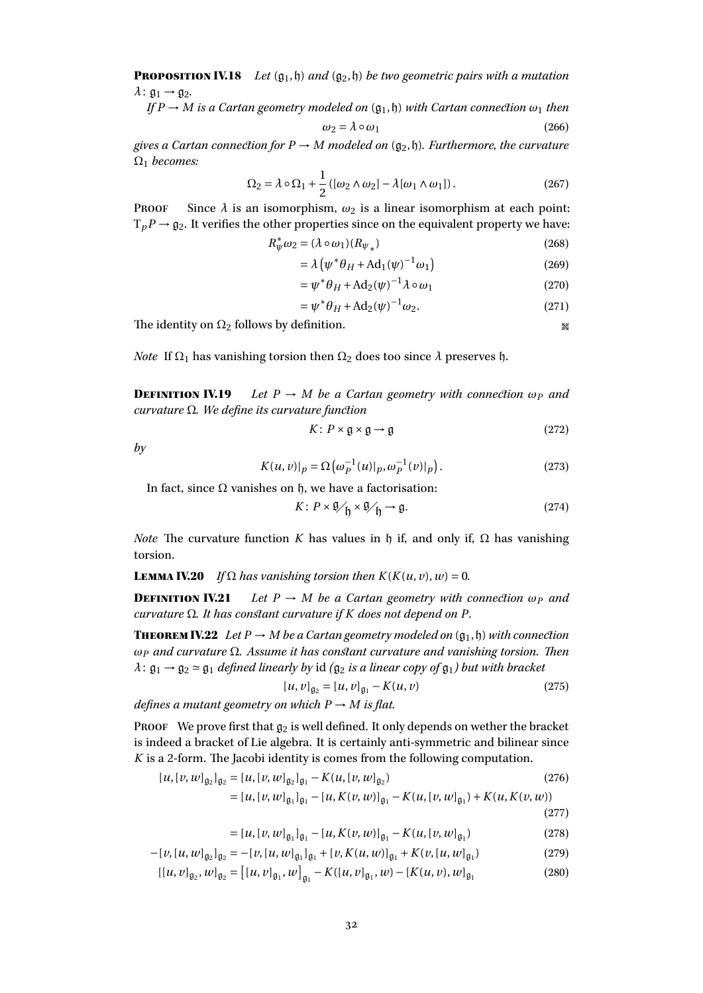**PROPOSITION IV.18** *Let*  $(g_1, h)$  *and*  $(g_2, h)$  *be two geometric pairs with a mutation*  $\lambda: \mathfrak{g}_1 \rightarrow \mathfrak{g}_2.$ 

*If*  $P \rightarrow M$  *is a Cartan geometry modeled on* ( $\mathfrak{g}_1, \mathfrak{h}$ ) *with Cartan connection*  $\omega_1$  *then* 

$$
\omega_2 = \lambda \circ \omega_1 \tag{266}
$$

*gives a Cartan connection for*  $P \rightarrow M$  *modeled on* ( $\mathfrak{g}_2, \mathfrak{h}$ *). Furthermore, the curvature* Ω<sup>1</sup> *becomes:*

$$
\Omega_2 = \lambda \circ \Omega_1 + \frac{1}{2} \left( [\omega_2 \wedge \omega_2] - \lambda [\omega_1 \wedge \omega_1] \right). \tag{267}
$$

**PROOF** Since  $\lambda$  is an isomorphism,  $\omega_2$  is a linear isomorphism at each point:  $T_pP \rightarrow \mathfrak{g}_2$ . It verifies the other properties since on the equivalent property we have:

$$
R_{\psi}^* \omega_2 = (\lambda \circ \omega_1)(R_{\psi_*}) \tag{268}
$$

$$
= \lambda \left( \psi^* \theta_H + \mathrm{Ad}_1(\psi)^{-1} \omega_1 \right) \tag{269}
$$

$$
= \psi^* \theta_H + \mathrm{Ad}_2(\psi)^{-1} \lambda \circ \omega_1 \tag{270}
$$

$$
= \psi^* \theta_H + \mathrm{Ad}_2(\psi)^{-1} \omega_2. \tag{271}
$$

The identity on  $\Omega_2$  follows by definition.

*Note* If  $\Omega_1$  has vanishing torsion then  $\Omega_2$  does too since  $\lambda$  preserves h.

**DEFINITION IV.19** Let  $P \rightarrow M$  be a Cartan geometry with connection  $\omega_P$  and *curvature* Ω*. We define its curvature function*

$$
K: P \times \mathfrak{g} \times \mathfrak{g} \to \mathfrak{g} \tag{272}
$$

*by*

$$
K(u, v)|_{p} = \Omega(\omega_P^{-1}(u)|_p, \omega_P^{-1}(v)|_p).
$$
 (273)

In fact, since  $Ω$  vanishes on  $η$ , we have a factorisation:

$$
K: P \times \mathfrak{g}_{\mathcal{F}_{\mathfrak{h}}} \times \mathfrak{g}_{\mathcal{F}_{\mathfrak{h}}} \to \mathfrak{g}.
$$
 (274)

*Note* The curvature function *K* has values in  $\mathfrak h$  if, and only if,  $\Omega$  has vanishing torsion.

**LEMMA IV.20** *If*  $\Omega$  *has vanishing torsion then*  $K(K(u, v), w) = 0$ *.* 

**DEFINITION IV.21** *Let*  $P \rightarrow M$  *be a Cartan geometry with connection*  $\omega_P$  *and curvature* Ω*. It has constant curvature if K does not depend on P.*

**THEOREM IV.22** *Let*  $P \rightarrow M$  *be a Cartan geometry modeled on*  $(\mathfrak{g}_1, \mathfrak{h})$  *with connection ω<sup>P</sup> and curvature* Ω*. Assume it has constant curvature and vanishing torsion. Then*  $\lambda: \mathfrak{g}_1 \rightarrow \mathfrak{g}_2 \simeq \mathfrak{g}_1$  *defined linearly by* id *(* $\mathfrak{g}_2$  *is a linear copy of*  $\mathfrak{g}_1$ *) but with bracket* 

$$
[u, v]_{\mathfrak{g}_2} = [u, v]_{\mathfrak{g}_1} - K(u, v) \tag{275}
$$

*defines a mutant geometry on which*  $P \rightarrow M$  *is flat.* 

PROOF We prove first that  $g_2$  is well defined. It only depends on wether the bracket is indeed a bracket of Lie algebra. It is certainly anti-symmetric and bilinear since *K* is a 2-form. The Jacobi identity is comes from the following computation.

$$
[u, [v, w]_{\mathfrak{g}_2}]_{\mathfrak{g}_2} = [u, [v, w]_{\mathfrak{g}_2}]_{\mathfrak{g}_1} - K(u, [v, w]_{\mathfrak{g}_2})
$$
\n
$$
[u, [v, w]_{\mathfrak{g}_2}]_{\mathfrak{g}_1} = K(u, [v, w]_{\mathfrak{g}_2}) - K(u, [w, w]_{\mathfrak{g}_2})
$$
\n
$$
K(u, [w, w]_{\mathfrak{g}_2}) + K(u, [w, w]_{\mathfrak{g}_2})
$$
\n
$$
K(u, [w, w]_{\mathfrak{g}_2}) + K(u, [w, w]_{\mathfrak{g}_2}) + K(u, [w, w]_{\mathfrak{g}_2})
$$
\n
$$
K(u, [w, w]_{\mathfrak{g}_2}) + K(u, [w, w]_{\mathfrak{g}_2}) + K(u, [w, w]_{\mathfrak{g}_2})
$$
\n
$$
K(u, [w, w]_{\mathfrak{g}_2}) + K(u, [w, w]_{\mathfrak{g}_2}) + K(u, [w, w]_{\mathfrak{g}_2}) + K(u, [w, w]_{\mathfrak{g}_2})
$$
\n
$$
K(u, [w, w]_{\mathfrak{g}_2}) + K(u, [w, w]_{\mathfrak{g}_2}) + K(u, [w, w]_{\mathfrak{g}_2}) + K(u, [w, w]_{\mathfrak{g}_2}) + K(u, [w, w]_{\mathfrak{g}_2}) + K(u, [w, w]_{\mathfrak{g}_2}) + K(u, [w, w]_{\mathfrak{g}_2}) + K(u, [w, w]_{\mathfrak{g}_2}) + K(u, [w, w]_{\mathfrak{g}_2}) + K(u, [w, w]_{\mathfrak{g}_2}) + K(u, [w, w]_{\mathfrak{g}_2}) + K(u, [w, w]_{\mathfrak{g}_2}) + K(u, [w, w]_{\mathfrak{g}_2}) + K(u, [w, w]_{\mathfrak{g}_2}) + K(u, [w, w]_{\mathfrak{g}_2}) + K(u, [w, w]_{\mathfrak{g}_2}) + K(u, [w, w]_{\mathfrak{g}_2}) + K(u, [w, w]_{\
$$

$$
= [u, [v, w]_{\mathfrak{g}_1}]_{\mathfrak{g}_1} - [u, K(v, w)]_{\mathfrak{g}_1} - K(u, [v, w]_{\mathfrak{g}_1}) + K(u, K(v, w))
$$

(277)

$$
= [u, [v, w]_{\mathfrak{g}_1}]_{\mathfrak{g}_1} - [u, K(v, w)]_{\mathfrak{g}_1} - K(u, [v, w]_{\mathfrak{g}_1})
$$
\n(278)

$$
-[v,[u,w]_{\mathfrak{g}_2}]_{\mathfrak{g}_2} = -[v,[u,w]_{\mathfrak{g}_1}]_{\mathfrak{g}_1} + [v,K(u,w)]_{\mathfrak{g}_1} + K(v,[u,w]_{\mathfrak{g}_1})
$$
(279)

$$
[[u,v]_{\mathfrak{g}_2},w]_{\mathfrak{g}_2} = [[u,v]_{\mathfrak{g}_1},w]_{\mathfrak{g}_1} - K([u,v]_{\mathfrak{g}_1},w) - [K(u,v),w]_{\mathfrak{g}_1}
$$
(280)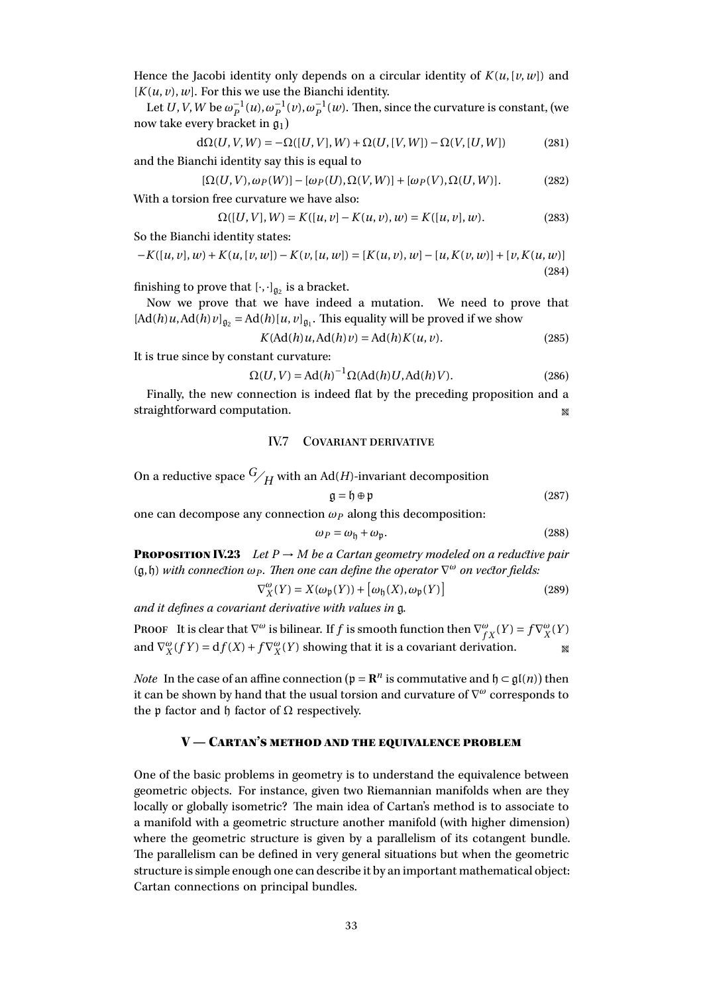Hence the Jacobi identity only depends on a circular identity of  $K(u, [\nu, w])$  and  $[K(u, v), w]$ . For this we use the Bianchi identity.

Let  $U$ ,  $V$ ,  $W$  be  $\omega_P^{-1}(u)$ ,  $\omega_P^{-1}(v)$ ,  $\omega_P^{-1}(w)$ . Then, since the curvature is constant, (we now take every bracket in  $\mathfrak{g}_1$ )

$$
d\Omega(U, V, W) = -\Omega([U, V], W) + \Omega(U, [V, W]) - \Omega(V, [U, W])
$$
\n(281)

and the Bianchi identity say this is equal to

$$
[\Omega(U,V),\omega_P(W)] - [\omega_P(U),\Omega(V,W)] + [\omega_P(V),\Omega(U,W)].
$$
 (282)

With a torsion free curvature we have also:

$$
\Omega([U, V], W) = K([u, v] - K(u, v), w) = K([u, v], w).
$$
\n(283)

So the Bianchi identity states:

$$
-K([u, v], w) + K(u, [v, w]) - K(v, [u, w]) = [K(u, v), w] - [u, K(v, w)] + [v, K(u, w)]
$$
\n(284)

finishing to prove that  $[\cdot, \cdot]_{\mathfrak{g}_2}$  is a bracket.

Now we prove that we have indeed a mutation. We need to prove that  $[Ad(h)u, Ad(h)v]_{\mathfrak{g}_2} = Ad(h)[u, v]_{\mathfrak{g}_1}$ . This equality will be proved if we show

$$
K(\text{Ad}(h)u, \text{Ad}(h)v) = \text{Ad}(h)K(u, v).
$$
\n(285)

It is true since by constant curvature:

$$
\Omega(U, V) = \text{Ad}(h)^{-1} \Omega(\text{Ad}(h)U, \text{Ad}(h)V). \tag{286}
$$

Finally, the new connection is indeed flat by the preceding proposition and a straightforward computation.

## IV.7 Covariant derivative

<span id="page-32-0"></span>On a reductive space  $G/H$  with an Ad(*H*)-invariant decomposition

$$
\mathfrak{g} = \mathfrak{h} \oplus \mathfrak{p} \tag{287}
$$

one can decompose any connection  $\omega_P$  along this decomposition:

$$
\omega_P = \omega_{\mathfrak{h}} + \omega_{\mathfrak{p}}.\tag{288}
$$

**PROPOSITION IV.23** *Let*  $P \rightarrow M$  *be a Cartan geometry modeled on a reductive pair* (g,h) *with connection ω<sup>P</sup> . Then one can define the operator* ∇ *<sup>ω</sup> on vector fields:*

$$
\nabla_X^{\omega}(Y) = X(\omega_{\mathfrak{p}}(Y)) + [\omega_{\mathfrak{h}}(X), \omega_{\mathfrak{p}}(Y)] \tag{289}
$$

*and it defines a covariant derivative with values in* g*.*

**PROOF** It is clear that  $\nabla^{\omega}$  is bilinear. If *f* is smooth function then  $\nabla^{\omega}_{fX}(Y) = f \nabla^{\omega}_{X}(Y)$ and  $\nabla_X^{\omega}(fY) = df(X) + f \nabla_X^{\omega}(Y)$  showing that it is a covariant derivation.

*Note* In the case of an affine connection ( $\mathfrak{p} = \mathbb{R}^n$  is commutative and  $\mathfrak{h} \subset \mathfrak{gl}(n)$ ) then it can be shown by hand that the usual torsion and curvature of ∇ *<sup>ω</sup>* corresponds to the p factor and h factor of Ω respectively.

#### $V -$  Cartan's method and the equivalence problem

<span id="page-32-1"></span>One of the basic problems in geometry is to understand the equivalence between geometric objects. For instance, given two Riemannian manifolds when are they locally or globally isometric? The main idea of Cartan's method is to associate to a manifold with a geometric structure another manifold (with higher dimension) where the geometric structure is given by a parallelism of its cotangent bundle. The parallelism can be defined in very general situations but when the geometric structure is simple enough one can describe it by an important mathematical object: Cartan connections on principal bundles.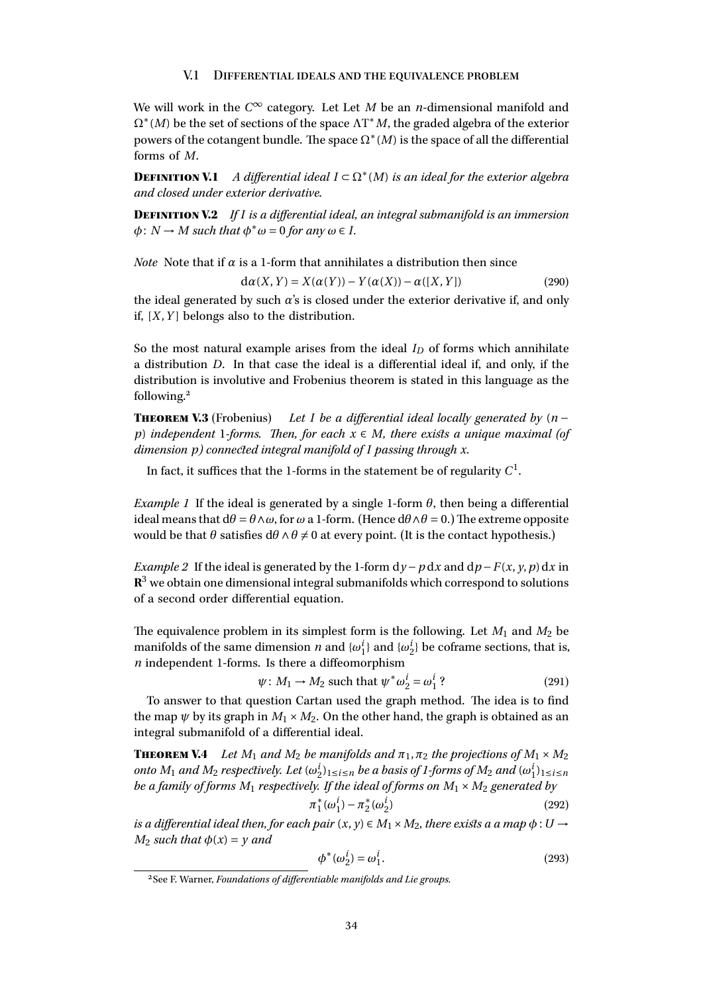#### V.1 Differential ideals and the equivalence problem

<span id="page-33-0"></span>We will work in the *C* <sup>∞</sup> category. Let Let *<sup>M</sup>* be an *<sup>n</sup>*-dimensional manifold and Ω∗ (*M*) be the set of sections of the space ΛT <sup>∗</sup>*M*, the graded algebra of the exterior powers of the cotangent bundle. The space  $\Omega^*(M)$  is the space of all the differential forms of *M*.

**DEFINITION V.1** A differential ideal  $I \subset \Omega^*(M)$  is an ideal for the exterior algebra *and closed under exterior derivative.*

Definition V.2 *If I is a differential ideal, an integral submanifold is an immersion*  $\phi: N \to M$  *such that*  $\phi^* \omega = 0$  *for any*  $\omega \in I$ *.* 

*Note* Note that if  $\alpha$  is a 1-form that annihilates a distribution then since

$$
d\alpha(X,Y) = X(\alpha(Y)) - Y(\alpha(X)) - \alpha([X,Y])
$$
\n(290)

the ideal generated by such  $\alpha$ 's is closed under the exterior derivative if, and only if,  $[X, Y]$  belongs also to the distribution.

So the most natural example arises from the ideal  $I_D$  of forms which annihilate a distribution *D*. In that case the ideal is a differential ideal if, and only, if the distribution is involutive and Frobenius theorem is stated in this language as the following.[2](#page-33-1)

**THEOREM V.3** (Frobenius) *Let I be a differential ideal locally generated by*  $(n$ *p*) *independent* 1*-forms. Then, for each x* ∈ *M, there exists a unique maximal (of dimension p) connected integral manifold of I passing through x.*

In fact, it suffices that the 1-forms in the statement be of regularity  $C^1.$ 

*Example 1* If the ideal is generated by a single 1-form  $\theta$ , then being a differential ideal means that  $d\theta = \theta \wedge \omega$ , for  $\omega$  a 1-form. (Hence  $d\theta \wedge \theta = 0$ .) The extreme opposite would be that  $\theta$  satisfies  $d\theta \wedge \theta \neq 0$  at every point. (It is the contact hypothesis.)

*Example 2* If the ideal is generated by the 1-form  $dy - p dx$  and  $dp - F(x, y, p) dx$  in  ${\bf R}^3$  we obtain one dimensional integral submanifolds which correspond to solutions of a second order differential equation.

The equivalence problem in its simplest form is the following. Let  $M_1$  and  $M_2$  be manifolds of the same dimension *n* and  $\{\omega_1^i\}$  and  $\{\omega_2^i\}$  be coframe sections, that is, *n* independent 1-forms. Is there a diffeomorphism

$$
\psi \colon M_1 \to M_2 \text{ such that } \psi^* \omega_2^i = \omega_1^i ? \tag{291}
$$

To answer to that question Cartan used the graph method. The idea is to find the map  $\psi$  by its graph in  $M_1 \times M_2$ . On the other hand, the graph is obtained as an integral submanifold of a differential ideal.

**THEOREM V.4** *Let*  $M_1$  *and*  $M_2$  *be manifolds and*  $\pi_1$ ,  $\pi_2$  *the projections of*  $M_1 \times M_2$ *onto*  $M_1$  *and*  $M_2$  *respectively. Let*  $(\omega_2^i)_{1\leq i\leq n}$  *be a basis of 1-forms of*  $M_2$  *and*  $(\omega_1^i)_{1\leq i\leq n}$ *be a family of forms*  $M_1$  *respectively. If the ideal of forms on*  $M_1 \times M_2$  *generated by* 

$$
\pi_1^*(\omega_1^i) - \pi_2^*(\omega_2^i) \tag{292}
$$

*is a differential ideal then, for each pair*  $(x, y) \in M_1 \times M_2$ *, there exists a a map*  $\phi : U \rightarrow$ *M*<sub>2</sub> *such that*  $\phi(x) = y$  *and* 

$$
\phi^*(\omega_2^i) = \omega_1^i. \tag{293}
$$

<span id="page-33-1"></span><sup>2</sup>See F. Warner, *Foundations of differentiable manifolds and Lie groups*.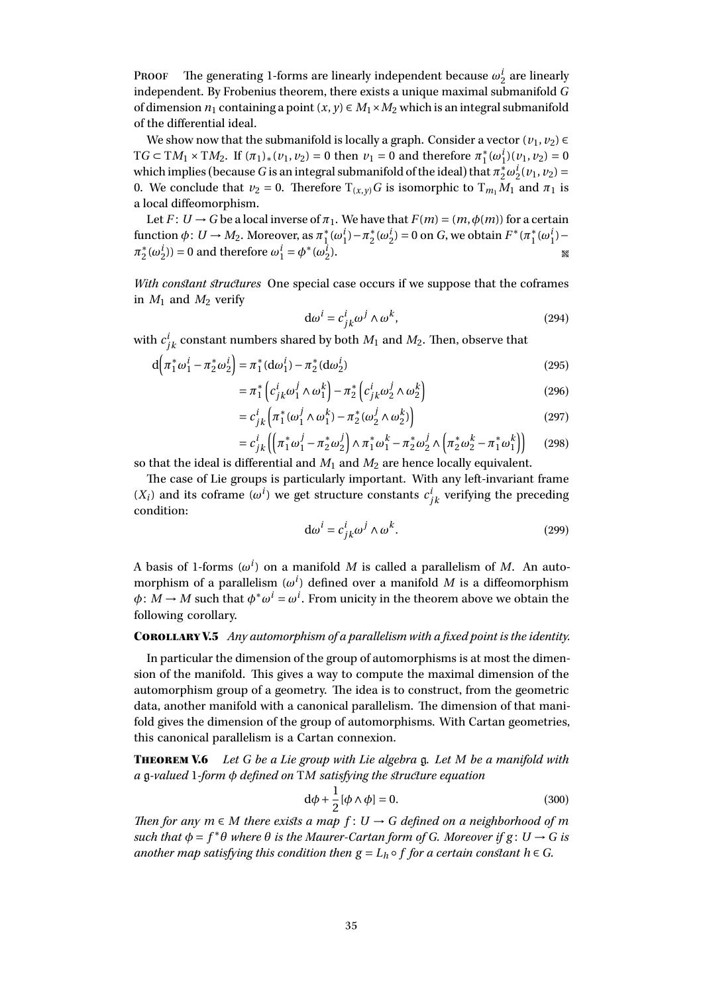PROOF The generating 1-forms are linearly independent because  $\omega_2^i$  are linearly independent. By Frobenius theorem, there exists a unique maximal submanifold *G* of dimension  $n_1$  containing a point  $(x, y) \in M_1 \times M_2$  which is an integral submanifold of the differential ideal.

We show now that the submanifold is locally a graph. Consider a vector  $(v_1, v_2) \in$ T*G* ⊂ T*M*<sub>1</sub> × T*M*<sub>2</sub>. If  $(π<sub>1</sub>)<sub>∗</sub>(ν<sub>1</sub>, ν<sub>2</sub>) = 0$  then  $ν<sub>1</sub> = 0$  and therefore  $π<sub>1</sub><sup>∗</sup>$  $i_1^*(\omega_1^i)(v_1, v_2) = 0$ which implies (because *G* is an integral submanifold of the ideal) that  $\pi_2^* \omega_2^i$  ( $v_1$ ,  $v_2$ ) = 0. We conclude that  $v_2 = 0$ . Therefore  $T(x,y)G$  is isomorphic to  $T_{m_1}M_1$  and  $\pi_1$  is a local diffeomorphism.

Let  $F: U \to G$  be a local inverse of  $\pi_1$ . We have that  $F(m) = (m, \phi(m))$  for a certain function  $\phi: U \to M_2$ . Moreover, as  $\pi_1^*$ <sup>\*</sup><sub>1</sub>( $\omega_1^i$ ) –  $\pi_2^*$  $2^*(\omega_2^i) = 0$  on *G*, we obtain  $F^*(\pi_1^*)$ <sup>\*</sup><sub>1</sub>(ω<sup>*i*</sup><sub>1</sub>)− *π* ∗  $\chi_2^*(\omega_2^i)$  = 0 and therefore  $\omega_1^i = \phi^*(\omega_2^i)$  $\mathbb{R}^3$ 

*With constant structures* One special case occurs if we suppose that the coframes in  $M_1$  and  $M_2$  verify

$$
d\omega^{i} = c_{jk}^{i} \omega^{j} \wedge \omega^{k}, \qquad (294)
$$

with  $c^i_{jk}$  constant numbers shared by both  $M_1$  and  $M_2$ . Then, observe that

$$
d\left(\pi_1^*\omega_1^i - \pi_2^*\omega_2^i\right) = \pi_1^*(d\omega_1^i) - \pi_2^*(d\omega_2^i)
$$
\n(295)

$$
= \pi_1^* \left( c_{jk}^i \omega_1^j \wedge \omega_1^k \right) - \pi_2^* \left( c_{jk}^i \omega_2^j \wedge \omega_2^k \right) \tag{296}
$$

$$
= c_{jk}^i \left( \pi_1^*(\omega_1^j \wedge \omega_1^k) - \pi_2^*(\omega_2^j \wedge \omega_2^k) \right)
$$
 (297)

$$
= c_{jk}^i \left( \left( \pi_1^* \omega_1^j - \pi_2^* \omega_2^j \right) \wedge \pi_1^* \omega_1^k - \pi_2^* \omega_2^j \wedge \left( \pi_2^* \omega_2^k - \pi_1^* \omega_1^k \right) \right) \tag{298}
$$

so that the ideal is differential and  $M_1$  and  $M_2$  are hence locally equivalent.

The case of Lie groups is particularly important. With any left-invariant frame  $(X_i)$  and its coframe  $(\omega^i)$  we get structure constants  $c^i_{jk}$  verifying the preceding condition:

$$
\mathrm{d}\omega^i = c^i_{jk}\omega^j \wedge \omega^k. \tag{299}
$$

A basis of 1-forms  $(\omega^i)$  on a manifold M is called a parallelism of M. An automorphism of a parallelism  $(\omega^i)$  defined over a manifold  $M$  is a diffeomorphism  $\phi: \tilde{M} \to M$  such that  $\phi^* \omega^i = \omega^i$ . From unicity in the theorem above we obtain the following corollary.

#### CorollaryV.5 *Any automorphism of a parallelism with a fixed point is the identity.*

In particular the dimension of the group of automorphisms is at most the dimension of the manifold. This gives a way to compute the maximal dimension of the automorphism group of a geometry. The idea is to construct, from the geometric data, another manifold with a canonical parallelism. The dimension of that manifold gives the dimension of the group of automorphisms. With Cartan geometries, this canonical parallelism is a Cartan connexion.

Theorem V.6 *Let G be a Lie group with Lie algebra* g*. Let M be a manifold with a* g*-valued* 1*-form φ defined on* T*M satisfying the structure equation*

$$
d\phi + \frac{1}{2}[\phi \wedge \phi] = 0.
$$
 (300)

*Then for any*  $m \in M$  *there exists a map*  $f: U \rightarrow G$  *defined on a neighborhood of m*  $such$  *that*  $φ = f<sup>*</sup>θ$  *where*  $θ$  *is the Maurer-Cartan form of G. Moreover if*  $g: U → G$  *is another map satisfying this condition then*  $g = L_h \circ f$  *for a certain constant*  $h \in G$ *.*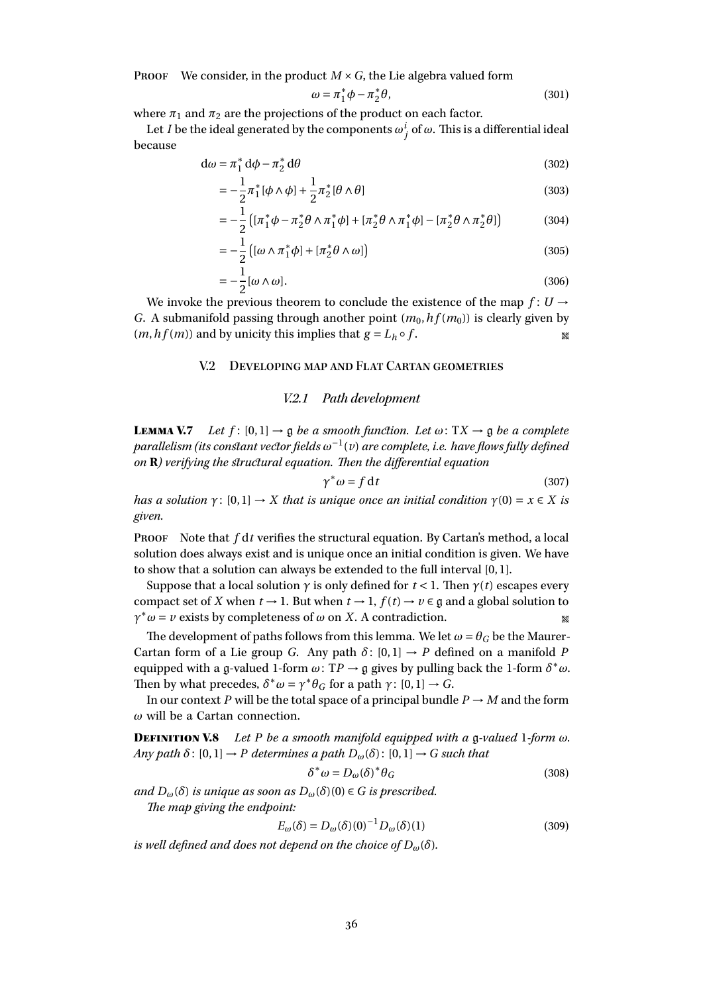**PROOF** We consider, in the product  $M \times G$ , the Lie algebra valued form

$$
\omega = \pi_1^* \phi - \pi_2^* \theta,\tag{301}
$$

where  $\pi_1$  and  $\pi_2$  are the projections of the product on each factor.

Let *I* be the ideal generated by the components  $\omega_j^i$  of  $\omega$ . This is a differential ideal because

$$
d\omega = \pi_1^* d\phi - \pi_2^* d\theta \tag{302}
$$

$$
= -\frac{1}{2}\pi_1^* [\phi \wedge \phi] + \frac{1}{2}\pi_2^* [\theta \wedge \theta]
$$
\n(303)

$$
= -\frac{1}{2} \left( [\pi_1^* \phi - \pi_2^* \theta \wedge \pi_1^* \phi] + [\pi_2^* \theta \wedge \pi_1^* \phi] - [\pi_2^* \theta \wedge \pi_2^* \theta] \right)
$$
(304)

$$
= -\frac{1}{2} \left( [\omega \wedge \pi_1^* \phi] + [\pi_2^* \theta \wedge \omega] \right) \tag{305}
$$

$$
=-\frac{1}{2}[\omega \wedge \omega].
$$
\n(306)

<span id="page-35-0"></span>We invoke the previous theorem to conclude the existence of the map  $f: U \rightarrow$ *G*. A submanifold passing through another point  $(m_0, hf(m_0))$  is clearly given by  $(m, hf(m))$  and by unicity this implies that  $g = L_h \circ f$ .

## V.2 Developing map and Flat Cartan geometries

#### V.2.1 Path development

**LEMMA V.7** *Let*  $f$ :  $[0,1] \rightarrow \mathfrak{g}$  *be a smooth function. Let*  $\omega$ : T $X \rightarrow \mathfrak{g}$  *be a complete parallelism (its constant vector fields ω* −1 (*v*) *are complete, i.e. have flows fully defined on* **R***) verifying the structural equation. Then the differential equation*

$$
\gamma^* \omega = f \, \mathrm{d}t \tag{307}
$$

*has a solution*  $\gamma$ :  $[0, 1] \rightarrow X$  *that is unique once an initial condition*  $\gamma$ (0) =  $x \in X$  *is given.*

Proof Note that *f* d*t* verifies the structural equation. By Cartan's method, a local solution does always exist and is unique once an initial condition is given. We have to show that a solution can always be extended to the full interval [0, 1].

Suppose that a local solution  $\gamma$  is only defined for  $t < 1$ . Then  $\gamma(t)$  escapes every compact set of *X* when  $t \to 1$ . But when  $t \to 1$ ,  $f(t) \to \nu \in \mathfrak{g}$  and a global solution to  $\gamma^* \omega = \nu$  exists by completeness of  $\omega$  on *X*. A contradiction.

The development of paths follows from this lemma. We let  $\omega = \theta_G$  be the Maurer-Cartan form of a Lie group *G*. Any path  $\delta$ : [0,1]  $\rightarrow$  *P* defined on a manifold *P* equipped with a g-valued 1-form  $\omega$ : TP  $\rightarrow$  g gives by pulling back the 1-form  $\delta^* \omega$ . Then by what precedes,  $\delta^* \omega = \gamma^* \theta_G$  for a path  $\gamma : [0,1] \to G$ .

In our context *P* will be the total space of a principal bundle  $P \rightarrow M$  and the form *ω* will be a Cartan connection.

Definition V.8 *Let P be a smooth manifold equipped with a* g*-valued* 1*-form ω. Any path*  $\delta$ :  $[0, 1] \rightarrow P$  *determines a path*  $D_{\omega}(\delta)$ :  $[0, 1] \rightarrow G$  *such that* 

$$
\delta^* \omega = D_{\omega} (\delta)^* \theta_G \tag{308}
$$

 $and D_{\omega}(\delta)$  *is unique as soon as*  $D_{\omega}(\delta)(0) \in G$  *is prescribed.* 

*The map giving the endpoint:*

$$
E_{\omega}(\delta) = D_{\omega}(\delta)(0)^{-1} D_{\omega}(\delta)(1)
$$
\n(309)

*is well defined and does not depend on the choice of*  $D_{\omega}(\delta)$ *.*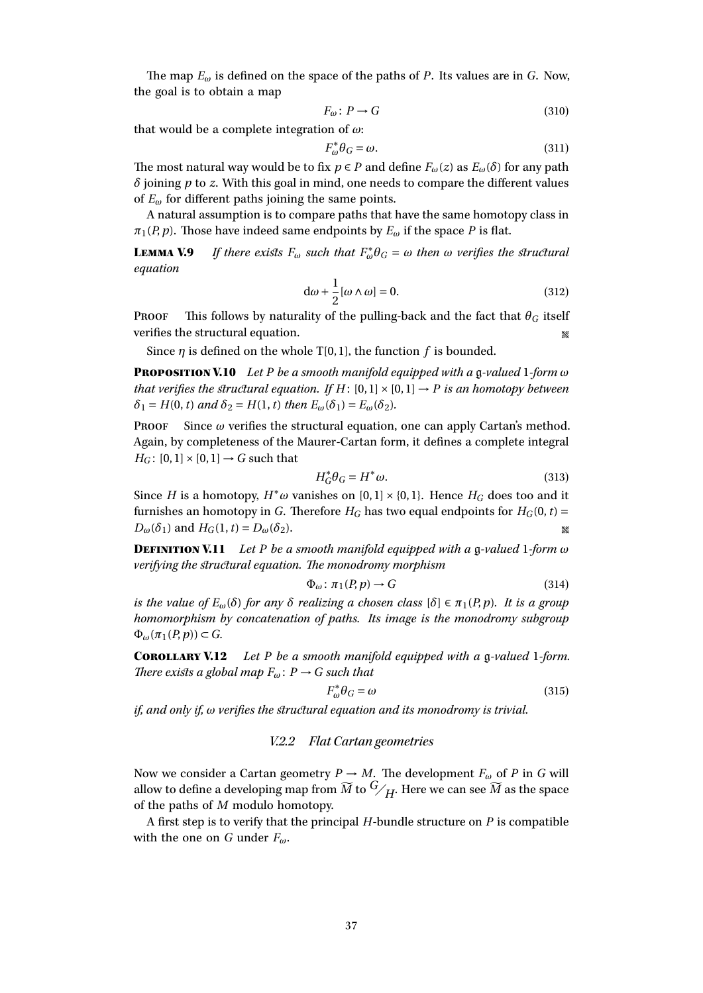The map *E<sup>ω</sup>* is defined on the space of the paths of *P*. Its values are in *G*. Now, the goal is to obtain a map

$$
F_{\omega} \colon P \to G \tag{310}
$$

that would be a complete integration of *ω*:

$$
F_{\omega}^* \theta_G = \omega. \tag{311}
$$

The most natural way would be to fix  $p \in P$  and define  $F_\omega(z)$  as  $E_\omega(\delta)$  for any path *δ* joining *p* to *z*. With this goal in mind, one needs to compare the different values of  $E_{\omega}$  for different paths joining the same points.

A natural assumption is to compare paths that have the same homotopy class in  $\pi_1(P, p)$ . Those have indeed same endpoints by  $E_\omega$  if the space *P* is flat.

**LEMMA V.9** *If there exists*  $F_{\omega}$  *such that*  $F_{\omega}^* \theta_G = \omega$  *then*  $\omega$  *verifies the structural equation*

$$
d\omega + \frac{1}{2}[\omega \wedge \omega] = 0. \tag{312}
$$

**PROOF** This follows by naturality of the pulling-back and the fact that  $\theta_G$  itself verifies the structural equation. •

Since  $\eta$  is defined on the whole T[0, 1], the function  $f$  is bounded.

Proposition V.10 *Let P be a smooth manifold equipped with a* g*-valued* 1*-form ω that verifies the structural equation. If*  $H$ : [0,1]  $\times$  [0,1]  $\rightarrow$  *P is an homotopy between*  $\delta_1 = H(0, t)$  *and*  $\delta_2 = H(1, t)$  *then*  $E_{\omega}(\delta_1) = E_{\omega}(\delta_2)$ *.* 

**PROOF** Since  $\omega$  verifies the structural equation, one can apply Cartan's method. Again, by completeness of the Maurer-Cartan form, it defines a complete integral  $H_G$ : [0, 1] × [0, 1]  $\rightarrow$  *G* such that

$$
H_G^* \theta_G = H^* \omega. \tag{313}
$$

Since *H* is a homotopy,  $H^*\omega$  vanishes on  $[0,1] \times \{0,1\}$ . Hence  $H_G$  does too and it furnishes an homotopy in *G*. Therefore  $H_G$  has two equal endpoints for  $H_G(0, t)$  =  $D_{\omega}(\delta_1)$  and  $H_G(1, t) = D_{\omega}(\delta_2)$ .

Definition V.11 *Let P be a smooth manifold equipped with a* g*-valued* 1*-form ω verifying the structural equation. The monodromy morphism*

$$
\Phi_{\omega} \colon \pi_1(P, p) \to G \tag{314}
$$

*is the value of*  $E_{\omega}(\delta)$  *for any*  $\delta$  *realizing a chosen class*  $[\delta] \in \pi_1(P, p)$ *. It is a group homomorphism by concatenation of paths. Its image is the monodromy subgroup*  $\Phi_{\omega}(\pi_1(P, p)) \subset G$ .

Corollary V.12 *Let P be a smooth manifold equipped with a* g*-valued* 1*-form. There exists a global map*  $F_{\omega}$ :  $P \rightarrow G$  *such that* 

$$
F_{\omega}^* \theta_G = \omega \tag{315}
$$

*if, and only if, ω verifies the structural equation and its monodromy is trivial.*

## V.2.2 Flat Cartan geometries

Now we consider a Cartan geometry  $P \to M$ . The development  $F_\omega$  of P in G will allow to define a developing map from  $\widetilde{M}$  to  $\mathbb{G}/H$ . Here we can see  $\widetilde{M}$  as the space of the paths of *M* modulo homotopy.

A first step is to verify that the principal *H*-bundle structure on *P* is compatible with the one on *G* under *Fω*.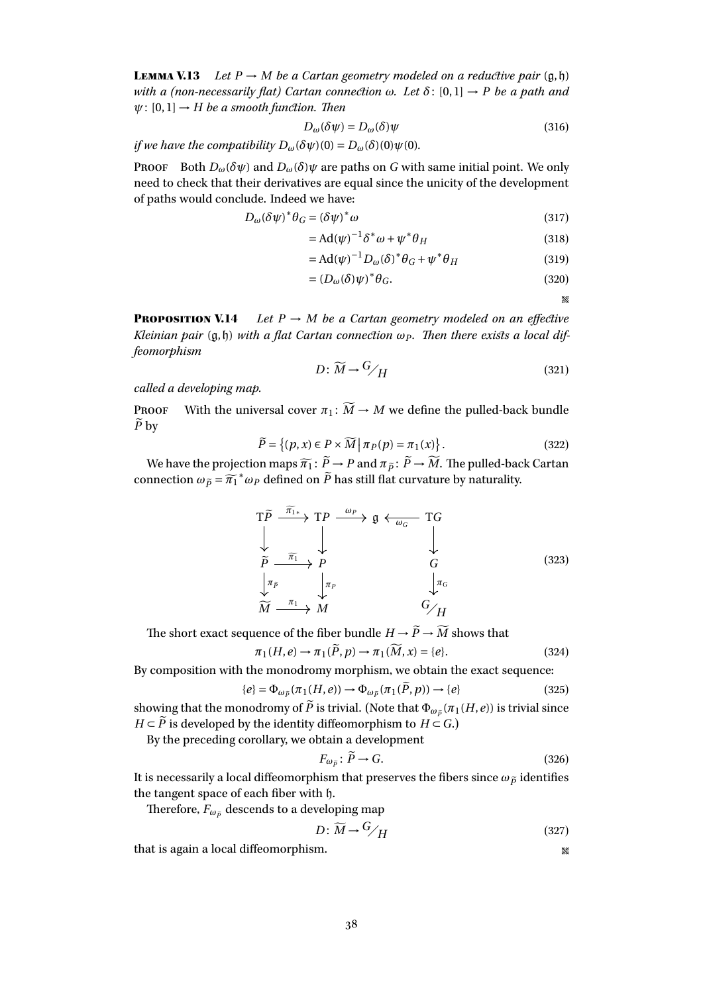<span id="page-37-0"></span>**LEMMA V.13** *Let*  $P \rightarrow M$  *be a Cartan geometry modeled on a reductive pair*  $(q, \hat{p})$ *with a (non-necessarily flat) Cartan connection*  $\omega$ *. Let*  $\delta$ : [0,1]  $\rightarrow$  *P be a path and*  $\psi$ : [0,1]  $\rightarrow$  *H be a smooth function. Then* 

$$
D_{\omega}(\delta \psi) = D_{\omega}(\delta)\psi \tag{316}
$$

*if we have the compatibility*  $D_{\omega}(\delta \psi)(0) = D_{\omega}(\delta)(0) \psi(0)$ *.* 

Proof Both  $D_{\omega}(\delta \psi)$  and  $D_{\omega}(\delta) \psi$  are paths on *G* with same initial point. We only need to check that their derivatives are equal since the unicity of the development of paths would conclude. Indeed we have:

$$
D_{\omega}(\delta\psi)^{*}\theta_{G} = (\delta\psi)^{*}\omega\tag{317}
$$

$$
= Ad(\psi)^{-1} \delta^* \omega + \psi^* \theta_H \tag{318}
$$

$$
= \mathrm{Ad}(\psi)^{-1} D_{\omega}(\delta)^{*} \theta_{G} + \psi^{*} \theta_{H}
$$
 (319)

$$
= (D_{\omega}(\delta)\psi)^{*} \theta_{G}. \tag{320}
$$

 $\mathcal{R}^{\mathcal{C}}$ 

**PROPOSITION V.14** *Let*  $P \rightarrow M$  *be a Cartan geometry modeled on an effective Kleinian pair*  $(q, h)$  *with a flat Cartan connection*  $\omega_P$ *. Then there exists a local diffeomorphism*

$$
D: \widetilde{M} \to {}^G/H \tag{321}
$$

*called a developing map.*

**PROOF** With the universal cover  $\pi_1: \widetilde{M} \to M$  we define the pulled-back bundle  $\widetilde{P}$  by

$$
\widetilde{P} = \left\{ (p, x) \in P \times \widetilde{M} \, \middle| \, \pi_P(p) = \pi_1(x) \right\}.
$$
\n(322)

We have the projection maps  $\widetilde{n_1}$ :  $\widetilde{P} \rightarrow P$  and  $\pi_{\widetilde{P}}$ :  $\widetilde{P} \rightarrow \widetilde{M}$ . The pulled-back Cartan connection  $\omega_{\tilde{p}} = \tilde{\pi_1}^* \omega_P$  defined on  $\tilde{P}$  has still flat curvature by naturality.

$$
\begin{array}{ccc}\nT\widetilde{P} & \xrightarrow{\widetilde{\pi}_{1*}} & T P & \xrightarrow{\omega_{P}} & \mathfrak{g} \leftarrow_{\omega_{G}} & T G \\
\downarrow & & \downarrow & & \downarrow & & \downarrow \\
\widetilde{P} & \xrightarrow{\widetilde{\pi}_{1}} & P & & G \\
\downarrow^{\pi_{\widetilde{P}}} & & \downarrow^{\pi_{P}} & & \downarrow^{\pi_{G}} \\
\widetilde{M} & \xrightarrow{\pi_{1}} & M & & G/H\n\end{array}
$$
\n(323)

The short exact sequence of the fiber bundle  $H \to \widetilde{P} \to \widetilde{M}$  shows that

$$
\pi_1(H, e) \to \pi_1(\widetilde{P}, p) \to \pi_1(\widetilde{M}, x) = \{e\}.
$$
\n(324)

By composition with the monodromy morphism, we obtain the exact sequence:

$$
\{e\} = \Phi_{\omega_{\tilde{P}}}(\pi_1(H, e)) \to \Phi_{\omega_{\tilde{P}}}(\pi_1(\tilde{P}, p)) \to \{e\}
$$
\n(325)

showing that the monodromy of *P* is trivial. (Note that  $\Phi_{\omega_{\widetilde{P}}}(\pi_1(H,e))$  is trivial since *H* ⊂  $\widetilde{P}$  is developed by the identity diffeomorphism to *H* ⊂ *G*.)

By the preceding corollary, we obtain a development

$$
F_{\omega_{\tilde{P}}} \colon \tilde{P} \to G. \tag{326}
$$

It is necessarily a local diffeomorphism that preserves the fibers since  $\omega_{\tilde{p}}$  identifies the tangent space of each fiber with h.

Therefore,  $F_{\omega_{\tilde{p}}}$  descends to a developing map

$$
D: \widetilde{M} \to {}^G/H \tag{327}
$$

that is again a local diffeomorphism.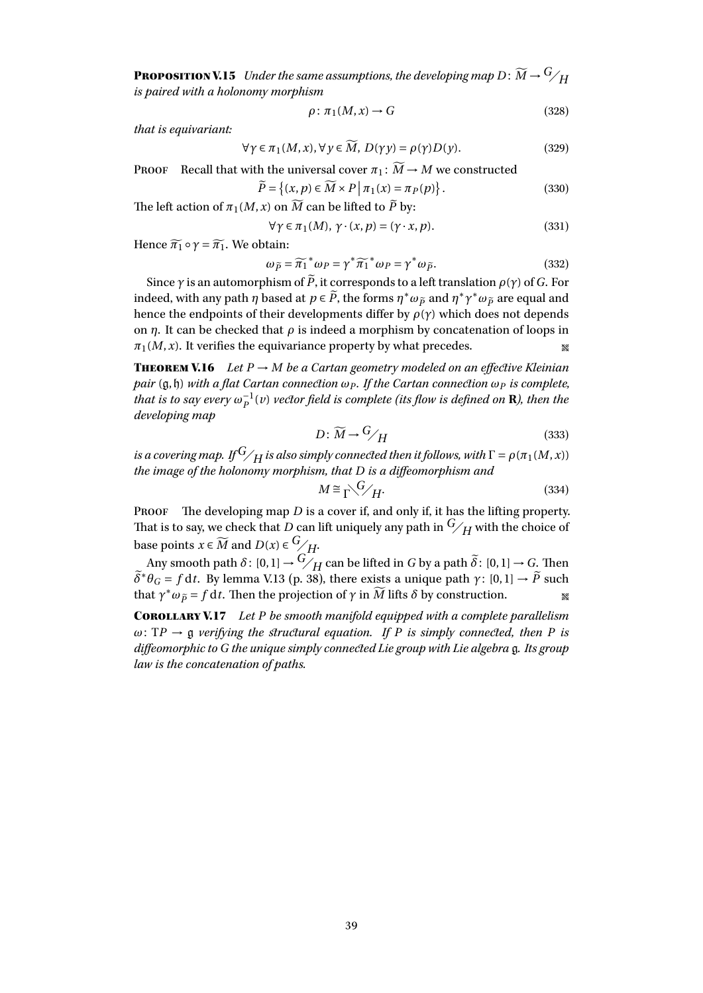**PROPOSITION V.15** *Under the same assumptions, the developing map*  $D: \widetilde{M} \rightarrow G/H$ *is paired with a holonomy morphism*

$$
\rho: \pi_1(M, x) \to G \tag{328}
$$

*that is equivariant:*

$$
\forall \gamma \in \pi_1(M, x), \forall y \in \widetilde{M}, D(\gamma y) = \rho(\gamma)D(y). \tag{329}
$$

**PROOF** Recall that with the universal cover  $\pi_1 : \widetilde{M} \to M$  we constructed

$$
\widetilde{P} = \left\{ (x, p) \in \widetilde{M} \times P \, \middle| \, \pi_1(x) = \pi_P(p) \right\}.
$$
\n(330)

The left action of  $\pi_1(M, x)$  on  $M$  can be lifted to  $P$  by:

$$
\forall \gamma \in \pi_1(M), \, \gamma \cdot (x, p) = (\gamma \cdot x, p). \tag{331}
$$

Hence  $\widetilde{\pi_1} \circ \gamma = \widetilde{\pi_1}$ . We obtain:

$$
\omega_{\widetilde{P}} = \widetilde{\pi_1}^* \omega_P = \gamma^* \widetilde{\pi_1}^* \omega_P = \gamma^* \omega_{\widetilde{P}}.
$$
\n(332)

Since *<sup>γ</sup>* is an automorphism of *<sup>P</sup>*e, it corresponds to a left translation *<sup>ρ</sup>*(*γ*) of *<sup>G</sup>*. For indeed, with any path *η* based at  $p \in \tilde{P}$ , the forms  $\eta^* \omega_{\tilde{P}}$  and  $\eta^* \gamma^* \omega_{\tilde{P}}$  are equal and hence the endpoints of their developments differ by  $\rho(\gamma)$  which does not depends on *η*. It can be checked that *ρ* is indeed a morphism by concatenation of loops in  $\pi_1(M, x)$ . It verifies the equivariance property by what precedes.

**THEOREM V.16** *Let*  $P \rightarrow M$  *be a Cartan geometry modeled on an effective Kleinian pair* (g,h) *with a flat Cartan connection ω<sup>P</sup> . If the Cartan connection ω<sup>P</sup> is complete,*  $t$ hat is to say every  $\omega_P^{-1}(v)$  vector field is complete (its flow is defined on **R**), then the *developing map*

$$
D: \widetilde{M} \to {}^G/H \tag{333}
$$

*is a covering map. If*  $G_{\diagup H}$  *is also simply connected then it follows, with*  $\Gamma = \rho(\pi_1(M,x))$ *the image of the holonomy morphism, that D is a diffeomorphism and*

$$
M \cong \Gamma^{\searrow} \mathcal{G} / H. \tag{334}
$$

PROOF The developing map *D* is a cover if, and only if, it has the lifting property. That is to say, we check that *D* can lift uniquely any path in  $\frac{G}{H}$  with the choice of base points  $x \in \widetilde{M}$  and  $D(x) \in \frac{G}{H}$ .

Any smooth path  $\delta$ :  $[0,1] \rightarrow \widetilde{G}/H$  can be lifted in *G* by a path  $\widetilde{\delta}$ :  $[0,1] \rightarrow G$ . Then  $\widetilde{\delta}^* \theta_G = f \, dt$ . By lemma [V.13](#page-37-0) (p. [38\)](#page-37-0), there exists a unique path *γ*: [0, 1]  $\rightarrow \widetilde{P}$  such that  $\gamma^* \omega_{\tilde{P}} = f \, dt$ . Then the projection of  $\gamma$  in  $\widetilde{M}$  lifts  $\delta$  by construction.

Corollary V.17 *Let P be smooth manifold equipped with a complete parallelism*  $\omega$ : TP  $\rightarrow$  g *verifying the structural equation. If P is simply connected, then P is diffeomorphic to G the unique simply connected Lie group with Lie algebra* g*. Its group law is the concatenation of paths.*